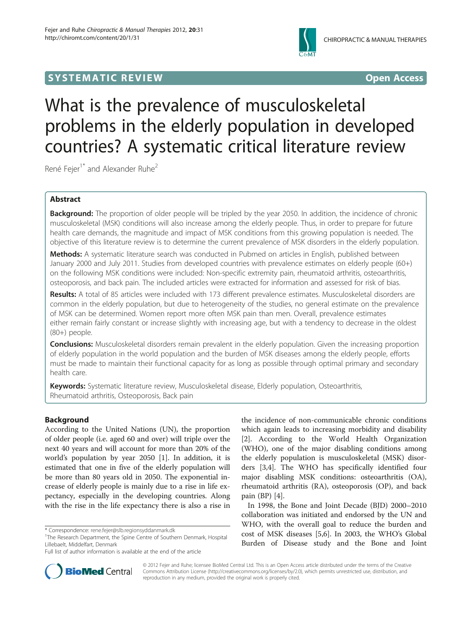

# **SYSTEMATIC REVIEW CONTROL** CONTROL CONTROL CONTROL CONTROL CONTROL CONTROL CONTROL CONTROL CONTROL CONTROL CONTROL CONTROL CONTROL CONTROL CONTROL CONTROL CONTROL CONTROL CONTROL CONTROL CONTROL CONTROL CONTROL CONTROL CO

# What is the prevalence of musculoskeletal problems in the elderly population in developed countries? A systematic critical literature review

René Fejer<sup>1\*</sup> and Alexander Ruhe<sup>2</sup>

## Abstract

Background: The proportion of older people will be tripled by the year 2050. In addition, the incidence of chronic musculoskeletal (MSK) conditions will also increase among the elderly people. Thus, in order to prepare for future health care demands, the magnitude and impact of MSK conditions from this growing population is needed. The objective of this literature review is to determine the current prevalence of MSK disorders in the elderly population.

Methods: A systematic literature search was conducted in Pubmed on articles in English, published between January 2000 and July 2011. Studies from developed countries with prevalence estimates on elderly people (60+) on the following MSK conditions were included: Non-specific extremity pain, rheumatoid arthritis, osteoarthritis, osteoporosis, and back pain. The included articles were extracted for information and assessed for risk of bias.

Results: A total of 85 articles were included with 173 different prevalence estimates. Musculoskeletal disorders are common in the elderly population, but due to heterogeneity of the studies, no general estimate on the prevalence of MSK can be determined. Women report more often MSK pain than men. Overall, prevalence estimates either remain fairly constant or increase slightly with increasing age, but with a tendency to decrease in the oldest (80+) people.

**Conclusions:** Musculoskeletal disorders remain prevalent in the elderly population. Given the increasing proportion of elderly population in the world population and the burden of MSK diseases among the elderly people, efforts must be made to maintain their functional capacity for as long as possible through optimal primary and secondary health care.

Keywords: Systematic literature review, Musculoskeletal disease, Elderly population, Osteoarthritis, Rheumatoid arthritis, Osteoporosis, Back pain

## Background

According to the United Nations (UN), the proportion of older people (i.e. aged 60 and over) will triple over the next 40 years and will account for more than 20% of the world's population by year 2050 [[1\]](#page-49-0). In addition, it is estimated that one in five of the elderly population will be more than 80 years old in 2050. The exponential increase of elderly people is mainly due to a rise in life expectancy, especially in the developing countries. Along with the rise in the life expectancy there is also a rise in

the incidence of non-communicable chronic conditions which again leads to increasing morbidity and disability [[2\]](#page-49-0). According to the World Health Organization (WHO), one of the major disabling conditions among the elderly population is musculoskeletal (MSK) disorders [[3,4\]](#page-49-0). The WHO has specifically identified four major disabling MSK conditions: osteoarthritis (OA), rheumatoid arthritis (RA), osteoporosis (OP), and back pain (BP) [\[4\]](#page-49-0).

In 1998, the Bone and Joint Decade (BJD) 2000–2010 collaboration was initiated and endorsed by the UN and WHO, with the overall goal to reduce the burden and cost of MSK diseases [\[5,6](#page-49-0)]. In 2003, the WHO's Global Burden of Disease study and the Bone and Joint



© 2012 Fejer and Ruhe; licensee BioMed Central Ltd. This is an Open Access article distributed under the terms of the Creative Commons Attribution License [\(http://creativecommons.org/licenses/by/2.0\)](http://creativecommons.org/licenses/by/2.0), which permits unrestricted use, distribution, and reproduction in any medium, provided the original work is properly cited.

<sup>\*</sup> Correspondence: [rene.fejer@slb.regionsyddanmark.dk](mailto:rene.fejer@slb.regionsyddanmark.dk) <sup>1</sup>

<sup>&</sup>lt;sup>1</sup>The Research Department, the Spine Centre of Southern Denmark, Hospital Lillebaelt, Middelfart, Denmark

Full list of author information is available at the end of the article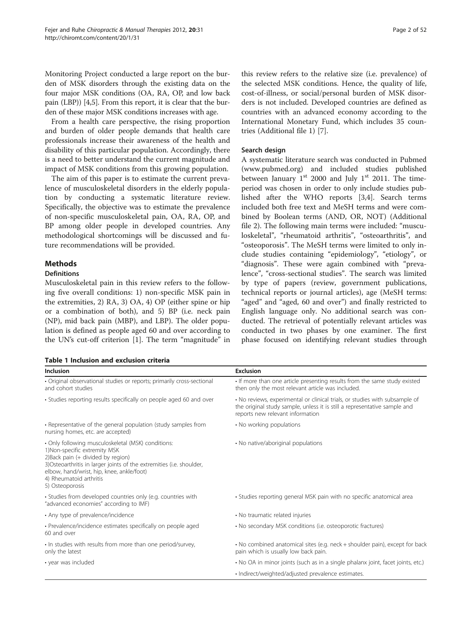<span id="page-1-0"></span>Monitoring Project conducted a large report on the burden of MSK disorders through the existing data on the four major MSK conditions (OA, RA, OP, and low back pain (LBP)) [[4,5](#page-49-0)]. From this report, it is clear that the burden of these major MSK conditions increases with age.

From a health care perspective, the rising proportion and burden of older people demands that health care professionals increase their awareness of the health and disability of this particular population. Accordingly, there is a need to better understand the current magnitude and impact of MSK conditions from this growing population.

The aim of this paper is to estimate the current prevalence of musculoskeletal disorders in the elderly population by conducting a systematic literature review. Specifically, the objective was to estimate the prevalence of non-specific musculoskeletal pain, OA, RA, OP, and BP among older people in developed countries. Any methodological shortcomings will be discussed and future recommendations will be provided.

## Methods

## Definitions

Musculoskeletal pain in this review refers to the following five overall conditions: 1) non-specific MSK pain in the extremities, 2) RA, 3) OA, 4) OP (either spine or hip or a combination of both), and 5) BP (i.e. neck pain (NP), mid back pain (MBP), and LBP). The older population is defined as people aged 60 and over according to the UN's cut-off criterion [\[1](#page-49-0)]. The term "magnitude" in

|  |  | Table 1 Inclusion and exclusion criteria |  |
|--|--|------------------------------------------|--|
|  |  |                                          |  |

this review refers to the relative size (i.e. prevalence) of the selected MSK conditions. Hence, the quality of life, cost-of-illness, or social/personal burden of MSK disorders is not included. Developed countries are defined as countries with an advanced economy according to the International Monetary Fund, which includes 35 countries (Additional file [1\)](#page-49-0) [\[7\]](#page-49-0).

#### Search design

A systematic literature search was conducted in Pubmed ([www.pubmed.org\)](http://www.pubmed.org) and included studies published between January  $1<sup>st</sup>$  2000 and July  $1<sup>st</sup>$  2011. The timeperiod was chosen in order to only include studies published after the WHO reports [[3,4\]](#page-49-0). Search terms included both free text and MeSH terms and were combined by Boolean terms (AND, OR, NOT) (Additional file [2\)](#page-49-0). The following main terms were included: "musculoskeletal", "rheumatoid arthritis", "osteoarthritis", and "osteoporosis". The MeSH terms were limited to only include studies containing "epidemiology", "etiology", or "diagnosis". These were again combined with "prevalence", "cross-sectional studies". The search was limited by type of papers (review, government publications, technical reports or journal articles), age (MeSH terms: "aged" and "aged, 60 and over") and finally restricted to English language only. No additional search was conducted. The retrieval of potentially relevant articles was conducted in two phases by one examiner. The first phase focused on identifying relevant studies through

| Inclusion                                                                                                                                                                                                                                                                                     | <b>Exclusion</b>                                                                                                                                                                             |
|-----------------------------------------------------------------------------------------------------------------------------------------------------------------------------------------------------------------------------------------------------------------------------------------------|----------------------------------------------------------------------------------------------------------------------------------------------------------------------------------------------|
| • Original observational studies or reports; primarily cross-sectional<br>and cohort studies                                                                                                                                                                                                  | • If more than one article presenting results from the same study existed<br>then only the most relevant article was included.                                                               |
| • Studies reporting results specifically on people aged 60 and over                                                                                                                                                                                                                           | • No reviews, experimental or clinical trials, or studies with subsample of<br>the original study sample, unless it is still a representative sample and<br>reports new relevant information |
| • Representative of the general population (study samples from<br>nursing homes, etc. are accepted)                                                                                                                                                                                           | • No working populations                                                                                                                                                                     |
| • Only following musculoskeletal (MSK) conditions:<br>1) Non-specific extremity MSK<br>2) Back pain (+ divided by region)<br>3) Osteoarthritis in larger joints of the extremities (i.e. shoulder,<br>elbow, hand/wrist, hip, knee, ankle/foot)<br>4) Rheumatoid arthritis<br>5) Osteoporosis | • No native/aboriginal populations                                                                                                                                                           |
| • Studies from developed countries only (e.g. countries with<br>"advanced economies" according to IMF)                                                                                                                                                                                        | • Studies reporting general MSK pain with no specific anatomical area                                                                                                                        |
| • Any type of prevalence/incidence                                                                                                                                                                                                                                                            | • No traumatic related injuries                                                                                                                                                              |
| · Prevalence/incidence estimates specifically on people aged<br>60 and over                                                                                                                                                                                                                   | • No secondary MSK conditions (i.e. osteoporotic fractures)                                                                                                                                  |
| • In studies with results from more than one period/survey,<br>only the latest                                                                                                                                                                                                                | • No combined anatomical sites (e.g. neck + shoulder pain), except for back<br>pain which is usually low back pain.                                                                          |
| • year was included                                                                                                                                                                                                                                                                           | • No OA in minor joints (such as in a single phalanx joint, facet joints, etc.)                                                                                                              |
|                                                                                                                                                                                                                                                                                               | · Indirect/weighted/adjusted prevalence estimates.                                                                                                                                           |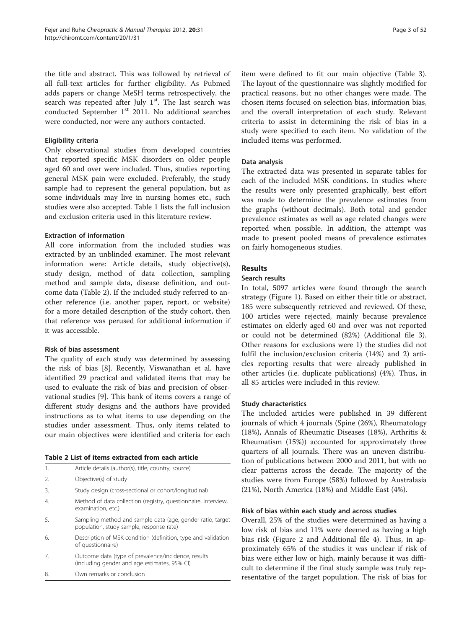the title and abstract. This was followed by retrieval of all full-text articles for further eligibility. As Pubmed adds papers or change MeSH terms retrospectively, the search was repeated after July  $1<sup>st</sup>$ . The last search was conducted September 1<sup>st</sup> 2011. No additional searches were conducted, nor were any authors contacted.

#### Eligibility criteria

Only observational studies from developed countries that reported specific MSK disorders on older people aged 60 and over were included. Thus, studies reporting general MSK pain were excluded. Preferably, the study sample had to represent the general population, but as some individuals may live in nursing homes etc., such studies were also accepted. Table [1](#page-1-0) lists the full inclusion and exclusion criteria used in this literature review.

## Extraction of information

All core information from the included studies was extracted by an unblinded examiner. The most relevant information were: Article details, study objective(s), study design, method of data collection, sampling method and sample data, disease definition, and outcome data (Table 2). If the included study referred to another reference (i.e. another paper, report, or website) for a more detailed description of the study cohort, then that reference was perused for additional information if it was accessible.

#### Risk of bias assessment

The quality of each study was determined by assessing the risk of bias [[8\]](#page-49-0). Recently, Viswanathan et al. have identified 29 practical and validated items that may be used to evaluate the risk of bias and precision of observational studies [\[9](#page-49-0)]. This bank of items covers a range of different study designs and the authors have provided instructions as to what items to use depending on the studies under assessment. Thus, only items related to our main objectives were identified and criteria for each

#### Table 2 List of items extracted from each article

- 1. Article details (author(s), title, country, source)
- 2. Objective(s) of study
- 3. Study design (cross-sectional or cohort/longitudinal)
- 4. Method of data collection (registry, questionnaire, interview, examination, etc.)
- 5. Sampling method and sample data (age, gender ratio, target population, study sample, response rate)
- 6. Description of MSK condition (definition, type and validation of questionnaire)
- 7. Outcome data (type of prevalence/incidence, results (including gender and age estimates, 95% CI)
- 8. Own remarks or conclusion

item were defined to fit our main objective (Table [3](#page-3-0)). The layout of the questionnaire was slightly modified for practical reasons, but no other changes were made. The chosen items focused on selection bias, information bias, and the overall interpretation of each study. Relevant criteria to assist in determining the risk of bias in a study were specified to each item. No validation of the included items was performed.

## Data analysis

The extracted data was presented in separate tables for each of the included MSK conditions. In studies where the results were only presented graphically, best effort was made to determine the prevalence estimates from the graphs (without decimals). Both total and gender prevalence estimates as well as age related changes were reported when possible. In addition, the attempt was made to present pooled means of prevalence estimates on fairly homogeneous studies.

## Results

#### Search results

In total, 5097 articles were found through the search strategy (Figure [1](#page-4-0)). Based on either their title or abstract, 185 were subsequently retrieved and reviewed. Of these, 100 articles were rejected, mainly because prevalence estimates on elderly aged 60 and over was not reported or could not be determined (82%) (Additional file [3](#page-49-0)). Other reasons for exclusions were 1) the studies did not fulfil the inclusion/exclusion criteria (14%) and 2) articles reporting results that were already published in other articles (i.e. duplicate publications) (4%). Thus, in all 85 articles were included in this review.

#### Study characteristics

The included articles were published in 39 different journals of which 4 journals (Spine (26%), Rheumatology (18%), Annals of Rheumatic Diseases (18%), Arthritis & Rheumatism (15%)) accounted for approximately three quarters of all journals. There was an uneven distribution of publications between 2000 and 2011, but with no clear patterns across the decade. The majority of the studies were from Europe (58%) followed by Australasia (21%), North America (18%) and Middle East (4%).

## Risk of bias within each study and across studies

Overall, 25% of the studies were determined as having a low risk of bias and 11% were deemed as having a high bias risk (Figure [2](#page-4-0) and Additional file [4\)](#page-49-0). Thus, in approximately 65% of the studies it was unclear if risk of bias were either low or high, mainly because it was difficult to determine if the final study sample was truly representative of the target population. The risk of bias for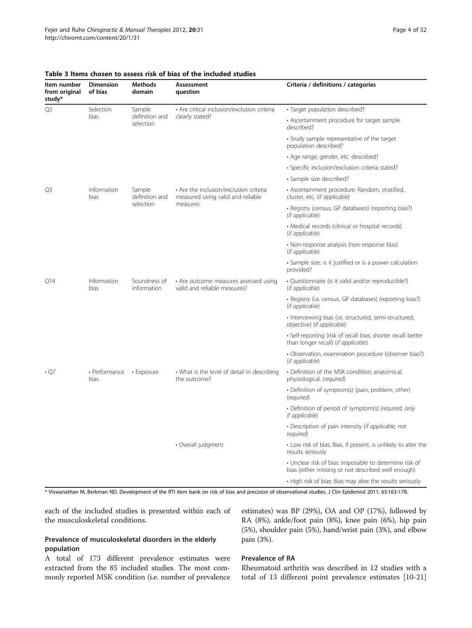| Item number<br>from original<br>study*                              | Dimension<br>of bias | <b>Methods</b><br>domain    | Assessment<br>question                                                      | Criteria / definitions / categories                                                                           |
|---------------------------------------------------------------------|----------------------|-----------------------------|-----------------------------------------------------------------------------|---------------------------------------------------------------------------------------------------------------|
| Q2                                                                  | Selection            | Sample                      | • Are critical inclusion/exclusion criteria                                 | · Target population described?                                                                                |
| bias<br>Q <sub>3</sub><br>bias<br>Q14<br>bias<br>$\cdot$ Q7<br>bias |                      | definition and<br>selection | clearly stated?                                                             | • Ascertainment procedure for target sample<br>described?                                                     |
|                                                                     |                      |                             |                                                                             | • Study sample representative of the target<br>population described?                                          |
|                                                                     |                      |                             |                                                                             | • Age range, gender, etc. described?                                                                          |
|                                                                     |                      |                             |                                                                             | · Specific inclusion/exclusion criteria stated?                                                               |
|                                                                     |                      |                             |                                                                             | · Sample size described?                                                                                      |
|                                                                     | Information          | Sample<br>definition and    | • Are the inclusion/exclusion criteria<br>measured using valid and reliable | · Ascertainment procedure: Random, stratified,<br>cluster, etc. (if applicable)                               |
|                                                                     |                      | selection                   | measures                                                                    | · Registry (census, GP databases) (reporting bias?)<br>(if applicable)                                        |
|                                                                     |                      |                             |                                                                             | • Medical records (clinical or hospital records)<br>(if applicable)                                           |
|                                                                     |                      |                             |                                                                             | • Non-response analysis (non-response bias)<br>(if applicable)                                                |
|                                                                     | Information          |                             |                                                                             | • Sample size: is it justified or is a power calculation<br>provided?                                         |
|                                                                     |                      | Soundness of<br>information | • Are outcome measures assessed using<br>valid and reliable measures?       | · Questionnaire (is it valid and/or reproducible?)<br>(if applicable)                                         |
|                                                                     |                      |                             |                                                                             | • Registry (i.e. census, GP databases) (reporting bias?)<br>(if applicable)                                   |
|                                                                     |                      |                             |                                                                             | · Interviewing bias (i.e. structured, semi-structured,<br>objective) (if applicable)                          |
|                                                                     |                      |                             |                                                                             | · Self-reporting (risk of recall bias; shorter recall better<br>than longer recall) (if applicable)           |
|                                                                     |                      |                             |                                                                             | · Observation, examination procedure (observer bias?)<br>(if applicable)                                      |
|                                                                     | • Performance        | • Exposure                  | • What is the level of detail in describing<br>the outcome?                 | • Definition of the MSK condition; anatomical,<br>physiological. (required)                                   |
|                                                                     |                      |                             |                                                                             | • Definition of symptom(s) (pain, problem, other)<br>(required)                                               |
|                                                                     |                      |                             |                                                                             | • Definition of period of symptom(s) (required, only<br>if applicable)                                        |
|                                                                     |                      |                             |                                                                             | · Description of pain intensity (if applicable, not<br>required)                                              |
|                                                                     |                      |                             | • Overall judgment                                                          | · Low risk of bias: Bias, if present, is unlikely to alter the<br>results seriously                           |
|                                                                     |                      |                             |                                                                             | • Unclear risk of bias: Impossible to determine risk of<br>bias (either missing or not described well enough) |
|                                                                     |                      |                             |                                                                             | • High risk of bias: Bias may alter the results seriously                                                     |

#### <span id="page-3-0"></span>Table 3 Items chosen to assess risk of bias of the included studies

\* Viswanathan M, Berkman ND. Development of the RTI item bank on risk of bias and precision of observational studies. J Clin Epidemiol 2011, 65:163-178.

each of the included studies is presented within each of the musculoskeletal conditions.

## Prevalence of musculoskeletal disorders in the elderly population

A total of 173 different prevalence estimates were extracted from the 85 included studies. The most commonly reported MSK condition (i.e. number of prevalence estimates) was BP (29%), OA and OP (17%), followed by RA (8%), ankle/foot pain (8%), knee pain (6%), hip pain (5%), shoulder pain (5%), hand/wrist pain (3%), and elbow pain (3%).

#### Prevalence of RA

Rheumatoid arthritis was described in 12 studies with a total of 13 different point prevalence estimates [\[10](#page-49-0)-[21](#page-49-0)]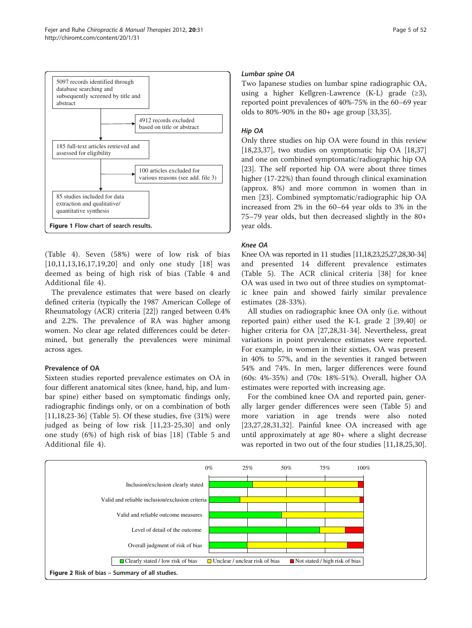

<span id="page-4-0"></span>

(Table [4](#page-5-0)). Seven (58%) were of low risk of bias [[10](#page-49-0),[11,13](#page-49-0),[16,17](#page-49-0),[19,20](#page-49-0)] and only one study [\[18](#page-49-0)] was deemed as being of high risk of bias (Table [4](#page-5-0) and Additional file [4\)](#page-49-0).

The prevalence estimates that were based on clearly defined criteria (typically the 1987 American College of Rheumatology (ACR) criteria [[22](#page-49-0)]) ranged between 0.4% and 2.2%. The prevalence of RA was higher among women. No clear age related differences could be determined, but generally the prevalences were minimal across ages.

## Prevalence of OA

Sixteen studies reported prevalence estimates on OA in four different anatomical sites (knee, hand, hip, and lumbar spine) either based on symptomatic findings only, radiographic findings only, or on a combination of both [[11,18,23-](#page-49-0)[36\]](#page-50-0) (Table [5\)](#page-7-0). Of these studies, five (31%) were judged as being of low risk [[11](#page-49-0),[23-25,30](#page-49-0)] and only one study (6%) of high risk of bias [[18](#page-49-0)] (Table [5](#page-7-0) and Additional file [4\)](#page-49-0).

## Lumbar spine OA

Two Japanese studies on lumbar spine radiographic OA, using a higher Kellgren-Lawrence (K-L) grade (≥3), reported point prevalences of 40%-75% in the 60–69 year olds to 80%-90% in the 80+ age group [\[33,35\]](#page-50-0).

## Hip OA

Only three studies on hip OA were found in this review [[18,23,](#page-49-0)[37\]](#page-50-0), two studies on symptomatic hip OA [[18](#page-49-0),[37](#page-50-0)] and one on combined symptomatic/radiographic hip OA [[23\]](#page-49-0). The self reported hip OA were about three times higher (17-22%) than found through clinical examination (approx. 8%) and more common in women than in men [[23\]](#page-49-0). Combined symptomatic/radiographic hip OA increased from 2% in the 60–64 year olds to 3% in the 75–79 year olds, but then decreased slightly in the 80+ year olds.

## Knee OA

Knee OA was reported in 11 studies [\[11,18,23,25,27,28,30](#page-49-0)[-34](#page-50-0)] and presented 14 different prevalence estimates (Table [5](#page-7-0)). The ACR clinical criteria [\[38](#page-50-0)] for knee OA was used in two out of three studies on symptomatic knee pain and showed fairly similar prevalence estimates (28-33%).

All studies on radiographic knee OA only (i.e. without reported pain) either used the K-L grade 2 [[39,40\]](#page-50-0) or higher criteria for OA [\[27,28,31-](#page-49-0)[34](#page-50-0)]. Nevertheless, great variations in point prevalence estimates were reported. For example, in women in their sixties, OA was present in 40% to 57%, and in the seventies it ranged between 54% and 74%. In men, larger differences were found (60s: 4%-35%) and (70s: 18%-51%). Overall, higher OA estimates were reported with increasing age.

For the combined knee OA and reported pain, generally larger gender differences were seen (Table [5\)](#page-7-0) and more variation in age trends were also noted [[23,27,28,31,](#page-49-0)[32\]](#page-50-0). Painful knee OA increased with age until approximately at age 80+ where a slight decrease was reported in two out of the four studies [\[11,18,25,30\]](#page-49-0).

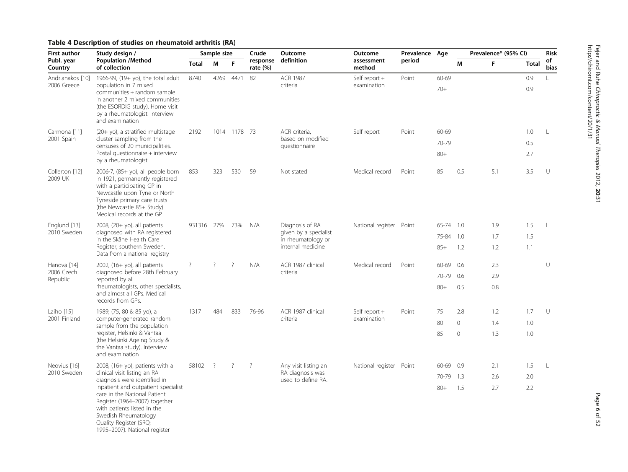## <span id="page-5-0"></span>Table 4 Description of studies on rheumatoid arthritis (RA)

| <b>First author</b>       | Study design /                                                                                                                                                                                                                |              | Sample size    |                    | Crude                   | Outcome                                     | Outcome                 | Prevalence Age |           |         | Prevalence* (95% CI) |              | Risk         |
|---------------------------|-------------------------------------------------------------------------------------------------------------------------------------------------------------------------------------------------------------------------------|--------------|----------------|--------------------|-------------------------|---------------------------------------------|-------------------------|----------------|-----------|---------|----------------------|--------------|--------------|
| Publ. year<br>Country     | <b>Population /Method</b><br>of collection                                                                                                                                                                                    | <b>Total</b> | M              | F.                 | response<br>rate $(\%)$ | definition                                  | assessment<br>method    | period         |           | М       | F.                   | <b>Total</b> | of<br>bias   |
| Andrianakos [10]          | 1966-99, (19+ yo), the total adult                                                                                                                                                                                            | 8740         | 4269           | 4471               | 82                      | <b>ACR 1987</b>                             | Self report +           | Point          | 60-69     |         |                      | 0.9          | L.           |
| 2006 Greece               | population in 7 mixed<br>communities + random sample<br>in another 2 mixed communities<br>(the ESORDIG study). Home visit<br>by a rheumatologist. Interview<br>and examination                                                |              |                |                    |                         | criteria                                    | examination             |                | $70+$     |         |                      | 0.9          |              |
| Carmona [11]              | (20+ yo), a stratified multistage<br>cluster sampling from the                                                                                                                                                                | 2192         |                | 1014 1178 73       |                         | ACR criteria,<br>based on modified          | Self report             | Point          | 60-69     |         |                      | 1.0          | L            |
| 2001 Spain                | censuses of 20 municipalities.                                                                                                                                                                                                |              |                |                    |                         | questionnaire                               |                         |                | 70-79     |         |                      | 0.5          |              |
|                           | Postal questionnaire + interview<br>by a rheumatologist                                                                                                                                                                       |              |                |                    |                         |                                             |                         |                | $80+$     |         |                      | 2.7          |              |
| Collerton [12]<br>2009 UK | 2006-7, (85+ yo), all people born<br>in 1921, permanently registered<br>with a participating GP in<br>Newcastle upon Tyne or North<br>Tyneside primary care trusts<br>(the Newcastle 85+ Study).<br>Medical records at the GP | 853          | 323            | 530                | 59                      | Not stated                                  | Medical record          | Point          | 85        | 0.5     | 5.1                  | 3.5          | U            |
| Englund [13]              | 2008, (20+ yo), all patients                                                                                                                                                                                                  | 931316 27%   |                | 73%                | N/A                     | Diagnosis of RA                             | National register Point |                | 65-74 1.0 |         | 1.9                  | 1.5          | $\mathsf{L}$ |
| 2010 Sweden               | diagnosed with RA registered<br>in the Skåne Health Care<br>Register, southern Sweden.                                                                                                                                        |              |                |                    |                         | given by a specialist<br>in rheumatology or |                         |                | 75-84 1.0 |         | 1.7                  | 1.5          |              |
|                           | Data from a national registry                                                                                                                                                                                                 |              |                |                    |                         | internal medicine                           |                         |                | $85+$     | 1.2     | 1.2                  | 1.1          |              |
| Hanova [14]<br>2006 Czech | 2002, (16+ yo), all patients                                                                                                                                                                                                  | $\ddot{?}$   | $\overline{?}$ | $\overline{\cdot}$ | N/A                     | ACR 1987 clinical                           | Medical record          | Point          | 60-69     | 0.6     | 2.3                  |              | U            |
| Republic                  | diagnosed before 28th February<br>reported by all                                                                                                                                                                             |              |                |                    |                         | criteria                                    |                         |                | 70-79 0.6 |         | 2.9                  |              |              |
|                           | rheumatologists, other specialists,<br>and almost all GPs. Medical<br>records from GPs.                                                                                                                                       |              |                |                    |                         |                                             |                         |                | $80 +$    | 0.5     | 0.8                  |              |              |
| Laiho [15]                | 1989, (75, 80 & 85 yo), a                                                                                                                                                                                                     | 1317         | 484            | 833                | 76-96                   | ACR 1987 clinical                           | Self report $+$         | Point          | 75        | 2.8     | 1.2                  | 1.7          | U            |
| 2001 Finland              | computer-generated random<br>sample from the population                                                                                                                                                                       |              |                |                    |                         | criteria                                    | examination             |                | 80        | $\circ$ | 1.4                  | 1.0          |              |
|                           | register, Helsinki & Vantaa<br>(the Helsinki Ageing Study &<br>the Vantaa study). Interview<br>and examination                                                                                                                |              |                |                    |                         |                                             |                         |                | 85        | 0       | 1.3                  | 1.0          |              |
| Neovius [16]              | 2008, $(16 + y0)$ , patients with a                                                                                                                                                                                           | 58102        | $\cdot$ ?      | $\overline{?}$     | $\overline{\cdot}$      | Any visit listing an                        | National register Point |                | 60-69 0.9 |         | 2.1                  | 1.5          | L            |
| 2010 Sweden               | clinical visit listing an RA<br>diagnosis were identified in                                                                                                                                                                  |              |                |                    |                         | RA diagnosis was<br>used to define RA.      |                         |                | 70-79     | 1.3     | 2.6                  | 2.0          |              |
|                           | inpatient and outpatient specialist<br>care in the National Patient<br>Register (1964-2007) together<br>with patients listed in the<br>Swedish Rheumatology<br>Quality Register (SRQ;<br>1995-2007). National register        |              |                |                    |                         |                                             |                         |                | $80+$     | 1.5     | 2.7                  | 2.2          |              |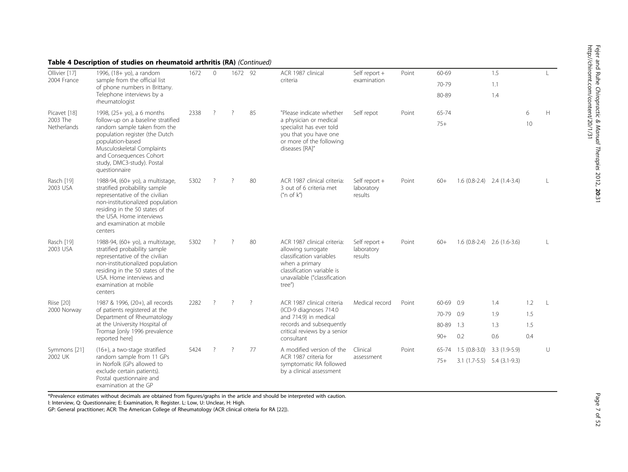## Table 4 Description of studies on rheumatoid arthritis (RA) (Continued)

| Ollivier [17]           | 1996, (18+ yo), a random                                                                                                                                                                                                                    | 1672 | $\mathbf{0}$             | 1672 92                  |                | ACR 1987 clinical                                                                                                                                                       | Self report $+$                          | Point | 60-69       |                | 1.5                             |     |              |
|-------------------------|---------------------------------------------------------------------------------------------------------------------------------------------------------------------------------------------------------------------------------------------|------|--------------------------|--------------------------|----------------|-------------------------------------------------------------------------------------------------------------------------------------------------------------------------|------------------------------------------|-------|-------------|----------------|---------------------------------|-----|--------------|
| 2004 France             | sample from the official list<br>of phone numbers in Brittany.                                                                                                                                                                              |      |                          |                          |                | criteria                                                                                                                                                                | examination                              |       | 70-79       |                | 1.1                             |     |              |
|                         | Telephone interviews by a<br>rheumatologist                                                                                                                                                                                                 |      |                          |                          |                |                                                                                                                                                                         |                                          |       | 80-89       |                | 1.4                             |     |              |
| Picavet [18]            | 1998, (25+ yo), a 6 months                                                                                                                                                                                                                  | 2338 | $\overline{?}$           | $\overline{\phantom{0}}$ | 85             | "Please indicate whether                                                                                                                                                | Self repot                               | Point | 65-74       |                |                                 | 6   | H            |
| 2003 The<br>Netherlands | follow-up on a baseline stratified<br>random sample taken from the<br>population register (the Dutch<br>population-based<br>Musculoskeletal Complaints<br>and Consequences Cohort<br>study, DMC3-study). Postal<br>questionnaire            |      |                          |                          |                | a physician or medical<br>specialist has ever told<br>you that you have one<br>or more of the following<br>diseases [RA]"                                               |                                          |       | $75+$       |                |                                 | 10  |              |
| Rasch [19]<br>2003 USA  | 1988-94, (60+ yo), a multistage,<br>stratified probability sample<br>representative of the civilian<br>non-institutionalized population<br>residing in the 50 states of<br>the USA. Home interviews<br>and examination at mobile<br>centers | 5302 | $\overline{\phantom{0}}$ | $\overline{\phantom{a}}$ | 80             | ACR 1987 clinical criteria:<br>3 out of 6 criteria met<br>("n of $k$ ")                                                                                                 | Self report $+$<br>laboratory<br>results | Point | $60+$       |                | $1.6(0.8-2.4)$ $2.4(1.4-3.4)$   |     | L            |
| Rasch [19]<br>2003 USA  | 1988-94, (60+ yo), a multistage,<br>stratified probability sample<br>representative of the civilian<br>non-institutionalized population<br>residing in the 50 states of the<br>USA. Home interviews and<br>examination at mobile<br>centers | 5302 | $\overline{\phantom{0}}$ | $\overline{\phantom{0}}$ | 80             | ACR 1987 clinical criteria:<br>allowing surrogate<br>classification variables<br>when a primary<br>classification variable is<br>unavailable ("classification<br>tree") | Self report $+$<br>laboratory<br>results | Point | $60+$       |                | $1.6(0.8-2.4)$ $2.6(1.6-3.6)$   |     | L            |
| Riise [20]              | 1987 & 1996, (20+), all records                                                                                                                                                                                                             | 2282 | $\overline{\phantom{0}}$ | $\overline{\phantom{a}}$ | $\overline{?}$ | ACR 1987 clinical criteria                                                                                                                                              | Medical record                           | Point | $60-69$ 0.9 |                | 1.4                             | 1.2 | $\mathbf{L}$ |
| 2000 Norway             | of patients registered at the<br>Department of Rheumatology                                                                                                                                                                                 |      |                          |                          |                | (ICD-9 diagnoses 714.0)<br>and 714.9) in medical                                                                                                                        |                                          |       | 70-79 0.9   |                | 1.9                             | 1.5 |              |
|                         | at the University Hospital of                                                                                                                                                                                                               |      |                          |                          |                | records and subsequently                                                                                                                                                |                                          |       | 80-89       | 1.3            | 1.3                             | 1.5 |              |
|                         | Tromsø [only 1996 prevalence<br>reported here]                                                                                                                                                                                              |      |                          |                          |                | critical reviews by a senior<br>consultant                                                                                                                              |                                          |       | $90+$       | 0.2            | 0.6                             | 0.4 |              |
| Symmons [21]            | (16+), a two-stage stratified                                                                                                                                                                                                               | 5424 | $\overline{\phantom{0}}$ | $\overline{\phantom{a}}$ | 77             | A modified version of the                                                                                                                                               | Clinical                                 | Point | 65-74       | $1.5(0.8-3.0)$ | $3.3(1.9-5.9)$                  |     | U            |
| 2002 UK                 | random sample from 11 GPs<br>in Norfolk (GPs allowed to<br>exclude certain patients).<br>Postal questionnaire and<br>examination at the GP                                                                                                  |      |                          |                          |                | ACR 1987 criteria for<br>symptomatic RA followed<br>by a clinical assessment                                                                                            | assessment                               |       | $75+$       |                | $3.1$ (1.7-5.5) $5.4$ (3.1-9.3) |     |              |

\*Prevalence estimates without decimals are obtained from figures/graphs in the article and should be interpreted with caution.

I: Interview, Q: Questionnaire; E: Examination, R: Register. L: Low, U: Unclear, H: High.

GP: General practitioner; ACR: The American College of Rheumatology (ACR clinical criteria for RA [\[22](#page-49-0)]).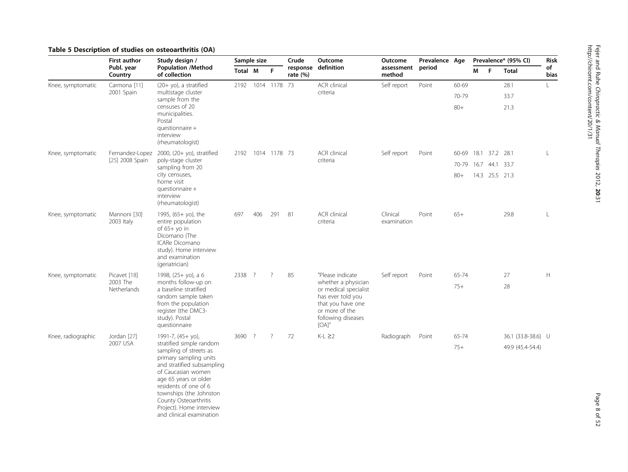|                    | <b>First author</b>        | Study design /                                                                                                                                                                                                                                                                                 |         | Sample size |                | Crude                  | Outcome                                                                                                                                  | Outcome                 | Prevalence Age |       |   |                | Prevalence* (95% CI) | <b>Risk</b> |
|--------------------|----------------------------|------------------------------------------------------------------------------------------------------------------------------------------------------------------------------------------------------------------------------------------------------------------------------------------------|---------|-------------|----------------|------------------------|------------------------------------------------------------------------------------------------------------------------------------------|-------------------------|----------------|-------|---|----------------|----------------------|-------------|
|                    | Publ. year<br>Country      | <b>Population /Method</b><br>of collection                                                                                                                                                                                                                                                     | Total M |             | F              | response<br>rate $(%)$ | definition                                                                                                                               | assessment<br>method    | period         |       | М | F              | <b>Total</b>         | of<br>bias  |
| Knee, symptomatic  | Carmona [11]               | (20+ yo), a stratified                                                                                                                                                                                                                                                                         | 2192    |             | 1014 1178 73   |                        | <b>ACR</b> clinical                                                                                                                      | Self report             | Point          | 60-69 |   |                | 28.1                 | L.          |
|                    | 2001 Spain                 | multistage cluster<br>sample from the                                                                                                                                                                                                                                                          |         |             |                |                        | criteria                                                                                                                                 |                         |                | 70-79 |   |                | 33.7                 |             |
|                    |                            | censuses of 20<br>municipalities.<br>Postal<br>questionnaire +<br>interview<br>(rheumatologist)                                                                                                                                                                                                |         |             |                |                        |                                                                                                                                          |                         |                | $80+$ |   |                | 21.3                 |             |
| Knee, symptomatic  |                            | Fernandez-Lopez 2000, (20+ yo), stratified                                                                                                                                                                                                                                                     | 2192    |             | 1014 1178 73   |                        | <b>ACR</b> clinical                                                                                                                      | Self report             | Point          | 60-69 |   | 18.1 37.2 28.1 |                      | L           |
|                    | [25] 2008 Spain            | poly-stage cluster<br>sampling from 20                                                                                                                                                                                                                                                         |         |             |                |                        | criteria                                                                                                                                 |                         |                | 70-79 |   | 16.7 44.1 33.7 |                      |             |
| Knee, symptomatic  |                            | city censuses,<br>home visit<br>questionnaire +<br>interview<br>(rheumatologist)                                                                                                                                                                                                               |         |             |                |                        |                                                                                                                                          |                         |                | $80+$ |   | 14.3 25.5 21.3 |                      |             |
|                    | Mannoni [30]<br>2003 Italy | 1995, (65+ yo), the<br>entire population<br>of $65+$ yo in<br>Dicomano (The<br>ICARe Dicomano<br>study). Home interview<br>and examination<br>(geriatrician)                                                                                                                                   | 697     | 406         | 291            | 81                     | <b>ACR</b> clinical<br>criteria                                                                                                          | Clinical<br>examination | Point          | $65+$ |   |                | 29.8                 | L           |
| Knee, symptomatic  | Picavet [18]               | 1998, (25+ yo), a 6                                                                                                                                                                                                                                                                            | 2338 ?  |             | $\overline{?}$ | 85                     | "Please indicate                                                                                                                         | Self report             | Point          | 65-74 |   |                | 27                   | H           |
|                    | 2003 The<br>Netherlands    | months follow-up on<br>a baseline stratified<br>random sample taken<br>from the population<br>register (the DMC3-<br>study). Postal<br>questionnaire                                                                                                                                           |         |             |                |                        | whether a physician<br>or medical specialist<br>has ever told you<br>that you have one<br>or more of the<br>following diseases<br>[OA]'' |                         |                | $75+$ |   |                | 28                   |             |
| Knee, radiographic | Jordan [27]                | 1991-7, (45+ yo),                                                                                                                                                                                                                                                                              | 3690 ?  |             | $\overline{?}$ | 72                     | $K-L \geq 2$                                                                                                                             | Radiograph              | Point          | 65-74 |   |                | 36.1 (33.8-38.6) U   |             |
|                    | 2007 USA                   | stratified simple random<br>sampling of streets as<br>primary sampling units<br>and stratified subsampling<br>of Caucasian women<br>age 65 years or older<br>residents of one of 6<br>townships (the Johnston<br>County Osteoarthritis<br>Project). Home interview<br>and clinical examination |         |             |                |                        |                                                                                                                                          |                         |                | $75+$ |   |                | 49.9 (45.4-54.4)     |             |

## <span id="page-7-0"></span>Table 5 Description of studies on osteoarthritis (OA)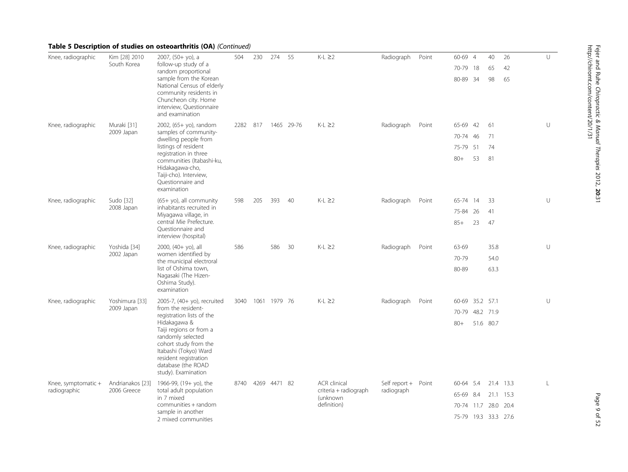| Knee, radiographic                  | Kim [28] 2010<br>South Korea    | 2007, (50+ yo), a<br>follow-up study of a<br>random proportional<br>sample from the Korean<br>National Census of elderly<br>community residents in<br>Chuncheon city. Home<br>interview, Questionnaire<br>and examination                                              | 504      | 230 | 274          | 55         | $K-L \geq 2$                                                            | Radiograph                    | Point | 60-69<br>70-79<br>80-89 34                          | $\overline{4}$<br>-18 | 40<br>65<br>98       | 26<br>42<br>65         | $\cup$ |
|-------------------------------------|---------------------------------|------------------------------------------------------------------------------------------------------------------------------------------------------------------------------------------------------------------------------------------------------------------------|----------|-----|--------------|------------|-------------------------------------------------------------------------|-------------------------------|-------|-----------------------------------------------------|-----------------------|----------------------|------------------------|--------|
| Knee, radiographic                  | Muraki [31]<br>2009 Japan       | 2002, (65+ yo), random<br>samples of community-<br>dwelling people from<br>listings of resident<br>registration in three<br>communities (Itabashi-ku,<br>Hidakagawa-cho,<br>Taiji-cho). Interview,<br>Questionnaire and<br>examination                                 | 2282 817 |     |              | 1465 29-76 | $K-L \geq 2$                                                            | Radiograph                    | Point | 65-69<br>70-74 46<br>75-79 51<br>$80+$              | 42<br>53              | 61<br>71<br>74<br>81 |                        | $\cup$ |
| Knee, radiographic                  | Sudo [32]<br>2008 Japan         | $(65+$ yo), all community<br>inhabitants recruited in<br>Miyagawa village, in<br>central Mie Prefecture.<br>Questionnaire and<br>interview (hospital)                                                                                                                  | 598      | 205 | 393          | 40         | $K-L \geq 2$                                                            | Radiograph                    | Point | 65-74 14<br>75-84 26<br>$85+$                       | 23                    | 33<br>41<br>47       |                        | U      |
| Knee, radiographic                  | Yoshida [34]<br>2002 Japan      | 2000, (40+ yo), all<br>women identified by<br>the municipal electroral<br>list of Oshima town,<br>Nagasaki (The Hizen-<br>Oshima Study).<br>examination                                                                                                                | 586      |     | 586          | -30        | $K-L \geq 2$                                                            | Radiograph                    | Point | 63-69<br>70-79<br>80-89                             |                       | 35.8<br>54.0<br>63.3 |                        | $\cup$ |
| Knee, radiographic                  | Yoshimura [33]<br>2009 Japan    | 2005-7, (40+ yo), recruited<br>from the resident-<br>registration lists of the<br>Hidakagawa &<br>Taiji regions or from a<br>randomly selected<br>cohort study from the<br>Itabashi (Tokyo) Ward<br>resident registration<br>database (the ROAD<br>study). Examination | 3040     |     | 1061 1979 76 |            | $K-L \geq 2$                                                            | Radiograph                    | Point | 60-69 35.2 57.1<br>70-79 48.2 71.9<br>$80+$         |                       | 51.6 80.7            |                        | $\cup$ |
| Knee, symptomatic +<br>radiographic | Andrianakos [23]<br>2006 Greece | 1966-99, (19+ yo), the<br>total adult population<br>in 7 mixed<br>communities + random<br>sample in another<br>2 mixed communities                                                                                                                                     | 8740     |     | 4269 4471 82 |            | <b>ACR</b> clinical<br>criteria + radiograph<br>(unknown<br>definition) | Self report $+$<br>radiograph | Point | 60-64 5.4<br>65-69<br>70-74<br>75-79 19.3 33.3 27.6 | -8.4<br>11.7          | 28.0 20.4            | 21.4 13.3<br>21.1 15.3 | L      |

Page 9 of 52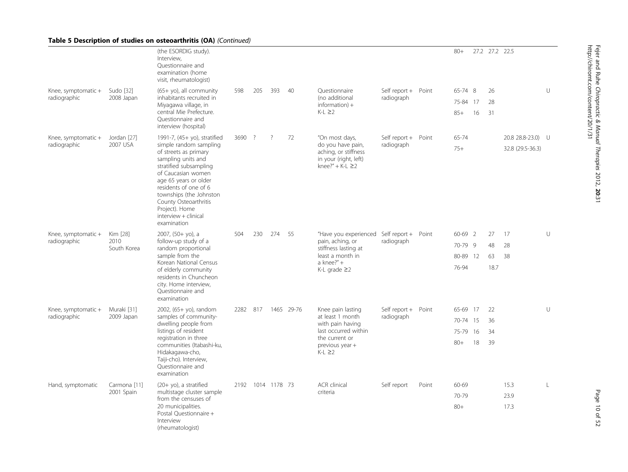|                                     |                  | (the ESORDIG study).<br>Interview,<br>Ouestionnaire and<br>examination (home<br>visit, rheumatologist)                                                                                                                                                                               |          |                   |                |            |                                                                                             |                               |       | $80 +$   |    | 27.2 27.2 22.5 |                   |             |
|-------------------------------------|------------------|--------------------------------------------------------------------------------------------------------------------------------------------------------------------------------------------------------------------------------------------------------------------------------------|----------|-------------------|----------------|------------|---------------------------------------------------------------------------------------------|-------------------------------|-------|----------|----|----------------|-------------------|-------------|
| Knee, symptomatic +                 | Sudo [32]        | $(65+$ yo), all community                                                                                                                                                                                                                                                            | 598      | 205               | 393            | 40         | Questionnaire                                                                               | Self report $+$               | Point | 65-74 8  |    | 26             |                   | $\cup$      |
| radiographic                        | 2008 Japan       | inhabitants recruited in<br>Miyagawa village, in                                                                                                                                                                                                                                     |          |                   |                |            | (no additional<br>$information) +$                                                          | radiograph                    |       | 75-84 17 |    | 28             |                   |             |
|                                     |                  | central Mie Prefecture.<br>Questionnaire and<br>interview (hospital)                                                                                                                                                                                                                 |          |                   |                |            | $K-L \geq 2$                                                                                |                               |       | $85+$    | 16 | 31             |                   |             |
| Knee, symptomatic +                 | Jordan [27]      | 1991-7, (45+ yo), stratified                                                                                                                                                                                                                                                         | 3690 ?   |                   | $\overline{?}$ | 72         | "On most days,                                                                              | Self report + Point           |       | 65-74    |    |                | 20.8 28.8-23.0) U |             |
| radiographic                        | 2007 USA         | simple random sampling<br>of streets as primary<br>sampling units and<br>stratified subsampling<br>of Caucasian women<br>age 65 years or older<br>residents of one of 6<br>townships (the Johnston<br>County Osteoarthritis<br>Project). Home<br>interview + clinical<br>examination |          |                   |                |            | do you have pain,<br>aching, or stiffness<br>in your (right, left)<br>knee?" + K-L $\geq$ 2 | radiograph                    |       | $75+$    |    |                | 32.8 (29.5-36.3)  |             |
| Knee, symptomatic +<br>radiographic | Kim [28]<br>2010 | 2007, (50+ yo), a<br>follow-up study of a                                                                                                                                                                                                                                            | 504      | 230               | 274            | 55         | "Have you experienced<br>pain, aching, or                                                   | Self report $+$<br>radiograph | Point | 60-69 2  |    | 27             | 17                | $\cup$      |
|                                     | South Korea      | random proportional                                                                                                                                                                                                                                                                  |          |                   |                |            | stiffness lasting at                                                                        |                               |       | 70-79 9  |    | 48             | 28                |             |
|                                     |                  | sample from the<br>Korean National Census                                                                                                                                                                                                                                            |          |                   |                |            | least a month in<br>a knee?" $+$                                                            |                               |       | 80-89 12 |    | 63             | 38                |             |
|                                     |                  | of elderly community<br>residents in Chuncheon<br>city. Home interview,<br>Questionnaire and<br>examination                                                                                                                                                                          |          |                   |                |            | K-L grade $\geq$ 2                                                                          |                               |       | 76-94    |    | 18.7           |                   |             |
| Knee, symptomatic +                 | Muraki [31]      | 2002, (65+ yo), random                                                                                                                                                                                                                                                               | 2282 817 |                   |                | 1465 29-76 | Knee pain lasting                                                                           | Self report $+$               | Point | 65-69 17 |    | 22             |                   | U           |
| radiographic                        | 2009 Japan       | samples of community-<br>dwelling people from                                                                                                                                                                                                                                        |          |                   |                |            | at least 1 month<br>with pain having                                                        | radiograph                    |       | 70-74 15 |    | 36             |                   |             |
|                                     |                  | listings of resident                                                                                                                                                                                                                                                                 |          |                   |                |            | last occurred within                                                                        |                               |       | 75-79    | 16 | 34             |                   |             |
|                                     |                  | registration in three<br>communities (Itabashi-ku,<br>Hidakagawa-cho,<br>Taiji-cho). Interview,<br>Questionnaire and<br>examination                                                                                                                                                  |          |                   |                |            | the current or<br>previous year +<br>$K-L \geq 2$                                           |                               |       | $80 +$   | 18 | 39             |                   |             |
| Hand, symptomatic                   | Carmona [11]     | (20+ yo), a stratified                                                                                                                                                                                                                                                               |          | 2192 1014 1178 73 |                |            | <b>ACR</b> clinical                                                                         | Self report                   | Point | 60-69    |    |                | 15.3              | $\mathsf L$ |
|                                     | 2001 Spain       | multistage cluster sample<br>from the censuses of                                                                                                                                                                                                                                    |          |                   |                |            | criteria                                                                                    |                               |       | 70-79    |    |                | 23.9              |             |
|                                     |                  | 20 municipalities.<br>Postal Questionnaire +<br>Interview<br>(rheumatologist)                                                                                                                                                                                                        |          |                   |                |            |                                                                                             |                               |       | $80+$    |    |                | 17.3              |             |

Page 10 of 52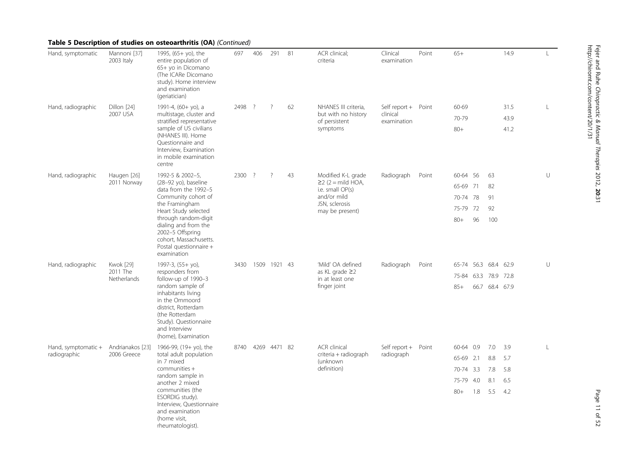| Hand, symptomatic                                  | Mannoni [37]<br>2003 Italy | 1995, (65+ yo), the<br>entire population of<br>65+ yo in Dicomano<br>(The ICARe Dicomano<br>study). Home interview<br>and examination<br>(geriatician)             | 697  | 406            | 291            | 81 | ACR clinical;<br>criteria                     | Clinical<br>examination     | Point | $65+$                |                |                | 14.9         | $\mathbf{L}$ |
|----------------------------------------------------|----------------------------|--------------------------------------------------------------------------------------------------------------------------------------------------------------------|------|----------------|----------------|----|-----------------------------------------------|-----------------------------|-------|----------------------|----------------|----------------|--------------|--------------|
| Hand, radiographic                                 | Dillon [24]<br>2007 USA    | 1991-4, (60+ yo), a<br>multistage, cluster and                                                                                                                     | 2498 | $\cdot$ ?      | $\overline{?}$ | 62 | NHANES III criteria,<br>but with no history   | Self report $+$<br>clinical | Point | 60-69                |                |                | 31.5         | L            |
|                                                    |                            | stratified representative<br>sample of US civilians<br>(NHANES III). Home<br>Questionnaire and<br>Interview, Examination<br>in mobile examination<br>centre        |      |                |                |    | of persistent<br>symptoms                     | examination                 |       | 70-79<br>$80+$       |                |                | 43.9<br>41.2 |              |
| Hand, radiographic                                 | Haugen [26]                | 1992-5 & 2002-5,                                                                                                                                                   | 2300 | $\overline{?}$ | $\overline{?}$ | 43 | Modified K-L grade<br>$\geq$ 2 (2 = mild HOA, | Radiograph                  | Point | 60-64 56             |                | 63             |              | $\cup$       |
|                                                    | 2011 Norway                | (28-92 yo), baseline<br>data from the 1992-5                                                                                                                       |      |                |                |    | i.e. small OP(s)                              |                             |       | 65-69 71             |                | 82             |              |              |
|                                                    |                            | Community cohort of<br>the Framingham                                                                                                                              |      |                |                |    | and/or mild<br>JSN, sclerosis                 |                             |       | 70-74 78             |                | 91             |              |              |
| Hand, radiographic<br><b>Kwok [29]</b><br>2011 The |                            | Heart Study selected                                                                                                                                               |      |                |                |    | may be present)                               |                             |       | 75-79 72             |                | 92             |              |              |
|                                                    |                            | through random-digit<br>dialing and from the<br>2002-5 Offspring<br>cohort, Massachusetts.<br>Postal questionnaire +<br>examination                                |      |                |                |    |                                               |                             |       | $80 +$               | 96             | 100            |              |              |
|                                                    |                            | 1997-3, (55+ yo),<br>responders from                                                                                                                               | 3430 |                | 1509 1921 43   |    | 'Mild' OA defined<br>as KL grade ≥2           | Radiograph                  | Point | 65-74 56.3 68.4 62.9 |                |                |              | $\cup$       |
|                                                    | Netherlands                | follow-up of 1990-3                                                                                                                                                |      |                |                |    | in at least one                               |                             |       | 75-84                | 63.3 78.9 72.8 |                |              |              |
|                                                    |                            | random sample of<br>inhabitants living<br>in the Ommoord<br>district, Rotterdam<br>(the Rotterdam<br>Study). Questionnaire<br>and Interview<br>(home), Examination |      |                |                |    | finger joint                                  |                             |       | $85+$                |                | 66.7 68.4 67.9 |              |              |
| Hand, symptomatic +                                | Andrianakos [23]           | 1966-99, (19+ yo), the                                                                                                                                             | 8740 |                | 4269 4471 82   |    | <b>ACR</b> clinical                           | Self report $+$             | Point | 60-64 0.9            |                | 7.0            | 3.9          | $\mathbf{L}$ |
| radiographic                                       | 2006 Greece                | total adult population<br>in 7 mixed                                                                                                                               |      |                |                |    | criteria + radiograph<br>(unknown             | radiograph                  |       | 65-69 2.1            |                | 8.8            | 5.7          |              |
|                                                    |                            | communities +<br>random sample in                                                                                                                                  |      |                |                |    | definition)                                   |                             |       | 70-74 3.3            |                | 7.8            | 5.8          |              |
|                                                    |                            | another 2 mixed                                                                                                                                                    |      |                |                |    |                                               |                             |       | 75-79                | 4.0            | 8.1            | 6.5          |              |
|                                                    |                            | communities (the<br>ESORDIG study).<br>Interview, Questionnaire<br>and examination<br>(home visit,<br>rheumatologist).                                             |      |                |                |    |                                               |                             |       | $80 +$               | 1.8            | 5.5            | 4.2          |              |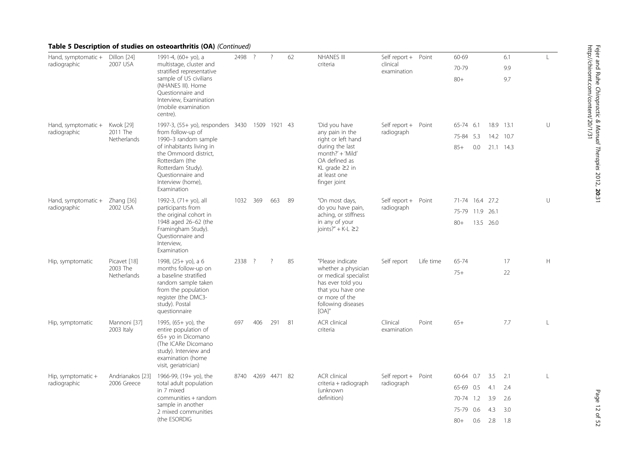# Fejer and Ruhe Chiropractic & Manual Therapies 2012, 20ن<br>آ http://chiromt.com/content/20/1/31

## Table 5 Description of studies on osteoarthritis (OA) (Continued)

| Dillon [24]<br>Hand, symptomatic +<br>2007 USA<br>radiographic | 1991-4, (60+ yo), a<br>multistage, cluster and | 2498                                                                                                                                                           | $\overline{?}$                                                   | $\overline{?}$          | 62           | <b>NHANES III</b><br>criteria | Self report + Point<br>clinical                                                                                                                                         |                               | 60-69<br>70-79 |                 |       | 6.1<br>9.9 | L         |        |
|----------------------------------------------------------------|------------------------------------------------|----------------------------------------------------------------------------------------------------------------------------------------------------------------|------------------------------------------------------------------|-------------------------|--------------|-------------------------------|-------------------------------------------------------------------------------------------------------------------------------------------------------------------------|-------------------------------|----------------|-----------------|-------|------------|-----------|--------|
|                                                                |                                                | stratified representative<br>sample of US civilians<br>(NHANES III). Home<br>Questionnaire and<br>Interview, Examination<br>(mobile examination<br>centre).    |                                                                  |                         |              |                               |                                                                                                                                                                         | examination                   |                | $80 +$          |       |            | 9.7       |        |
| Hand, symptomatic $+$<br>radiographic                          | <b>Kwok [29]</b><br>2011 The                   | 1997-3, (55+ yo), responders 3430<br>from follow-up of                                                                                                         |                                                                  |                         | 1509 1921 43 |                               | 'Did you have<br>any pain in the                                                                                                                                        | Self report $+$<br>radiograph | Point          | 65-74           | 6.1   | 18.9       | 13.1      | $\cup$ |
|                                                                | Netherlands                                    | 1990-3 random sample                                                                                                                                           |                                                                  |                         |              |                               | right or left hand                                                                                                                                                      |                               |                | 75-84           | - 5.3 |            | 14.2 10.7 |        |
|                                                                |                                                | of inhabitants living in<br>the Ommoord district,<br>Rotterdam (the<br>Rotterdam Study).<br>Questionnaire and<br>Interview (home),<br>Examination              |                                                                  |                         |              |                               | during the last<br>month?' + 'Mild'<br>OA defined as<br>KL grade $≥2$ in<br>at least one<br>finger joint<br>"On most days,<br>do you have pain,<br>aching, or stiffness |                               |                | $85+$           | 0.0   |            | 21.1 14.3 |        |
| Hand, symptomatic $+$<br>radiographic                          | Zhang [36]<br>2002 USA                         | 1992-3, (71+ yo), all<br>participants from                                                                                                                     | 1032                                                             | 369                     | 663          | 89                            |                                                                                                                                                                         | Self report $+$<br>radiograph | Point          | 71-74 16.4 27.2 |       |            |           | U      |
|                                                                |                                                | the original cohort in                                                                                                                                         |                                                                  |                         |              |                               |                                                                                                                                                                         |                               |                | 75-79           | 11.9  | 26.1       |           |        |
|                                                                |                                                | 1948 aged 26-62 (the<br>Framingham Study).<br>Questionnaire and<br>Interview,<br>Examination                                                                   | in any of your<br>2338<br>$\overline{?}$<br>$\overline{?}$<br>85 | joints?" + K-L $\geq$ 2 |              |                               | $80 +$                                                                                                                                                                  | 13.5 26.0                     |                |                 |       |            |           |        |
| Hip, symptomatic                                               | Picavet [18]<br>2003 The                       | 1998, (25+ yo), a 6<br>months follow-up on                                                                                                                     |                                                                  |                         |              |                               | "Please indicate                                                                                                                                                        | Self report                   | Life time      | 65-74           |       |            | 17        | H      |
|                                                                | Netherlands                                    | a baseline stratified<br>random sample taken<br>from the population<br>register (the DMC3-<br>study). Postal<br>questionnaire                                  |                                                                  |                         |              |                               | whether a physician<br>or medical specialist<br>has ever told you<br>that you have one<br>or more of the<br>following diseases<br>[OA]''                                |                               |                | $75+$           |       |            | 22        |        |
| Hip, symptomatic                                               | Mannoni [37]<br>2003 Italy                     | 1995, (65+ yo), the<br>entire population of<br>65+ yo in Dicomano<br>(The ICARe Dicomano<br>study). Interview and<br>examination (home<br>visit, geriatrician) | 697                                                              | 406                     | 291          | 81                            | <b>ACR</b> clinical<br>criteria                                                                                                                                         | Clinical<br>examination       | Point          | $65+$           |       |            | 7.7       | L      |
| Hip, symptomatic +                                             | Andrianakos [23]                               | 1966-99, (19+ yo), the                                                                                                                                         | 8740                                                             |                         | 4269 4471 82 |                               | <b>ACR</b> clinical                                                                                                                                                     | Self report $+$               | Point          | 60-64           | 0.7   | 3.5        | 2.1       | L      |
| radiographic                                                   | 2006 Greece                                    | total adult population<br>in 7 mixed                                                                                                                           |                                                                  |                         |              |                               | criteria + radiograph<br>(unknown                                                                                                                                       | radiograph                    |                | 65-69           | 0.5   | -4.1       | 2.4       |        |
|                                                                |                                                | communities + random<br>sample in another                                                                                                                      |                                                                  |                         |              |                               | definition)                                                                                                                                                             |                               |                | $70 - 74$       | 1.2   | 3.9        | 2.6       |        |
|                                                                |                                                | 2 mixed communities                                                                                                                                            |                                                                  |                         |              |                               |                                                                                                                                                                         |                               |                | 75-79           | 0.6   | 4.3        | 3.0       |        |
|                                                                |                                                | (the ESORDIG                                                                                                                                                   |                                                                  |                         |              |                               |                                                                                                                                                                         |                               |                | $80+$           | 0.6   | 2.8        | 1.8       |        |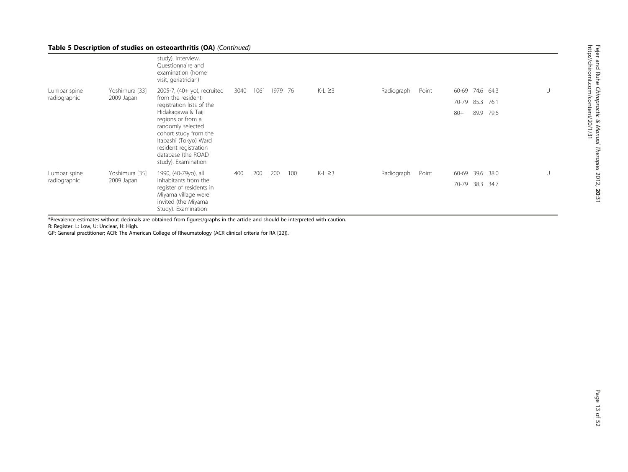|                              |                              | study). Interview,<br>Questionnaire and<br>examination (home<br>visit, geriatrician)                                                                                                                              |      |      |         |     |              |            |       |                |                   |      |   |
|------------------------------|------------------------------|-------------------------------------------------------------------------------------------------------------------------------------------------------------------------------------------------------------------|------|------|---------|-----|--------------|------------|-------|----------------|-------------------|------|---|
| Lumbar spine<br>radiographic | Yoshimura [33]<br>2009 Japan | 2005-7, (40+ yo), recruited<br>from the resident-                                                                                                                                                                 | 3040 | 1061 | 1979 76 |     | $K-L \geq 3$ | Radiograph | Point | 60-69<br>70-79 | 74.6 64.3<br>85.3 | 76.1 | U |
|                              |                              | registration lists of the<br>Hidakagawa & Taiji<br>regions or from a<br>randomly selected<br>cohort study from the<br>Itabashi (Tokyo) Ward<br>resident registration<br>database (the ROAD<br>study). Examination |      |      |         |     |              |            |       | $80+$          | 89.9              | 79.6 |   |
| Lumbar spine<br>radiographic | Yoshimura [35]<br>2009 Japan | 1990, (40-79yo), all<br>inhabitants from the                                                                                                                                                                      | 400  | 200  | 200     | 100 | $K-L \geq 3$ | Radiograph | Point | 60-69          | 39.6              | 38.0 | U |
|                              |                              | register of residents in<br>Miyama village were<br>invited (the Miyama<br>Study). Examination                                                                                                                     |      |      |         |     |              |            |       | 70-79          | 38.3              | 34.7 |   |

\*Prevalence estimates without decimals are obtained from figures/graphs in the article and should be interpreted with caution.

R: Register. L: Low, U: Unclear, H: High.

GP: General practitioner; ACR: The American College of Rheumatology (ACR clinical criteria for RA [\[22](#page-49-0)]).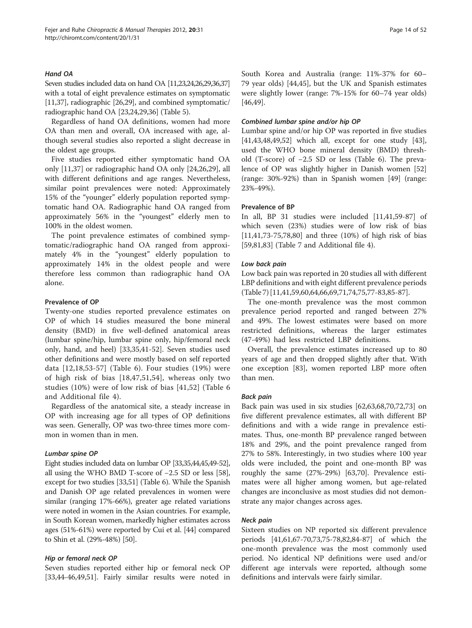#### Hand OA

Seven studies included data on hand OA [\[11,23,24,26,29](#page-49-0)[,36,37](#page-50-0)] with a total of eight prevalence estimates on symptomatic [[11](#page-49-0)[,37](#page-50-0)], radiographic [\[26,29\]](#page-49-0), and combined symptomatic/ radiographic hand OA [\[23,24,29](#page-49-0)[,36](#page-50-0)] (Table [5](#page-7-0)).

Regardless of hand OA definitions, women had more OA than men and overall, OA increased with age, although several studies also reported a slight decrease in the oldest age groups.

Five studies reported either symptomatic hand OA only [\[11](#page-49-0)[,37](#page-50-0)] or radiographic hand OA only [[24,26,29\]](#page-49-0), all with different definitions and age ranges. Nevertheless, similar point prevalences were noted: Approximately 15% of the "younger" elderly population reported symptomatic hand OA. Radiographic hand OA ranged from approximately 56% in the "youngest" elderly men to 100% in the oldest women.

The point prevalence estimates of combined symptomatic/radiographic hand OA ranged from approximately 4% in the "youngest" elderly population to approximately 14% in the oldest people and were therefore less common than radiographic hand OA alone.

#### Prevalence of OP

Twenty-one studies reported prevalence estimates on OP of which 14 studies measured the bone mineral density (BMD) in five well-defined anatomical areas (lumbar spine/hip, lumbar spine only, hip/femoral neck only, hand, and heel) [\[33,35,41-52](#page-50-0)]. Seven studies used other definitions and were mostly based on self reported data [[12](#page-49-0),[18,](#page-49-0)[53](#page-50-0)-[57](#page-50-0)] (Table [6\)](#page-14-0). Four studies (19%) were of high risk of bias [[18](#page-49-0)[,47](#page-50-0),[51,54\]](#page-50-0), whereas only two studies (10%) were of low risk of bias [[41](#page-50-0),[52\]](#page-50-0) (Table [6](#page-14-0) and Additional file [4](#page-49-0)).

Regardless of the anatomical site, a steady increase in OP with increasing age for all types of OP definitions was seen. Generally, OP was two-three times more common in women than in men.

#### Lumbar spine OP

Eight studies included data on lumbar OP [[33,35,44,45,49-52\]](#page-50-0), all using the WHO BMD T-score of −2.5 SD or less [[58](#page-50-0)], except for two studies [\[33,51](#page-50-0)] (Table [6](#page-14-0)). While the Spanish and Danish OP age related prevalences in women were similar (ranging 17%-66%), greater age related variations were noted in women in the Asian countries. For example, in South Korean women, markedly higher estimates across ages (51%-61%) were reported by Cui et al. [\[44\]](#page-50-0) compared to Shin et al. (29%-48%) [[50](#page-50-0)].

## Hip or femoral neck OP

Seven studies reported either hip or femoral neck OP [[33,44-46,49,51\]](#page-50-0). Fairly similar results were noted in South Korea and Australia (range: 11%-37% for 60– 79 year olds) [\[44,45](#page-50-0)], but the UK and Spanish estimates were slightly lower (range: 7%-15% for 60–74 year olds) [[46,49\]](#page-50-0).

#### Combined lumbar spine and/or hip OP

Lumbar spine and/or hip OP was reported in five studies [[41,43,48,49,52\]](#page-50-0) which all, except for one study [\[43](#page-50-0)], used the WHO bone mineral density (BMD) threshold (T-score) of −2.5 SD or less (Table [6](#page-14-0)). The prevalence of OP was slightly higher in Danish women [[52](#page-50-0)] (range: 30%-92%) than in Spanish women [[49\]](#page-50-0) (range: 23%-49%).

#### Prevalence of BP

In all, BP 31 studies were included [\[11](#page-49-0)[,41,59](#page-50-0)-[87](#page-51-0)] of which seven (23%) studies were of low risk of bias [[11,](#page-49-0)[41,](#page-50-0)[73-75,78,80\]](#page-51-0) and three (10%) of high risk of bias [[59,](#page-50-0)[81,83\]](#page-51-0) (Table [7](#page-21-0) and Additional file [4](#page-49-0)).

#### Low back pain

Low back pain was reported in 20 studies all with different LBP definitions and with eight different prevalence periods (Table [7](#page-21-0)) [[11,](#page-49-0)[41,59,60,64,66,69](#page-50-0),[71](#page-50-0),[74](#page-51-0),[75](#page-51-0),[77](#page-51-0)-[83,85-87](#page-51-0)].

The one-month prevalence was the most common prevalence period reported and ranged between 27% and 49%. The lowest estimates were based on more restricted definitions, whereas the larger estimates (47-49%) had less restricted LBP definitions.

Overall, the prevalence estimates increased up to 80 years of age and then dropped slightly after that. With one exception [[83\]](#page-51-0), women reported LBP more often than men.

#### Back pain

Back pain was used in six studies [[62](#page-50-0),[63](#page-50-0),[68](#page-50-0),[70,72](#page-50-0)[,73](#page-51-0)] on five different prevalence estimates, all with different BP definitions and with a wide range in prevalence estimates. Thus, one-month BP prevalence ranged between 18% and 29%, and the point prevalence ranged from 27% to 58%. Interestingly, in two studies where 100 year olds were included, the point and one-month BP was roughly the same (27%-29%) [[63,70\]](#page-50-0). Prevalence estimates were all higher among women, but age-related changes are inconclusive as most studies did not demonstrate any major changes across ages.

#### Neck pain

Sixteen studies on NP reported six different prevalence periods [\[41,61,67](#page-50-0)-[70,](#page-50-0)[73,75-78,82,84-87](#page-51-0)] of which the one-month prevalence was the most commonly used period. No identical NP definitions were used and/or different age intervals were reported, although some definitions and intervals were fairly similar.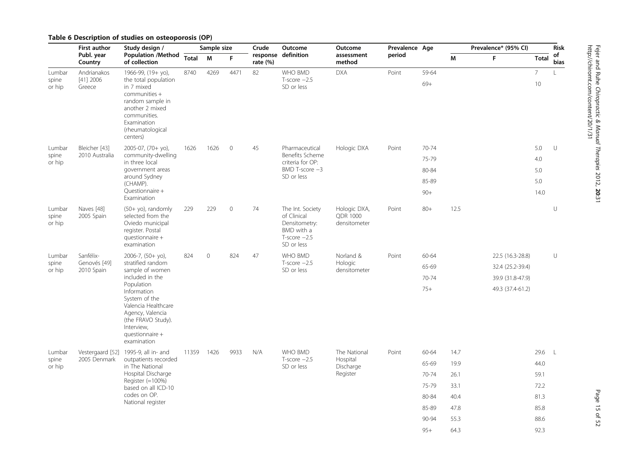## <span id="page-14-0"></span>Table 6 Description of studies on osteoporosis (OP)

|                           | <b>First author</b>                     | Study design /                                                                                                                                                                                                                              |              | Sample size |         | Crude      | Outcome                                                                                        | Outcome                                           | Prevalence Age |                                                                      |                                                              | Prevalence* (95% CI)                                                         |                                                              | <b>Risk</b>       |
|---------------------------|-----------------------------------------|---------------------------------------------------------------------------------------------------------------------------------------------------------------------------------------------------------------------------------------------|--------------|-------------|---------|------------|------------------------------------------------------------------------------------------------|---------------------------------------------------|----------------|----------------------------------------------------------------------|--------------------------------------------------------------|------------------------------------------------------------------------------|--------------------------------------------------------------|-------------------|
|                           | Publ. year<br>Country                   | <b>Population /Method</b><br>of collection                                                                                                                                                                                                  | <b>Total</b> | M           | F       | rate $(%)$ | response definition                                                                            | assessment<br>method                              | period         |                                                                      | M                                                            | F.                                                                           | <b>Total</b>                                                 | of<br><b>bias</b> |
| Lumbar<br>spine<br>or hip | Andrianakos<br>$[41]$ 2006<br>Greece    | 1966-99, (19+ yo),<br>the total population<br>in 7 mixed<br>communities +<br>random sample in<br>another 2 mixed<br>communities.<br>Examination<br>(rheumatological<br>centers)                                                             | 8740         | 4269        | 4471    | 82         | WHO BMD<br>$T-score -2.5$<br>SD or less                                                        | <b>DXA</b>                                        | Point          | 59-64<br>$69+$                                                       |                                                              |                                                                              | 7 <sup>1</sup><br>10                                         | $\mathbf{L}$      |
| Lumbar<br>spine<br>or hip | Bleicher [43]<br>2010 Australia         | 2005-07, (70+ yo),<br>community-dwelling<br>in three local<br>government areas<br>around Sydney<br>(CHAMP).<br>Questionnaire +<br>Examination                                                                                               | 1626         | 1626        | $\circ$ | 45         | Pharmaceutical<br>Benefits Scheme<br>criteria for OP:<br>$BMD$ T-score $-3$<br>SD or less      | Hologic DXA                                       | Point          | 70-74<br>75-79<br>80-84<br>85-89<br>$90+$                            |                                                              |                                                                              | 5.0<br>4.0<br>5.0<br>5.0<br>14.0                             | $\cup$            |
| Lumbar<br>spine<br>or hip | Naves [48]<br>2005 Spain                | (50+ yo), randomly<br>selected from the<br>Oviedo municipal<br>register. Postal<br>questionnaire +<br>examination                                                                                                                           | 229          | 229         | $\circ$ | 74         | The Int. Society<br>of Clinical<br>Densitometry:<br>BMD with a<br>$T-score -2.5$<br>SD or less | Hologic DXA,<br>QDR 1000<br>densitometer          | Point          | $80 +$                                                               | 12.5                                                         |                                                                              |                                                              | $\cup$            |
| Lumbar<br>spine<br>or hip | Sanfélix-<br>Genovés [49]<br>2010 Spain | 2006-7, (50+ yo),<br>stratified random<br>sample of women<br>included in the<br>Population<br>Information<br>System of the<br>Valencia Healthcare<br>Agency, Valencia<br>(the FRAVO Study).<br>Interview,<br>questionnaire +<br>examination | 824          | $\mathbb O$ | 824     | 47         | WHO BMD<br>$T-score -2.5$<br>SD or less                                                        | Norland &<br>Hologic<br>densitometer              | Point          | 60-64<br>65-69<br>70-74<br>$75+$                                     |                                                              | 22.5 (16.3-28.8)<br>32.4 (25.2-39.4)<br>39.9 (31.8-47.9)<br>49.3 (37.4-61.2) |                                                              | $\cup$            |
| Lumbar<br>spine<br>or hip | 2005 Denmark                            | Vestergaard [52] 1995-9, all in- and<br>outpatients recorded<br>in The National<br>Hospital Discharge<br>Register (=100%)<br>based on all ICD-10<br>codes on OP.<br>National register                                                       | 11359        | 1426        | 9933    | N/A        | WHO BMD<br>$T-score -2.5$<br>SD or less                                                        | The National<br>Hospital<br>Discharge<br>Register | Point          | 60-64<br>65-69<br>70-74<br>75-79<br>80-84<br>85-89<br>90-94<br>$95+$ | 14.7<br>19.9<br>26.1<br>33.1<br>40.4<br>47.8<br>55.3<br>64.3 |                                                                              | 29.6<br>44.0<br>59.1<br>72.2<br>81.3<br>85.8<br>88.6<br>92.3 | $\Box$            |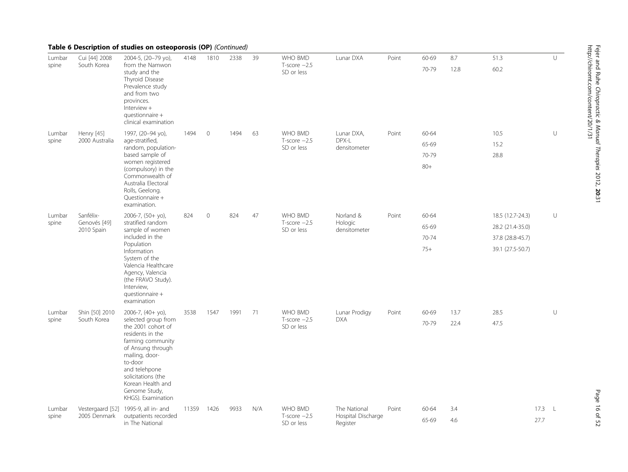| Lumbar<br>spine | Cui [44] 2008<br>South Korea  | 2004-5, (20-79 yo),<br>from the Namwon                                                                                                                                                                           | 4148  | 1810           | 2338 | 39  | WHO BMD<br>$T-score -2.5$    | Lunar DXA                      | Point | 60-69  | 8.7  | 51.3             |      | $\cup$ |
|-----------------|-------------------------------|------------------------------------------------------------------------------------------------------------------------------------------------------------------------------------------------------------------|-------|----------------|------|-----|------------------------------|--------------------------------|-------|--------|------|------------------|------|--------|
|                 |                               | study and the<br>Thyroid Disease<br>Prevalence study<br>and from two<br>provinces.<br>Interview +<br>questionnaire +<br>clinical examination                                                                     |       |                |      |     | SD or less                   |                                |       | 70-79  | 12.8 | 60.2             |      |        |
| Lumbar<br>spine | Henry [45]<br>2000 Australia  | 1997, (20-94 yo),<br>age-stratified,                                                                                                                                                                             | 1494  | $\overline{0}$ | 1494 | 63  | WHO BMD<br>$T-score -2.5$    | Lunar DXA,<br>DPX-L            | Point | 60-64  |      | 10.5             |      | U      |
|                 |                               | random, population-                                                                                                                                                                                              |       |                |      |     | SD or less                   | densitometer                   |       | 65-69  |      | 15.2             |      |        |
|                 |                               | based sample of<br>women registered                                                                                                                                                                              |       |                |      |     |                              |                                |       | 70-79  |      | 28.8             |      |        |
|                 |                               | (compulsory) in the<br>Commonwealth of<br>Australia Electoral<br>Rolls, Geelong.<br>Questionnaire +<br>examination.                                                                                              |       |                |      |     |                              |                                |       | $80 +$ |      |                  |      |        |
| Lumbar          | Sanfélix-                     | 2006-7, (50+ yo),                                                                                                                                                                                                | 824   | $\Omega$       | 824  | 47  | WHO BMD                      | Norland &                      | Point | 60-64  |      | 18.5 (12.7-24.3) |      | $\cup$ |
| spine           | Genovés [49]<br>2010 Spain    | stratified random<br>sample of women                                                                                                                                                                             |       |                |      |     | $T-score -2.5$<br>SD or less | Hologic<br>densitometer        |       | 65-69  |      | 28.2 (21.4-35.0) |      |        |
|                 |                               | included in the<br>Population                                                                                                                                                                                    |       |                |      |     |                              |                                |       | 70-74  |      | 37.8 (28.8-45.7) |      |        |
|                 |                               | Information<br>System of the<br>Valencia Healthcare<br>Agency, Valencia<br>(the FRAVO Study).<br>Interview,<br>questionnaire +<br>examination                                                                    |       |                |      |     |                              |                                |       | $75+$  |      | 39.1 (27.5-50.7) |      |        |
| Lumbar          | Shin [50] 2010<br>South Korea | $2006 - 7$ , $(40 + y0)$ ,<br>selected group from                                                                                                                                                                | 3538  | 1547           | 1991 | 71  | WHO BMD<br>$T-score -2.5$    | Lunar Prodigy<br><b>DXA</b>    | Point | 60-69  | 13.7 | 28.5             |      | U      |
| spine           |                               | the 2001 cohort of<br>residents in the<br>farming community<br>of Ansung through<br>mailing, door-<br>to-door<br>and telehpone<br>solicitations (the<br>Korean Health and<br>Genome Study,<br>KHGS). Examination |       |                |      |     | SD or less                   |                                |       | 70-79  | 22.4 | 47.5             |      |        |
| Lumbar          |                               | Vestergaard [52] 1995-9, all in- and                                                                                                                                                                             | 11359 | 1426           | 9933 | N/A | WHO BMD                      | The National                   | Point | 60-64  | 3.4  |                  | 17.3 | $\Box$ |
| spine           | 2005 Denmark                  | outpatients recorded<br>in The National                                                                                                                                                                          |       |                |      |     | $T-score -2.5$<br>SD or less | Hospital Discharge<br>Register |       | 65-69  | 4.6  |                  | 27.7 |        |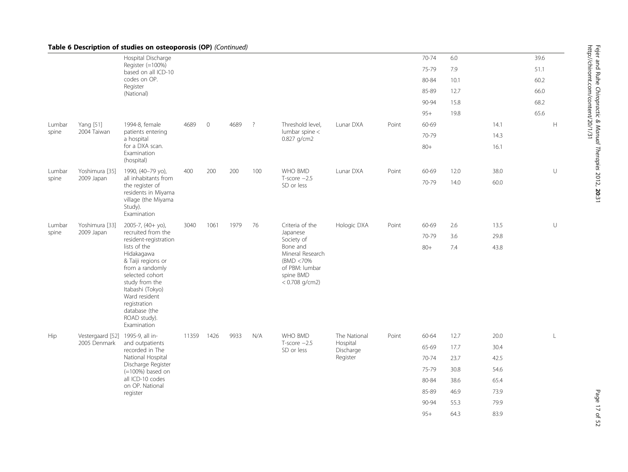|        |                                  | Table 6 Description of studies on osteoporosis (OP) (Continued)                                                                                                                               |       |              |      |           |                                                                                  |                       |       |        |         |      |      |        |
|--------|----------------------------------|-----------------------------------------------------------------------------------------------------------------------------------------------------------------------------------------------|-------|--------------|------|-----------|----------------------------------------------------------------------------------|-----------------------|-------|--------|---------|------|------|--------|
|        |                                  | Hospital Discharge                                                                                                                                                                            |       |              |      |           |                                                                                  |                       |       | 70-74  | $6.0\,$ |      | 39.6 |        |
|        |                                  | Register (=100%)<br>based on all ICD-10                                                                                                                                                       |       |              |      |           |                                                                                  |                       |       | 75-79  | 7.9     |      | 51.1 |        |
|        |                                  | codes on OP.                                                                                                                                                                                  |       |              |      |           |                                                                                  |                       |       | 80-84  | 10.1    |      | 60.2 |        |
|        |                                  | Register<br>(National)                                                                                                                                                                        |       |              |      |           |                                                                                  |                       |       | 85-89  | 12.7    |      | 66.0 |        |
|        |                                  |                                                                                                                                                                                               |       |              |      |           |                                                                                  |                       |       | 90-94  | 15.8    |      | 68.2 |        |
|        |                                  |                                                                                                                                                                                               |       |              |      |           |                                                                                  |                       |       | $95+$  | 19.8    |      | 65.6 |        |
| Lumbar | Yang [51]                        | 1994-8, female                                                                                                                                                                                | 4689  | $\mathbf{0}$ | 4689 | $\cdot$ ? | Threshold level,                                                                 | Lunar DXA             | Point | 60-69  |         | 14.1 |      | H      |
| spine  | 2004 Taiwan                      | patients entering<br>a hospital                                                                                                                                                               |       |              |      |           | lumbar spine $<$<br>0.827 g/cm2                                                  |                       |       | 70-79  |         | 14.3 |      |        |
|        |                                  | for a DXA scan.                                                                                                                                                                               |       |              |      |           |                                                                                  |                       |       | $80 +$ |         | 16.1 |      |        |
|        |                                  | Examination<br>(hospital)                                                                                                                                                                     |       |              |      |           |                                                                                  |                       |       |        |         |      |      |        |
| Lumbar | Yoshimura [35]                   | 1990, (40-79 yo),                                                                                                                                                                             | 400   | 200          | 200  | 100       | WHO BMD                                                                          | Lunar DXA             | Point | 60-69  | 12.0    | 38.0 |      | $\cup$ |
| spine  | 2009 Japan                       | all inhabitants from                                                                                                                                                                          |       |              |      |           | $T-score -2.5$                                                                   |                       |       | 70-79  | 14.0    | 60.0 |      |        |
|        |                                  | the register of<br>residents in Miyama<br>village (the Miyama<br>Study).<br>Examination                                                                                                       |       |              |      |           | SD or less                                                                       |                       |       |        |         |      |      |        |
| Lumbar | Yoshimura [33]                   | 2005-7, (40+ yo),                                                                                                                                                                             | 3040  | 1061         | 1979 | 76        | Criteria of the                                                                  | Hologic DXA           | Point | 60-69  | 2.6     | 13.5 |      | U      |
| spine  | 2009 Japan                       | recruited from the                                                                                                                                                                            |       |              |      |           | Japanese                                                                         |                       |       | 70-79  | 3.6     | 29.8 |      |        |
|        |                                  | resident-registration<br>lists of the                                                                                                                                                         |       |              |      |           | Society of<br>Bone and                                                           |                       |       | $80 +$ | 7.4     | 43.8 |      |        |
|        |                                  | Hidakagawa<br>& Taiji regions or<br>from a randomly<br>selected cohort<br>study from the<br>Itabashi (Tokyo)<br>Ward resident<br>registration<br>database (the<br>ROAD study).<br>Examination |       |              |      |           | Mineral Research<br>(BMD <70%<br>of PBM: lumbar<br>spine BMD<br>$< 0.708$ g/cm2) |                       |       |        |         |      |      |        |
| Hip    | Vestergaard [52] 1995-9, all in- |                                                                                                                                                                                               | 11359 | 1426         | 9933 | N/A       | WHO BMD                                                                          | The National          | Point | 60-64  | 12.7    | 20.0 |      | L      |
|        | 2005 Denmark                     | and outpatients<br>recorded in The                                                                                                                                                            |       |              |      |           | $T-score -2.5$<br>SD or less                                                     | Hospital<br>Discharge |       | 65-69  | 17.7    | 30.4 |      |        |
|        |                                  | National Hospital                                                                                                                                                                             |       |              |      |           |                                                                                  | Register              |       | 70-74  | 23.7    | 42.5 |      |        |
|        |                                  | Discharge Register<br>$(=100\%)$ based on                                                                                                                                                     |       |              |      |           |                                                                                  |                       |       | 75-79  | 30.8    | 54.6 |      |        |
|        |                                  | all ICD-10 codes                                                                                                                                                                              |       |              |      |           |                                                                                  |                       |       | 80-84  | 38.6    | 65.4 |      |        |
|        |                                  | on OP. National<br>register                                                                                                                                                                   |       |              |      |           |                                                                                  |                       |       | 85-89  | 46.9    | 73.9 |      |        |
|        |                                  |                                                                                                                                                                                               |       |              |      |           |                                                                                  |                       |       | 90-94  | 55.3    | 79.9 |      |        |
|        |                                  |                                                                                                                                                                                               |       |              |      |           |                                                                                  |                       |       | $95+$  | 64.3    | 83.9 |      |        |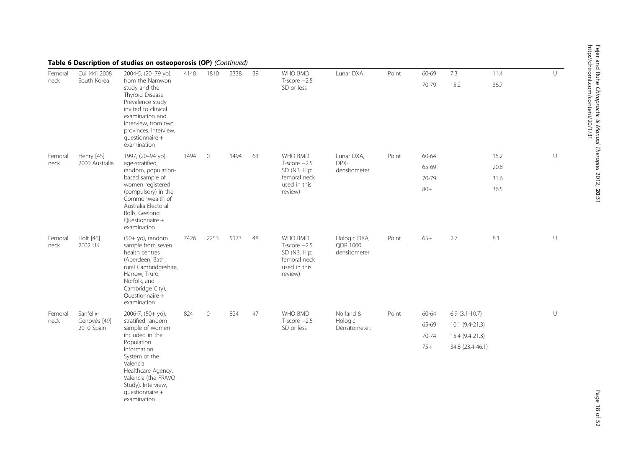| Femoral         | Cui [44] 2008              | 2004-5, (20-79 yo),                                                                                                                                                                                 | 4148 | 1810           | 2338 | 39 | <b>WHO BMD</b>                                                                       | Lunar DXA                                       | Point | 60-69  | 7.3              | 11.4 | $\cup$ |
|-----------------|----------------------------|-----------------------------------------------------------------------------------------------------------------------------------------------------------------------------------------------------|------|----------------|------|----|--------------------------------------------------------------------------------------|-------------------------------------------------|-------|--------|------------------|------|--------|
| neck            | South Korea                | from the Namwon<br>study and the<br>Thyroid Disease<br>Prevalence study<br>invited to clinical<br>examination and<br>interview, from two<br>provinces. Interview,<br>questionnaire +<br>examination |      |                |      |    | $T-score -2.5$<br>SD or less                                                         |                                                 |       | 70-79  | 15.2             | 36.7 |        |
| Femoral         | Henry [45]                 | 1997, (20-94 yo),                                                                                                                                                                                   | 1494 | $\overline{0}$ | 1494 | 63 | WHO BMD                                                                              | Lunar DXA,                                      | Point | 60-64  |                  | 15.2 | $\cup$ |
| neck            | 2000 Australia             | age-stratified,<br>random, population-                                                                                                                                                              |      |                |      |    | $T-score -2.5$<br>SD (NB. Hip:                                                       | DPX-L<br>densitometer                           |       | 65-69  |                  | 20.8 |        |
|                 |                            | based sample of<br>women registered                                                                                                                                                                 |      |                |      |    | femoral neck<br>used in this                                                         |                                                 |       | 70-79  |                  | 31.6 |        |
|                 |                            | (compulsory) in the<br>Commonwealth of<br>Australia Electoral<br>Rolls, Geelong.<br>Questionnaire +<br>examination                                                                                  |      |                |      |    | review)                                                                              |                                                 |       | $80 +$ |                  | 36.5 |        |
| Femoral<br>neck | Holt [46]<br>2002 UK       | $(50 + yo)$ , random<br>sample from seven<br>health centres<br>(Aberdeen, Bath,<br>rural Cambridgeshire,<br>Harrow, Truro,<br>Norfolk, and<br>Cambridge City).<br>Questionnaire +<br>examination    | 7426 | 2253           | 5173 | 48 | WHO BMD<br>$T-score -2.5$<br>SD (NB. Hip:<br>femoral neck<br>used in this<br>review) | Hologic DXA,<br><b>ODR 1000</b><br>densitometer | Point | $65+$  | 2.7              | 8.1  | $\cup$ |
| Femoral         | Sanfélix-                  | 2006-7, (50+ yo),                                                                                                                                                                                   | 824  | $\mathbf 0$    | 824  | 47 | WHO BMD                                                                              | Norland &                                       | Point | 60-64  | $6.9(3.1-10.7)$  |      | $\cup$ |
| neck            | Genovés [49]<br>2010 Spain | stratified random<br>sample of women                                                                                                                                                                |      |                |      |    | $T-score -2.5$<br>SD or less                                                         | Hologic<br>Densitometer.                        |       | 65-69  | 10.1 (9.4-21.3)  |      |        |
|                 |                            | included in the<br>Population                                                                                                                                                                       |      |                |      |    |                                                                                      |                                                 |       | 70-74  | 15.4 (9.4-21.3)  |      |        |
|                 |                            | Information<br>System of the<br>Valencia<br>Healthcare Agency,<br>Valencia (the FRAVO<br>Study). Interview,<br>questionnaire +<br>examination                                                       |      |                |      |    |                                                                                      |                                                 |       | $75+$  | 34.8 (23.4-46.1) |      |        |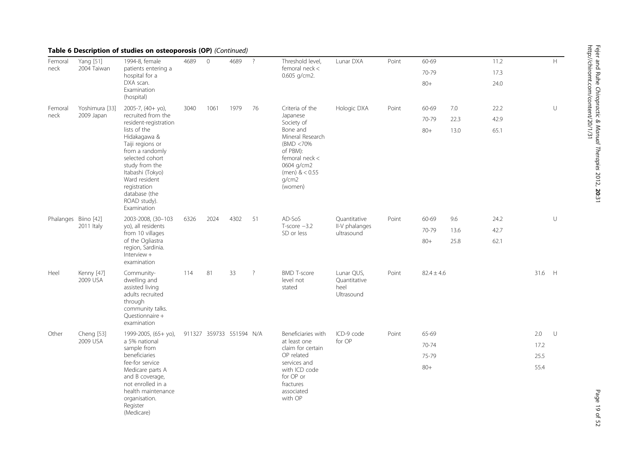|  |  |  | Table 6 Description of studies on osteoporosis (OP) (Continued) |  |  |
|--|--|--|-----------------------------------------------------------------|--|--|
|--|--|--|-----------------------------------------------------------------|--|--|

| Femoral | Yang [51]              | 1994-8, female                                                                                                                                                                                                | 4689 | $\circ$                  | 4689 | $\overline{?}$ | Threshold level,                                                                                                              | Lunar DXA                                        | Point | 60-69          |      | 11.2 |        | $\mathsf{H}% _{\mathsf{H}}^{\ast}(\mathcal{M}_{0})$ |
|---------|------------------------|---------------------------------------------------------------------------------------------------------------------------------------------------------------------------------------------------------------|------|--------------------------|------|----------------|-------------------------------------------------------------------------------------------------------------------------------|--------------------------------------------------|-------|----------------|------|------|--------|-----------------------------------------------------|
| neck    | 2004 Taiwan            | patients entering a<br>hospital for a                                                                                                                                                                         |      |                          |      |                | femoral neck $<$<br>0.605 g/cm2.                                                                                              |                                                  |       | 70-79          |      | 17.3 |        |                                                     |
|         |                        | DXA scan.<br>Examination<br>(hospital)                                                                                                                                                                        |      |                          |      |                |                                                                                                                               |                                                  |       | $80 +$         |      | 24.0 |        |                                                     |
| Femoral | Yoshimura [33]         | 2005-7, (40+ yo),                                                                                                                                                                                             | 3040 | 1061                     | 1979 | 76             | Criteria of the                                                                                                               | Hologic DXA                                      | Point | 60-69          | 7.0  | 22.2 |        | $\cup$                                              |
| neck    | 2009 Japan             | recruited from the<br>resident-registration                                                                                                                                                                   |      |                          |      |                | Japanese<br>Society of                                                                                                        |                                                  |       | 70-79          | 22.3 | 42.9 |        |                                                     |
|         |                        | lists of the<br>Hidakagawa &<br>Taiji regions or<br>from a randomly<br>selected cohort<br>study from the<br>Itabashi (Tokyo)<br>Ward resident<br>registration<br>database (the<br>ROAD study).<br>Examination |      |                          |      |                | Bone and<br>Mineral Research<br>(BMD <70%<br>of PBM):<br>femoral neck $<$<br>0604 g/cm2<br>(men) $< 0.55$<br>q/cm2<br>(women) |                                                  |       | $80 +$         | 13.0 | 65.1 |        |                                                     |
|         | Phalanges Biino [42]   | 2003-2008, (30-103                                                                                                                                                                                            | 6326 | 2024                     | 4302 | 51             | AD-SoS                                                                                                                        | Ouantitative                                     | Point | 60-69          | 9.6  | 24.2 |        | U                                                   |
|         | 2011 Italy             | vo), all residents<br>from 10 villages                                                                                                                                                                        |      |                          |      |                | $T-score -3.2$<br>SD or less                                                                                                  | II-V phalanges<br>ultrasound                     |       | 70-79          | 13.6 | 42.7 |        |                                                     |
|         |                        | of the Ogliastra<br>region, Sardinia.<br>Interview +<br>examination                                                                                                                                           |      |                          |      |                |                                                                                                                               |                                                  |       | $80 +$         | 25.8 | 62.1 |        |                                                     |
| Heel    | Kenny [47]<br>2009 USA | Community-<br>dwelling and<br>assisted living<br>adults recruited<br>through<br>community talks.<br>Questionnaire +<br>examination                                                                            | 114  | 81                       | 33   | $\overline{?}$ | <b>BMD T-score</b><br>level not<br>stated                                                                                     | Lunar QUS,<br>Quantitative<br>heel<br>Ultrasound | Point | $82.4 \pm 4.6$ |      |      | 31.6 H |                                                     |
| Other   | Cheng [53]             | 1999-2005, (65+ yo),                                                                                                                                                                                          |      | 911327 359733 551594 N/A |      |                | Beneficiaries with                                                                                                            | ICD-9 code                                       | Point | 65-69          |      |      | 2.0    | $\cup$                                              |
|         | 2009 USA               | a 5% national<br>sample from                                                                                                                                                                                  |      |                          |      |                | at least one<br>claim for certain                                                                                             | for OP                                           |       | 70-74          |      |      | 17.2   |                                                     |
|         |                        | beneficiaries<br>fee-for service                                                                                                                                                                              |      |                          |      |                | OP related<br>services and                                                                                                    |                                                  |       | 75-79          |      |      | 25.5   |                                                     |
|         |                        | Medicare parts A<br>and B coverage,<br>not enrolled in a<br>health maintenance<br>organisation.<br>Register<br>(Medicare)                                                                                     |      |                          |      |                | with ICD code<br>for OP or<br>fractures<br>associated<br>with OP                                                              |                                                  |       | $80+$          |      |      | 55.4   |                                                     |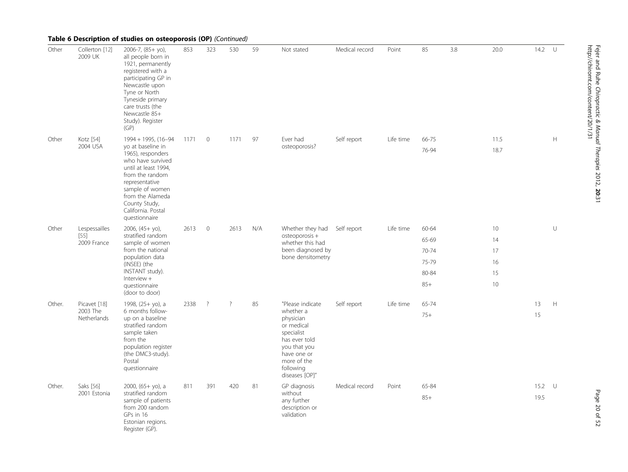| Other  | Collerton [12]<br>2009 UK               | 2006-7, (85+ yo),<br>all people born in<br>1921, permanently<br>registered with a<br>participating GP in<br>Newcastle upon<br>Tyne or North<br>Tyneside primary<br>care trusts (the<br>Newcastle 85+<br>Study). Register<br>(GP)               | 853  | 323            | 530            | 59  | Not stated                                                                                                                                                           | Medical record | Point     | 85                                                 | 3.8 | 20.0                             | 14.2             | $\cup$ |
|--------|-----------------------------------------|------------------------------------------------------------------------------------------------------------------------------------------------------------------------------------------------------------------------------------------------|------|----------------|----------------|-----|----------------------------------------------------------------------------------------------------------------------------------------------------------------------|----------------|-----------|----------------------------------------------------|-----|----------------------------------|------------------|--------|
| Other  | Kotz [54]<br>2004 USA                   | 1994 + 1995, (16-94<br>yo at baseline in<br>1965), responders<br>who have survived<br>until at least 1994,<br>from the random<br>representative<br>sample of women<br>from the Alameda<br>County Study,<br>California. Postal<br>questionnaire | 1171 | $\circ$        | 1171           | 97  | Ever had<br>osteoporosis?                                                                                                                                            | Self report    | Life time | 66-75<br>76-94                                     |     | 11.5<br>18.7                     |                  | H      |
| Other  | Lespessailles<br>$[55]$<br>2009 France  | 2006, $(45 + y0)$ ,<br>stratified random<br>sample of women<br>from the national<br>population data<br>(INSEE) (the<br>INSTANT study).<br>Interview +<br>questionnaire<br>(door to door)                                                       | 2613 | $\circ$        | 2613           | N/A | Whether they had<br>osteoporosis +<br>whether this had<br>been diagnosed by<br>bone densitometry                                                                     | Self report    | Life time | 60-64<br>65-69<br>70-74<br>75-79<br>80-84<br>$85+$ |     | 10<br>14<br>17<br>16<br>15<br>10 |                  | $\cup$ |
| Other. | Picavet [18]<br>2003 The<br>Netherlands | 1998, (25+ yo), a<br>6 months follow-<br>up on a baseline<br>stratified random<br>sample taken<br>from the<br>population register<br>(the DMC3-study).<br>Postal<br>questionnaire                                                              | 2338 | $\overline{?}$ | $\overline{?}$ | 85  | "Please indicate<br>whether a<br>physician<br>or medical<br>specialist<br>has ever told<br>you that you<br>have one or<br>more of the<br>following<br>diseases [OP]" | Self report    | Life time | 65-74<br>$75+$                                     |     |                                  | 13<br>15         | H      |
| Other. | Saks [56]<br>2001 Estonia               | 2000, (65+ yo), a<br>stratified random<br>sample of patients<br>from 200 random<br>GPs in 16<br>Estonian regions.<br>Register (GP).                                                                                                            | 811  | 391            | 420            | 81  | GP diagnosis<br>without<br>any further<br>description or<br>validation                                                                                               | Medical record | Point     | 65-84<br>$85+$                                     |     |                                  | $15.2$ U<br>19.5 |        |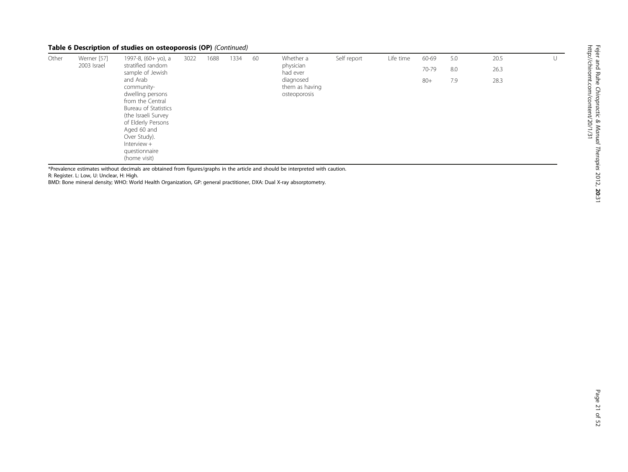| Other | Werner [57]<br>2003 Israel | 1997-8, (60+ yo), a<br>stratified random                                                                                                                                                                             | 3022 | 1688 | 1334 | -60 | Whether a                                   | Self report | Life time | 60-69 | 5.0 | 20.5 | U |
|-------|----------------------------|----------------------------------------------------------------------------------------------------------------------------------------------------------------------------------------------------------------------|------|------|------|-----|---------------------------------------------|-------------|-----------|-------|-----|------|---|
|       |                            | sample of Jewish                                                                                                                                                                                                     |      |      |      |     | physician<br>had ever                       |             |           | 70-79 | 8.0 | 26.3 |   |
|       |                            | and Arab<br>community-<br>dwelling persons<br>from the Central<br>Bureau of Statistics<br>(the Israeli Survey<br>of Elderly Persons<br>Aged 60 and<br>Over Study).<br>Interview $+$<br>questionnaire<br>(home visit) |      |      |      |     | diagnosed<br>them as having<br>osteoporosis |             |           | $80+$ | 7.9 | 28.3 |   |

\*Prevalence estimates without decimals are obtained from figures/graphs in the article and should be interpreted with caution.

R: Register. L: Low, U: Unclear, H: High.

BMD: Bone mineral density; WHO: World Health Organization, GP: general practitioner, DXA: Dual X-ray absorptometry.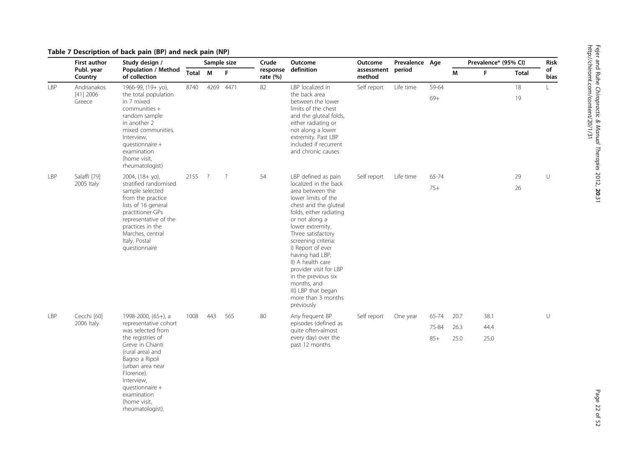<span id="page-21-0"></span>

|            | <b>First author</b>                  | Study design /                                                                                                                                                                                                      |              | Sample size    |                | Crude                   | Outcome                                                                                                                                                                                                                                                                                                                                                                | Outcome              | Prevalence Age |                |      | Prevalence* (95% CI) |              | <b>Risk</b>  |
|------------|--------------------------------------|---------------------------------------------------------------------------------------------------------------------------------------------------------------------------------------------------------------------|--------------|----------------|----------------|-------------------------|------------------------------------------------------------------------------------------------------------------------------------------------------------------------------------------------------------------------------------------------------------------------------------------------------------------------------------------------------------------------|----------------------|----------------|----------------|------|----------------------|--------------|--------------|
|            | Publ. year<br>Country                | <b>Population / Method</b><br>of collection                                                                                                                                                                         | <b>Total</b> | M              | F              | response<br>rate $(% )$ | definition                                                                                                                                                                                                                                                                                                                                                             | assessment<br>method | period         |                | M    | F.                   | <b>Total</b> | of<br>bias   |
| <b>LBP</b> | Andrianakos<br>$[41]$ 2006<br>Greece | 1966-99, (19+ yo),<br>the total population<br>in 7 mixed<br>communities +<br>random sample<br>in another 2<br>mixed communities.<br>Interview,<br>questionnaire +<br>examination<br>(home visit,<br>rheumatologist) | 8740         | 4269           | 4471           | 82                      | LBP localized in<br>the back area<br>between the lower<br>limits of the chest<br>and the gluteal folds,<br>either radiating or<br>not along a lower<br>extremity. Past LBP<br>included if recurrent<br>and chronic causes                                                                                                                                              | Self report          | Life time      | 59-64<br>$69+$ |      |                      | 18<br>19     | $\mathsf{L}$ |
| LBP        | Salaffi [79]<br>2005 Italy           | 2004, (18+ yo),<br>stratified randomised                                                                                                                                                                            | 2155         | $\overline{?}$ | $\overline{?}$ | 54                      | LBP defined as pain<br>localized in the back                                                                                                                                                                                                                                                                                                                           | Self report          | Life time      | 65-74          |      |                      | 29           | $\cup$       |
|            |                                      | sample selected<br>from the practice<br>lists of 16 general<br>practitioner-GPs<br>representative of the<br>practices in the<br>Marches, central<br>Italy. Postal<br>questionnaire                                  |              |                |                |                         | area between the<br>lower limits of the<br>chest and the gluteal<br>folds, either radiating<br>or not along a<br>lower extremity.<br>Three satisfactory<br>screening criteria:<br>I) Report of ever<br>having had LBP,<br>II) A health care<br>provider visit for LBP<br>in the previous six<br>months, and<br>III) LBP that began<br>more than 3 months<br>previously |                      |                | $75+$          |      |                      | 26           |              |
| <b>LBP</b> | Cecchi [60]<br>2006 Italy            | 1998-2000, (65+), a<br>representative cohort                                                                                                                                                                        | 1008         | 443            | 565            | 80                      | Any frequent BP<br>episodes (defined as                                                                                                                                                                                                                                                                                                                                | Self report          | One year       | 65-74          | 20.7 | 38.1                 |              | U            |
|            |                                      | was selected from                                                                                                                                                                                                   |              |                |                |                         | quite often-almost                                                                                                                                                                                                                                                                                                                                                     |                      |                | 75-84          | 26.3 | 44.4                 |              |              |
|            |                                      | the registries of<br>Greve in Chianti<br>(rural area) and<br>Bagno a Ripoli<br>(urban area near<br>Florence).<br>Interview,<br>questionnaire +<br>examination<br>(home visit,<br>rheumatologist).                   |              |                |                |                         | every day) over the<br>past 12 months                                                                                                                                                                                                                                                                                                                                  |                      |                | $85+$          | 25.0 | 25.0                 |              |              |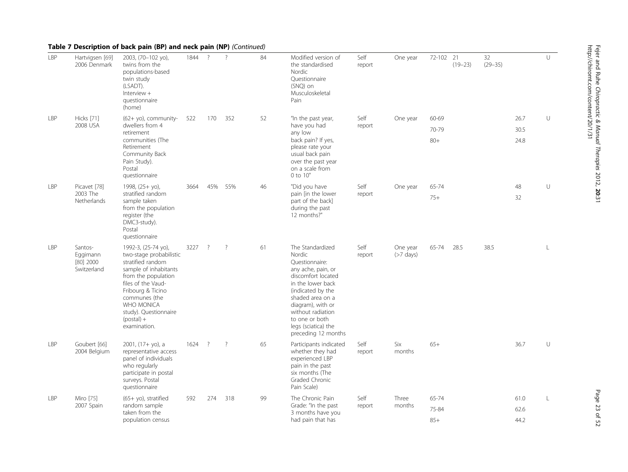| LBP        | Hartvigsen [69]<br>2006 Denmark                 | 2003, (70-102 yo),<br>twins from the<br>populations-based<br>twin study<br>(LSADT).<br>Interview +<br>questionnaire<br>(home)                                                                                                                                 | 1844 | $\overline{?}$ | $\overline{?}$     | 84 | Modified version of<br>the standardised<br>Nordic<br>Questionnaire<br>(SNQ) on<br>Musculoskeletal<br>Pain                                                                                                                                                        | Self<br>report | One year                 | 72-102 21                | $(19 - 23)$ | 32<br>$(29 - 35)$ |                      | $\cup$       |
|------------|-------------------------------------------------|---------------------------------------------------------------------------------------------------------------------------------------------------------------------------------------------------------------------------------------------------------------|------|----------------|--------------------|----|------------------------------------------------------------------------------------------------------------------------------------------------------------------------------------------------------------------------------------------------------------------|----------------|--------------------------|--------------------------|-------------|-------------------|----------------------|--------------|
| <b>LBP</b> | Hicks [71]<br>2008 USA                          | (62+ yo), community-<br>dwellers from 4<br>retirement<br>communities (The<br>Retirement<br>Community Back<br>Pain Study).<br>Postal<br>questionnaire                                                                                                          | 522  | 170            | 352                | 52 | "In the past year,<br>have you had<br>any low<br>back pain? If yes,<br>please rate your<br>usual back pain<br>over the past year<br>on a scale from<br>0 to 10"                                                                                                  | Self<br>report | One year                 | 60-69<br>70-79<br>$80 +$ |             |                   | 26.7<br>30.5<br>24.8 | $\cup$       |
| <b>LBP</b> | Picavet [78]<br>2003 The<br>Netherlands         | 1998, (25+ yo),<br>stratified random<br>sample taken<br>from the population<br>register (the<br>DMC3-study).<br>Postal<br>questionnaire                                                                                                                       | 3664 | 45%            | 55%                | 46 | "Did you have<br>pain fin the lower<br>part of the back]<br>during the past<br>12 months?"                                                                                                                                                                       | Self<br>report | One year                 | 65-74<br>$75+$           |             |                   | 48<br>32             | $\cup$       |
| LBP        | Santos-<br>Eggimann<br>[80] 2000<br>Switzerland | 1992-3, (25-74 yo),<br>two-stage probabilistic<br>stratified random<br>sample of inhabitants<br>from the population<br>files of the Vaud-<br>Fribourg & Ticino<br>communes (the<br><b>WHO MONICA</b><br>study). Questionnaire<br>$(postal) +$<br>examination. | 3227 | $\overline{?}$ | $\overline{?}$     | 61 | The Standardized<br>Nordic<br>Questionnaire:<br>any ache, pain, or<br>discomfort located<br>in the lower back<br>(indicated by the<br>shaded area on a<br>diagram), with or<br>without radiation<br>to one or both<br>legs (sciatica) the<br>preceding 12 months | Self<br>report | One year<br>$($ >7 days) | 65-74                    | 28.5        | 38.5              |                      | $\mathbf{L}$ |
| <b>LBP</b> | Goubert [66]<br>2004 Belgium                    | $2001$ , $(17 + yo)$ , a<br>representative access<br>panel of individuals<br>who regularly<br>participate in postal<br>surveys. Postal<br>questionnaire                                                                                                       | 1624 | $\overline{?}$ | $\overline{\cdot}$ | 65 | Participants indicated<br>whether they had<br>experienced LBP<br>pain in the past<br>six months (The<br>Graded Chronic<br>Pain Scale)                                                                                                                            | Self<br>report | Six<br>months            | $65+$                    |             |                   | 36.7                 | $\cup$       |
| <b>LBP</b> | Miro [75]<br>2007 Spain                         | $(65+$ yo), stratified<br>random sample<br>taken from the<br>population census                                                                                                                                                                                | 592  | 274            | 318                | 99 | The Chronic Pain<br>Grade: "In the past<br>3 months have you<br>had pain that has                                                                                                                                                                                | Self<br>report | Three<br>months          | 65-74<br>75-84<br>$85+$  |             |                   | 61.0<br>62.6<br>44.2 | $\mathbf{I}$ |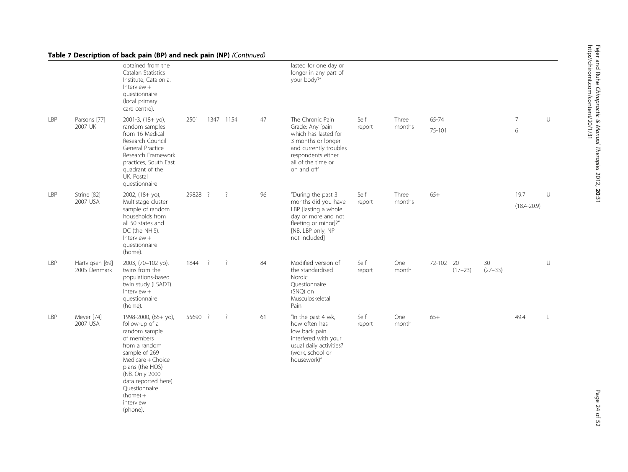|            |                                 | Table 7 Description of back pain (BP) and neck pain (NP) (Continued)                                                                                                                                                                              |         |                |                    |    |                                                                                                                                                                        |                |                 |                 |           |                   |                         |              |
|------------|---------------------------------|---------------------------------------------------------------------------------------------------------------------------------------------------------------------------------------------------------------------------------------------------|---------|----------------|--------------------|----|------------------------------------------------------------------------------------------------------------------------------------------------------------------------|----------------|-----------------|-----------------|-----------|-------------------|-------------------------|--------------|
|            |                                 | obtained from the<br>Catalan Statistics<br>Institute, Catalonia.<br>Interview +<br>questionnaire<br>(local primary<br>care centre).                                                                                                               |         |                |                    |    | lasted for one day or<br>longer in any part of<br>your body?"                                                                                                          |                |                 |                 |           |                   |                         |              |
| LBP        | Parsons [77]<br>2007 UK         | $2001-3$ , $(18 + y0)$ ,<br>random samples<br>from 16 Medical<br>Research Council<br>General Practice<br>Research Framework<br>practices, South East<br>quadrant of the<br>UK. Postal<br>questionnaire                                            | 2501    |                | 1347 1154          | 47 | The Chronic Pain<br>Grade: Any 'pain<br>which has lasted for<br>3 months or longer<br>and currently troubles<br>respondents either<br>all of the time or<br>on and off | Self<br>report | Three<br>months | 65-74<br>75-101 |           |                   | $\overline{7}$<br>6     | U            |
| <b>LBP</b> | Strine [82]<br>2007 USA         | 2002, (18+ yo),<br>Multistage cluster<br>sample of random<br>households from<br>all 50 states and<br>DC (the NHIS).<br>Interview +<br>questionnaire<br>(home).                                                                                    | 29828 ? |                | $\overline{\cdot}$ | 96 | "During the past 3<br>months did you have<br>LBP [lasting a whole<br>day or more and not<br>fleeting or minor]?"<br>[NB. LBP only, NP<br>not included]                 | Self<br>report | Three<br>months | $65+$           |           |                   | 19.7<br>$(18.4 - 20.9)$ | $\cup$       |
| LBP        | Hartvigsen [69]<br>2005 Denmark | 2003, (70-102 yo),<br>twins from the<br>populations-based<br>twin study (LSADT).<br>Interview $+$<br>questionnaire<br>(home).                                                                                                                     | 1844    | $\overline{?}$ | $\overline{?}$     | 84 | Modified version of<br>the standardised<br>Nordic<br>Questionnaire<br>(SNQ) on<br>Musculoskeletal<br>Pain                                                              | Self<br>report | One<br>month    | 72-102 20       | $(17-23)$ | 30<br>$(27 - 33)$ |                         | $\cup$       |
| LBP        | Meyer [74]<br>2007 USA          | 1998-2000, (65+ yo),<br>follow-up of a<br>random sample<br>of members<br>from a random<br>sample of 269<br>Medicare + Choice<br>plans (the HOS)<br>(NB. Only 2000<br>data reported here).<br>Questionnaire<br>$(home) +$<br>interview<br>(phone). | 55690 ? |                | $\overline{?}$     | 61 | "In the past 4 wk,<br>how often has<br>low back pain<br>interfered with your<br>usual daily activities?<br>(work, school or<br>housework)"                             | Self<br>report | One<br>month    | $65+$           |           |                   | 49.4                    | $\mathsf{L}$ |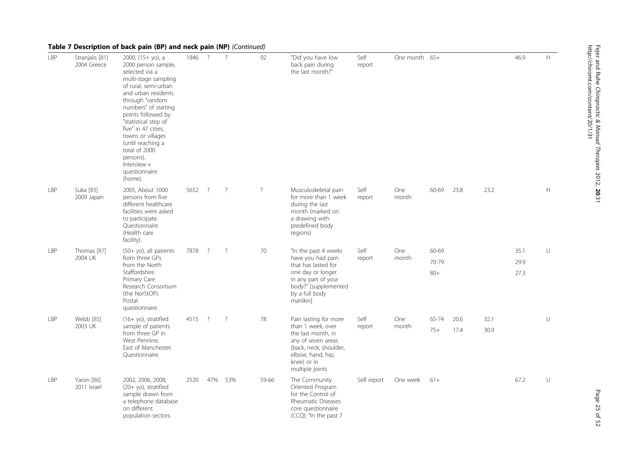| LBP        | Stranjalis [81]<br>2004 Greece | 2000, (15+ yo), a<br>2000 person sample,<br>selected via a<br>multi-stage sampling<br>of rural, semi-urban<br>and urban residents<br>through "random<br>numbers" of starting<br>points followed by<br>"statistical step of<br>five" in 47 cities,<br>towns or villages<br>(until reaching a<br>total of 2000<br>persons).<br>Interview +<br>questionnaire | 1846 | $\overline{?}$ | $\overline{?}$     | 92             | "Did you have low<br>back pain during<br>the last month?"                                                                                                               | Self<br>report | One month 65+ |                          |              |              | 46.9                 | H      |
|------------|--------------------------------|-----------------------------------------------------------------------------------------------------------------------------------------------------------------------------------------------------------------------------------------------------------------------------------------------------------------------------------------------------------|------|----------------|--------------------|----------------|-------------------------------------------------------------------------------------------------------------------------------------------------------------------------|----------------|---------------|--------------------------|--------------|--------------|----------------------|--------|
| <b>LBP</b> | Suka [83]<br>2009 Japan        | (home).<br>2005, About 1000<br>persons from five<br>different healthcare<br>facilities were asked<br>to participate.<br>Questionnaire                                                                                                                                                                                                                     | 5652 | $\overline{?}$ | $\overline{\cdot}$ | $\overline{?}$ | Musculoskeletal pain<br>for more than 1 week<br>during the last<br>month (marked on<br>a drawing with<br>predefined body                                                | Self<br>report | One<br>month  | 60-69                    | 23.8         | 23.2         |                      | H      |
| LBP        | Thomas [87]<br>2004 UK         | (Health care<br>facility).<br>$(50 + yo)$ , all patients<br>from three GPs<br>from the North<br>Staffordshire<br>Primary Care<br>Research Consortium                                                                                                                                                                                                      | 7878 | $\overline{?}$ | $\overline{?}$     | 70             | regions)<br>"In the past 4 weeks<br>have you had pain<br>that has lasted for<br>one day or longer<br>in any part of your<br>body?" [supplemented                        | Self<br>report | One<br>month  | 60-69<br>70-79<br>$80 +$ |              |              | 35.1<br>29.9<br>27.3 | $\cup$ |
|            |                                | (the NorStOP).<br>Postal<br>questionnaire                                                                                                                                                                                                                                                                                                                 |      |                |                    |                | by a full body<br>manikin]                                                                                                                                              |                |               |                          |              |              |                      |        |
| <b>LBP</b> | Webb [85]<br>2003 UK           | $(16 + yo)$ , stratified<br>sample of patients<br>from three GP in<br>West Pennine.<br>East of Manchester.<br>Questionnaire.                                                                                                                                                                                                                              | 4515 | $\overline{?}$ | $\overline{\cdot}$ | 78             | Pain lasting for more<br>than 1 week, over<br>the last month, in<br>any of seven areas<br>(back, neck, shoulder,<br>elbow, hand, hip,<br>knee) or in<br>multiple joints | Self<br>report | One<br>month  | 65-74<br>$75+$           | 20.6<br>17.4 | 32.1<br>30.9 |                      | $\cup$ |
| <b>LBP</b> | Yaron [86]<br>2011 Israel      | 2002, 2006, 2008,<br>(20+ yo), stratified<br>sample drawn from<br>a telephone database<br>on different<br>population sectors.                                                                                                                                                                                                                             | 2520 | 47%            | 53%                | 59-66          | The Community<br>Oriented Program<br>for the Control of<br>Rheumatic Diseases<br>core questionnaire<br>(CCQ): "In the past 7                                            | Self report    | One week      | $61+$                    |              |              | 67.2                 | $\cup$ |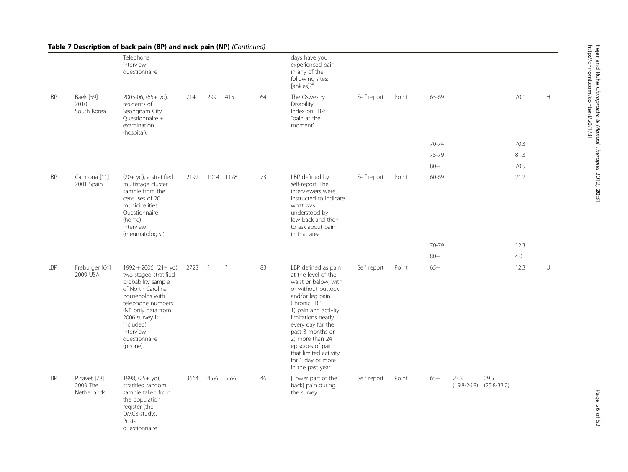|     |                                         | Telephone<br>interview +<br>questionnaire                                                                                                                                                                                                   |      |                |                    |    | days have you<br>experienced pain<br>in any of the<br>following sites:<br>[ankles]?"                                                                                                                                                                                                                                         |             |       |        |                                             |      |              |
|-----|-----------------------------------------|---------------------------------------------------------------------------------------------------------------------------------------------------------------------------------------------------------------------------------------------|------|----------------|--------------------|----|------------------------------------------------------------------------------------------------------------------------------------------------------------------------------------------------------------------------------------------------------------------------------------------------------------------------------|-------------|-------|--------|---------------------------------------------|------|--------------|
| LBP | Baek [59]<br>2010<br>South Korea        | 2005-06, (65+ yo),<br>residents of<br>Seongnam City.<br>Questionnaire +<br>examination<br>(hospital).                                                                                                                                       | 714  | 299            | 415                | 64 | The Oswestry<br>Disability<br>Index on LBP:<br>"pain at the<br>moment"                                                                                                                                                                                                                                                       | Self report | Point | 65-69  |                                             | 70.1 | H            |
|     |                                         |                                                                                                                                                                                                                                             |      |                |                    |    |                                                                                                                                                                                                                                                                                                                              |             |       | 70-74  |                                             | 70.3 |              |
|     |                                         |                                                                                                                                                                                                                                             |      |                |                    |    |                                                                                                                                                                                                                                                                                                                              |             |       | 75-79  |                                             | 81.3 |              |
|     |                                         |                                                                                                                                                                                                                                             |      |                |                    |    |                                                                                                                                                                                                                                                                                                                              |             |       | $80 +$ |                                             | 70.5 |              |
| LBP | Carmona [11]<br>2001 Spain              | $(20+yo)$ , a stratified<br>multistage cluster<br>sample from the<br>censuses of 20<br>municipalities.<br>Questionnaire<br>$(home) +$<br>interview<br>(rheumatologist).                                                                     | 2192 |                | 1014 1178          | 73 | LBP defined by<br>self-report. The<br>interviewers were<br>instructed to indicate<br>what was<br>understood by<br>low back and then<br>to ask about pain<br>in that area                                                                                                                                                     | Self report | Point | 60-69  |                                             | 21.2 | $\mathsf{L}$ |
|     |                                         |                                                                                                                                                                                                                                             |      |                |                    |    |                                                                                                                                                                                                                                                                                                                              |             |       | 70-79  |                                             | 12.3 |              |
|     |                                         |                                                                                                                                                                                                                                             |      |                |                    |    |                                                                                                                                                                                                                                                                                                                              |             |       | $80 +$ |                                             | 4.0  |              |
| LBP | Freburger [64]<br>2009 USA              | $1992 + 2006$ , $(21 + y0)$ ,<br>two-staged stratified<br>probability sample<br>of North Carolina<br>households with<br>telephone numbers<br>(NB only data from<br>2006 survey is<br>included).<br>Interview +<br>questionnaire<br>(phone). | 2723 | $\overline{?}$ | $\overline{\cdot}$ | 83 | LBP defined as pain<br>at the level of the<br>waist or below, with<br>or without buttock<br>and/or leg pain.<br>Chronic LBP:<br>1) pain and activity<br>limitations nearly<br>every day for the<br>past 3 months or<br>2) more than 24<br>episodes of pain<br>that limited activity<br>for 1 day or more<br>in the past year | Self report | Point | $65+$  |                                             | 12.3 | $\cup$       |
| LBP | Picavet [78]<br>2003 The<br>Netherlands | 1998, (25+ yo),<br>stratified random<br>sample taken from<br>the population<br>register (the<br>DMC3-study).<br>Postal<br>questionnaire                                                                                                     | 3664 | 45%            | 55%                | 46 | [Lower part of the<br>back] pain during<br>the survey                                                                                                                                                                                                                                                                        | Self report | Point | $65+$  | 23.3<br>29.5<br>$(19.8-26.8)$ $(25.8-33.2)$ |      | L            |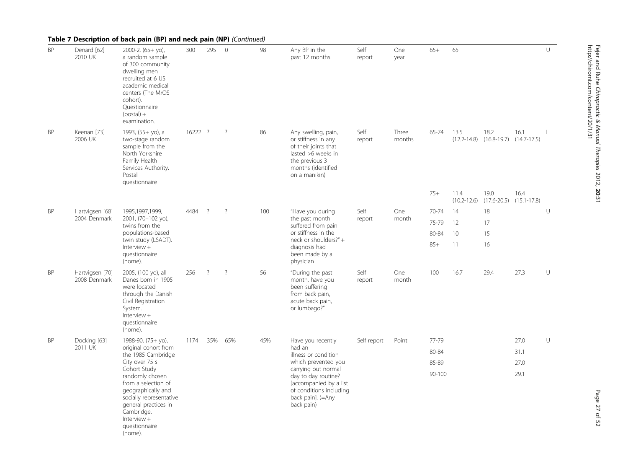| BP        | Denard [62]<br>2010 UK          | 2000-2, (65+ yo),<br>a random sample<br>of 300 community<br>dwelling men<br>recruited at 6 US<br>academic medical<br>centers (The MrOS<br>cohort).<br>Questionnaire<br>$(postal) +$<br>examination. | 300     | 295            | $\overline{0}$ | 98  | Any BP in the<br>past 12 months                                                                                                                   | Self<br>report | One<br>year     | $65+$      | 65                      |                                     |                         | $\cup$       |
|-----------|---------------------------------|-----------------------------------------------------------------------------------------------------------------------------------------------------------------------------------------------------|---------|----------------|----------------|-----|---------------------------------------------------------------------------------------------------------------------------------------------------|----------------|-----------------|------------|-------------------------|-------------------------------------|-------------------------|--------------|
| <b>BP</b> | Keenan [73]<br>2006 UK          | 1993, (55+ yo), a<br>two-stage random<br>sample from the<br>North Yorkshire<br>Family Health<br>Services Authority.<br>Postal<br>questionnaire                                                      | 16222 ? |                | $\overline{?}$ | 86  | Any swelling, pain,<br>or stiffness in any<br>of their joints that<br>lasted >6 weeks in<br>the previous 3<br>months (identified<br>on a manikin) | Self<br>report | Three<br>months | 65-74      | 13.5<br>$(12.2 - 14.8)$ | 18.2<br>$(16.8-19.7)$ $(14.7-17.5)$ | 16.1                    | $\mathsf{L}$ |
|           |                                 |                                                                                                                                                                                                     |         |                |                |     |                                                                                                                                                   |                |                 | $75+$      | 11.4<br>$(10.2 - 12.6)$ | 19.0<br>$(17.6 - 20.5)$             | 16.4<br>$(15.1 - 17.8)$ |              |
| <b>BP</b> | Hartvigsen [68]                 | 1995, 1997, 1999,                                                                                                                                                                                   | 4484    | $\overline{?}$ | $\overline{?}$ | 100 | "Have you during                                                                                                                                  | Self           | One             | 70-74      | 14                      | 18                                  |                         | $\cup$       |
|           | 2004 Denmark                    | 2001, (70-102 yo),<br>twins from the                                                                                                                                                                |         |                |                |     | the past month<br>suffered from pain                                                                                                              | report         | month           | 75-79      | 12                      | 17                                  |                         |              |
|           |                                 | populations-based                                                                                                                                                                                   |         |                |                |     | or stiffness in the                                                                                                                               |                |                 | 80-84      | 10                      | 15                                  |                         |              |
|           |                                 | twin study (LSADT).<br>Interview +<br>questionnaire<br>(home).                                                                                                                                      |         |                |                |     | neck or shoulders?" +<br>diagnosis had<br>been made by a<br>physician                                                                             |                |                 | $85+$      | 11                      | 16                                  |                         |              |
| <b>BP</b> | Hartvigsen [70]<br>2008 Denmark | 2005, (100 yo), all<br>Danes born in 1905<br>were located<br>through the Danish<br>Civil Registration<br>System.<br>Interview +<br>questionnaire<br>(home).                                         | 256     | $\overline{?}$ | $\overline{?}$ | 56  | "During the past<br>month, have you<br>been suffering<br>from back pain,<br>acute back pain,<br>or lumbago?"                                      | Self<br>report | One<br>month    | 100        | 16.7                    | 29.4                                | 27.3                    | $\cup$       |
| <b>BP</b> | Docking [63]                    | 1988-90, (75+ yo),                                                                                                                                                                                  | 1174    | 35%            | 65%            | 45% | Have you recently                                                                                                                                 | Self report    | Point           | 77-79      |                         |                                     | 27.0                    | $\cup$       |
|           | 2011 UK                         | original cohort from<br>the 1985 Cambridge                                                                                                                                                          |         |                |                |     | had an<br>illness or condition                                                                                                                    |                |                 | 80-84      |                         |                                     | 31.1                    |              |
|           |                                 | City over 75 s                                                                                                                                                                                      |         |                |                |     | which prevented you                                                                                                                               |                |                 | 85-89      |                         |                                     | 27.0                    |              |
|           |                                 | Cohort Study<br>randomly chosen<br>from a selection of<br>geographically and<br>socially representative<br>general practices in<br>Cambridge.<br>Interview +<br>questionnaire<br>(home).            |         |                |                |     | carrying out normal<br>day to day routine?<br>[accompanied by a list<br>of conditions including<br>back pain]. (=Any<br>back pain)                |                |                 | $90 - 100$ |                         |                                     | 29.1                    |              |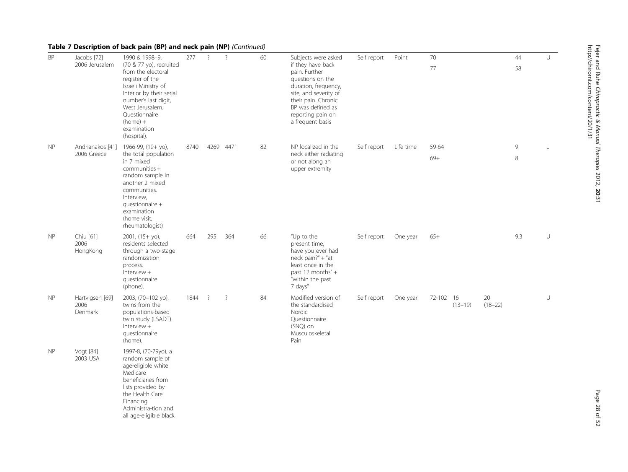| BP        | Jacobs [72]<br>2006 Jerusalem      | 1990 & 1998-9,<br>(70 & 77 yo), recruited                                                                                                                                                              | 277  | $\overline{\phantom{a}}$ | $\overline{\phantom{0}}$ | 60 | Subjects were asked<br>if they have back                                                                                                                                | Self report | Point     | 70        |           |                   | 44  | $\cup$       |
|-----------|------------------------------------|--------------------------------------------------------------------------------------------------------------------------------------------------------------------------------------------------------|------|--------------------------|--------------------------|----|-------------------------------------------------------------------------------------------------------------------------------------------------------------------------|-------------|-----------|-----------|-----------|-------------------|-----|--------------|
|           |                                    | from the electoral<br>register of the<br>Israeli Ministry of<br>Interior by their serial<br>number's last digit,<br>West Jerusalem.<br>Ouestionnaire<br>$(home) +$<br>examination<br>(hospital).       |      |                          |                          |    | pain. Further<br>questions on the<br>duration, frequency,<br>site, and severity of<br>their pain. Chronic<br>BP was defined as<br>reporting pain on<br>a frequent basis |             |           | 77        |           |                   | 58  |              |
| <b>NP</b> | Andrianakos [41]<br>2006 Greece    | 1966-99, (19+ yo),<br>the total population                                                                                                                                                             | 8740 |                          | 4269 4471                | 82 | NP localized in the<br>neck either radiating                                                                                                                            | Self report | Life time | 59-64     |           |                   | 9   | $\mathsf{L}$ |
|           |                                    | in 7 mixed<br>communities +<br>random sample in<br>another 2 mixed<br>communities.<br>Interview,<br>questionnaire +<br>examination<br>(home visit,<br>rheumatologist)                                  |      |                          |                          |    | or not along an<br>upper extremity                                                                                                                                      |             |           | 69+       |           |                   | 8   |              |
| NP        | Chiu [61]<br>2006<br>HongKong      | $2001, (15 + y0)$<br>residents selected<br>through a two-stage<br>randomization<br>process.<br>Interview +<br>questionnaire<br>(phone).                                                                | 664  | 295                      | 364                      | 66 | "Up to the<br>present time,<br>have you ever had<br>neck pain?" $+$ "at<br>least once in the<br>past 12 months" +<br>"within the past<br>7 days"                        | Self report | One year  | $65+$     |           |                   | 9.3 | U            |
| <b>NP</b> | Hartvigsen [69]<br>2006<br>Denmark | 2003, (70-102 yo),<br>twins from the<br>populations-based<br>twin study (LSADT).<br>Interview +<br>questionnaire<br>(home).                                                                            | 1844 | $\cdot$ ?                | $\overline{\cdot}$       | 84 | Modified version of<br>the standardised<br>Nordic<br>Questionnaire<br>(SNQ) on<br>Musculoskeletal<br>Pain                                                               | Self report | One year  | 72-102 16 | $(13-19)$ | 20<br>$(18 - 22)$ |     | U            |
| <b>NP</b> | Vogt [84]<br>2003 USA              | 1997-8, (70-79yo), a<br>random sample of<br>age-eligible white<br>Medicare<br>beneficiaries from<br>lists provided by<br>the Health Care<br>Financing<br>Administra-tion and<br>all age-eligible black |      |                          |                          |    |                                                                                                                                                                         |             |           |           |           |                   |     |              |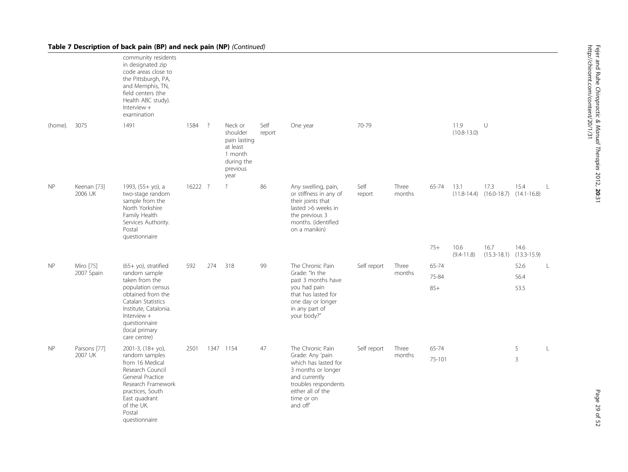|           |                         | community residents<br>in designated zip<br>code areas close to<br>the Pittsburgh, PA,<br>and Memphis, TN,<br>field centers (the<br>Health ABC study).<br>Interview +<br>examination |         |                |                                                                                              |                |                                                                                                                                                    |                |                 |           |                         |                                                   |                         |              |
|-----------|-------------------------|--------------------------------------------------------------------------------------------------------------------------------------------------------------------------------------|---------|----------------|----------------------------------------------------------------------------------------------|----------------|----------------------------------------------------------------------------------------------------------------------------------------------------|----------------|-----------------|-----------|-------------------------|---------------------------------------------------|-------------------------|--------------|
| (home).   | 3075                    | 1491                                                                                                                                                                                 | 1584    | $\overline{?}$ | Neck or<br>shoulder<br>pain lasting<br>at least<br>1 month<br>during the<br>previous<br>year | Self<br>report | One year                                                                                                                                           | 70-79          |                 |           | 11.9<br>$(10.8 - 13.0)$ | $\cup$                                            |                         |              |
| <b>NP</b> | Keenan [73]<br>2006 UK  | 1993, (55+ yo), a<br>two-stage random<br>sample from the<br>North Yorkshire<br>Family Health<br>Services Authority.<br>Postal<br>questionnaire                                       | 16222 ? |                | $\overline{?}$                                                                               | 86             | Any swelling, pain,<br>or stiffness in any of<br>their joints that<br>lasted >6 weeks in<br>the previous 3<br>months. (identified<br>on a manikin) | Self<br>report | Three<br>months | $65 - 74$ | 13.1                    | 17.3<br>$(11.8-14.4)$ $(16.0-18.7)$ $(14.1-16.8)$ | 15.4                    | $\mathsf{L}$ |
|           |                         |                                                                                                                                                                                      |         |                |                                                                                              |                |                                                                                                                                                    |                |                 | $75+$     | 10.6<br>$(9.4 - 11.8)$  | 16.7<br>$(15.3 - 18.1)$                           | 14.6<br>$(13.3 - 15.9)$ |              |
| <b>NP</b> | Miro [75]<br>2007 Spain | (65+ yo), stratified<br>random sample                                                                                                                                                | 592     | 274            | 318                                                                                          | 99             | The Chronic Pain<br>Grade: "In the                                                                                                                 | Self report    | Three<br>months | 65-74     |                         |                                                   | 52.6                    | $\perp$      |
|           |                         | taken from the                                                                                                                                                                       |         |                |                                                                                              |                | past 3 months have                                                                                                                                 |                |                 | 75-84     |                         |                                                   | 56.4                    |              |
|           |                         | population census<br>obtained from the<br>Catalan Statistics<br>Institute, Catalonia.<br>Interview +<br>questionnaire<br>(local primary<br>care centre)                              |         |                |                                                                                              |                | you had pain<br>that has lasted for<br>one day or longer<br>in any part of<br>your body?"                                                          |                |                 | $85+$     |                         |                                                   | 53.5                    |              |
| <b>NP</b> | Parsons [77]<br>2007 UK | 2001-3, (18+ yo),<br>random samples                                                                                                                                                  | 2501    |                | 1347 1154                                                                                    | 47             | The Chronic Pain<br>Grade: Any 'pain                                                                                                               | Self report    | Three<br>months | 65-74     |                         |                                                   | 5                       | $\mathsf{L}$ |
|           |                         | from 16 Medical<br>Research Council<br>General Practice<br>Research Framework<br>practices, South<br>East quadrant<br>of the UK.<br>Postal<br>questionnaire                          |         |                |                                                                                              |                | which has lasted for<br>3 months or longer<br>and currently<br>troubles respondents<br>either all of the<br>time or on<br>and off                  |                |                 | 75-101    |                         |                                                   | $\overline{3}$          |              |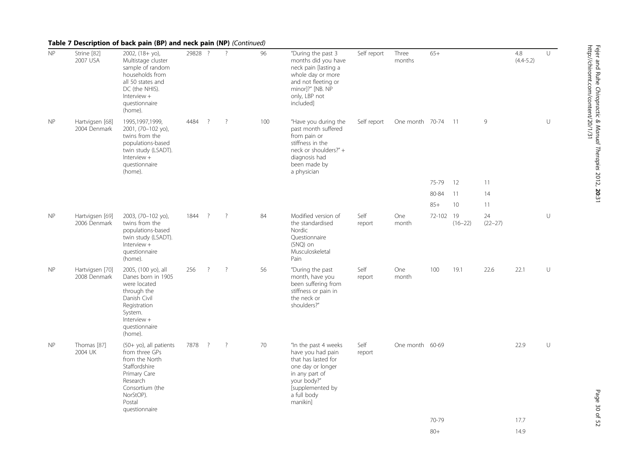| $\ensuremath{\mathsf{NP}}$ | Strine [82]<br>2007 USA         | 2002, (18+ yo),<br>Multistage cluster<br>sample of random<br>households from<br>all 50 states and<br>DC (the NHIS).<br>Interview +<br>questionnaire<br>(home).     | 29828 ? |                | $\overline{?}$ | 96  | "During the past 3<br>months did you have<br>neck pain [lasting a<br>whole day or more<br>and not fleeting or<br>minor]?" [NB. NP<br>only, LBP not<br>included]       | Self report    | Three<br>months | $65+$     |           |                   | 4.8<br>$(4.4 - 5.2)$ | $\cup$ |
|----------------------------|---------------------------------|--------------------------------------------------------------------------------------------------------------------------------------------------------------------|---------|----------------|----------------|-----|-----------------------------------------------------------------------------------------------------------------------------------------------------------------------|----------------|-----------------|-----------|-----------|-------------------|----------------------|--------|
| NP                         | Hartvigsen [68]<br>2004 Denmark | 1995, 1997, 1999,<br>2001, (70-102 yo),<br>twins from the<br>populations-based<br>twin study (LSADT).<br>Interview $+$<br>questionnaire<br>(home).                 | 4484    | $\overline{?}$ | $\overline{?}$ | 100 | "Have you during the<br>past month suffered<br>from pain or<br>stiffness in the<br>neck or shoulders?" +<br>diagnosis had<br>been made by<br>a physician              | Self report    | One month 70-74 |           | 11        | 9                 |                      | $\cup$ |
|                            |                                 |                                                                                                                                                                    |         |                |                |     |                                                                                                                                                                       |                |                 | 75-79     | 12        | 11                |                      |        |
|                            |                                 |                                                                                                                                                                    |         |                |                |     |                                                                                                                                                                       |                |                 | 80-84     | 11        | 14                |                      |        |
|                            |                                 |                                                                                                                                                                    |         |                |                |     |                                                                                                                                                                       |                |                 | $85+$     | 10        | 11                |                      |        |
| NP                         | Hartvigsen [69]<br>2006 Denmark | 2003, (70-102 yo),<br>twins from the<br>populations-based<br>twin study (LSADT).<br>Interview $+$<br>questionnaire<br>(home).                                      | 1844    | $\cdot$ ?      | $\overline{?}$ | 84  | Modified version of<br>the standardised<br>Nordic<br>Questionnaire<br>(SNQ) on<br>Musculoskeletal<br>Pain                                                             | Self<br>report | One<br>month    | 72-102 19 | $(16-22)$ | 24<br>$(22 - 27)$ |                      | $\cup$ |
| NP                         | Hartvigsen [70]<br>2008 Denmark | 2005, (100 yo), all<br>Danes born in 1905<br>were located<br>through the<br>Danish Civil<br>Registration<br>System.<br>Interview $+$<br>questionnaire<br>(home).   | 256     | $\overline{?}$ | $\overline{?}$ | 56  | "During the past<br>month, have you<br>been suffering from<br>stiffness or pain in<br>the neck or<br>shoulders?"                                                      | Self<br>report | One<br>month    | 100       | 19.1      | 22.6              | 22.1                 | $\cup$ |
| NP                         | Thomas [87]<br>2004 UK          | (50+ yo), all patients<br>from three GPs<br>from the North<br>Staffordshire<br>Primary Care<br>Research<br>Consortium (the<br>NorStOP).<br>Postal<br>questionnaire | 7878 ?  |                | $\overline{?}$ | 70  | "In the past 4 weeks<br>have you had pain<br>that has lasted for<br>one day or longer<br>in any part of<br>your body?"<br>[supplemented by<br>a full body<br>manikin] | Self<br>report | One month 60-69 |           |           |                   | 22.9                 | $\cup$ |
|                            |                                 |                                                                                                                                                                    |         |                |                |     |                                                                                                                                                                       |                |                 | 70-79     |           |                   | 17.7                 |        |
|                            |                                 |                                                                                                                                                                    |         |                |                |     |                                                                                                                                                                       |                |                 | $80 +$    |           |                   | 14.9                 |        |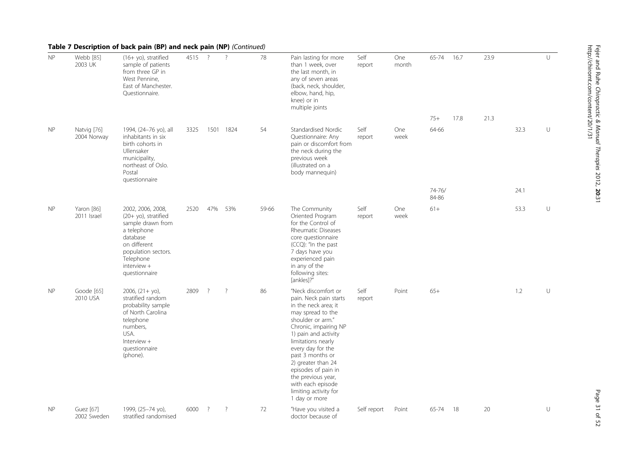|           |                            | Table 7 Description of back pain (BP) and neck pain (NP) (Continued)                                                                                                            |      |                |                |       |                                                                                                                                                                                                                                                                                                                                                                   |                |              |                 |      |      |      |        |
|-----------|----------------------------|---------------------------------------------------------------------------------------------------------------------------------------------------------------------------------|------|----------------|----------------|-------|-------------------------------------------------------------------------------------------------------------------------------------------------------------------------------------------------------------------------------------------------------------------------------------------------------------------------------------------------------------------|----------------|--------------|-----------------|------|------|------|--------|
| NP        | Webb [85]<br>2003 UK       | $(16 + yo)$ , stratified<br>sample of patients<br>from three GP in<br>West Pennine,<br>East of Manchester.<br>Questionnaire.                                                    | 4515 | $\overline{?}$ | $\overline{?}$ | 78    | Pain lasting for more<br>than 1 week, over<br>the last month, in<br>any of seven areas<br>(back, neck, shoulder,<br>elbow, hand, hip,<br>knee) or in<br>multiple joints                                                                                                                                                                                           | Self<br>report | One<br>month | $65 - 74$       | 16.7 | 23.9 |      | $\cup$ |
|           |                            |                                                                                                                                                                                 |      |                |                |       |                                                                                                                                                                                                                                                                                                                                                                   |                |              | $75+$           | 17.8 | 21.3 |      |        |
| <b>NP</b> | Natvig [76]<br>2004 Norway | 1994, (24-76 yo), all<br>inhabitants in six<br>birth cohorts in<br>Ullensaker<br>municipality,<br>northeast of Oslo.<br>Postal<br>questionnaire                                 | 3325 |                | 1501 1824      | 54    | Standardised Nordic<br>Questionnaire: Any<br>pain or discomfort from<br>the neck during the<br>previous week<br>(illustrated on a<br>body mannequin)                                                                                                                                                                                                              | Self<br>report | One<br>week  | 64-66           |      |      | 32.3 | $\cup$ |
|           |                            |                                                                                                                                                                                 |      |                |                |       |                                                                                                                                                                                                                                                                                                                                                                   |                |              | 74-76/<br>84-86 |      |      | 24.1 |        |
| <b>NP</b> | Yaron [86]<br>2011 Israel  | 2002, 2006, 2008,<br>$(20+yo)$ , stratified<br>sample drawn from<br>a telephone<br>database<br>on different<br>population sectors.<br>Telephone<br>interview +<br>questionnaire | 2520 | 47%            | 53%            | 59-66 | The Community<br>Oriented Program<br>for the Control of<br>Rheumatic Diseases<br>core questionnaire<br>(CCQ): "In the past<br>7 days have you<br>experienced pain<br>in any of the<br>following sites:<br>[ankles]?"                                                                                                                                              | Self<br>report | One<br>week  | $61+$           |      |      | 53.3 | U      |
| <b>NP</b> | Goode [65]<br>2010 USA     | $2006$ , $(21 + y0)$ ,<br>stratified random<br>probability sample<br>of North Carolina<br>telephone<br>numbers,<br>USA.<br>Interview +<br>questionnaire<br>(phone).             | 2809 | $\overline{?}$ | $\overline{?}$ | 86    | "Neck discomfort or<br>pain. Neck pain starts<br>in the neck area; it<br>may spread to the<br>shoulder or arm."<br>Chronic, impairing NP<br>1) pain and activity<br>limitations nearly<br>every day for the<br>past 3 months or<br>2) greater than 24<br>episodes of pain in<br>the previous year,<br>with each episode<br>limiting activity for<br>1 day or more | Self<br>report | Point        | $65+$           |      |      | 1.2  | $\cup$ |
| <b>NP</b> | Guez [67]<br>2002 Sweden   | 1999, (25-74 yo),<br>stratified randomised                                                                                                                                      | 6000 | $\overline{?}$ | $\overline{?}$ | 72    | "Have you visited a<br>doctor because of                                                                                                                                                                                                                                                                                                                          | Self report    | Point        | 65-74           | - 18 | 20   |      | $\cup$ |

ن<br>آ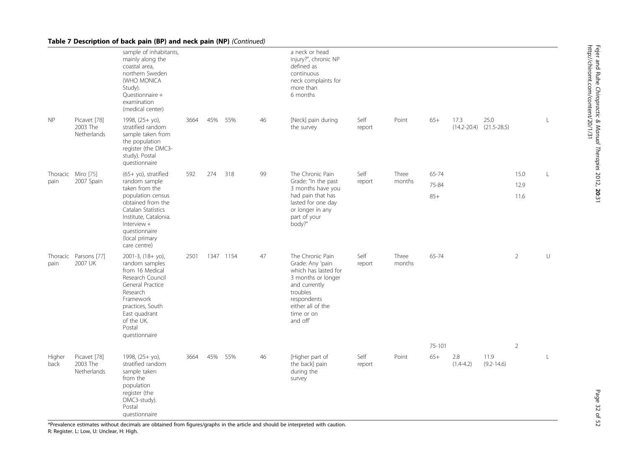|                |                                         | sample of inhabitants,<br>mainly along the<br>coastal area,<br>northern Sweden<br>(WHO MONICA<br>Study).<br>Questionnaire +<br>examination<br>(medical center)                                               |      |           |     |    | a neck or head<br>injury?", chronic NP<br>defined as<br>continuous<br>neck complaints for<br>more than<br>6 months                                                           |                |                 |        |                      |                                         |      |        |
|----------------|-----------------------------------------|--------------------------------------------------------------------------------------------------------------------------------------------------------------------------------------------------------------|------|-----------|-----|----|------------------------------------------------------------------------------------------------------------------------------------------------------------------------------|----------------|-----------------|--------|----------------------|-----------------------------------------|------|--------|
| <b>NP</b>      | Picavet [78]<br>2003 The<br>Netherlands | 1998, (25+ yo),<br>stratified random<br>sample taken from<br>the population<br>register (the DMC3-<br>study). Postal<br>questionnaire                                                                        | 3664 | 45%       | 55% | 46 | [Neck] pain during<br>the survey                                                                                                                                             | Self<br>report | Point           | $65+$  | 17.3                 | 25.0<br>$(14.2 - 20.4)$ $(21.5 - 28.5)$ |      | L      |
| pain           | Thoracic Miro [75]<br>2007 Spain        | (65+ yo), stratified<br>random sample                                                                                                                                                                        | 592  | 274       | 318 | 99 | The Chronic Pain<br>Grade: "In the past                                                                                                                                      | Self<br>report | Three<br>months | 65-74  |                      |                                         | 15.0 | L      |
|                |                                         | taken from the                                                                                                                                                                                               |      |           |     |    | 3 months have you                                                                                                                                                            |                |                 | 75-84  |                      |                                         | 12.9 |        |
|                |                                         | population census<br>obtained from the<br>Catalan Statistics<br>Institute, Catalonia.<br>$Interview +$<br>questionnaire<br>(local primary<br>care centre)                                                    |      |           |     |    | had pain that has<br>lasted for one day<br>or longer in any<br>part of your<br>body?"                                                                                        |                |                 | $85+$  |                      |                                         | 11.6 |        |
| pain           | Thoracic Parsons [77]<br>2007 UK        | $2001-3$ , $(18 + y0)$ ,<br>random samples<br>from 16 Medical<br>Research Council<br>General Practice<br>Research<br>Framework<br>practices, South<br>East quadrant<br>of the UK.<br>Postal<br>questionnaire | 2501 | 1347 1154 |     | 47 | The Chronic Pain<br>Grade: Any 'pain<br>which has lasted for<br>3 months or longer<br>and currently<br>troubles<br>respondents<br>either all of the<br>time or on<br>and off | Self<br>report | Three<br>months | 65-74  |                      |                                         | 2    | $\cup$ |
|                |                                         |                                                                                                                                                                                                              |      |           |     |    |                                                                                                                                                                              |                |                 | 75-101 |                      |                                         | 2    |        |
| Higher<br>back | Picavet [78]<br>2003 The<br>Netherlands | 1998, (25+ yo),<br>stratified random<br>sample taken<br>from the<br>population<br>register (the<br>DMC3-study).<br>Postal<br>questionnaire                                                                   | 3664 | 45%       | 55% | 46 | [Higher part of<br>the back] pain<br>during the<br>survey                                                                                                                    | Self<br>report | Point           | $65+$  | 2.8<br>$(1.4 - 4.2)$ | 11.9<br>$(9.2 - 14.6)$                  |      | L      |

\*Prevalence estimates without decimals are obtained from figures/graphs in the article and should be interpreted with caution.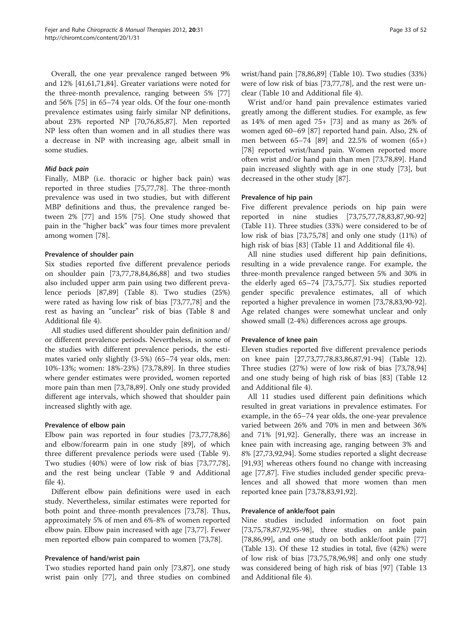Overall, the one year prevalence ranged between 9% and 12% [\[41,61,71,](#page-50-0)[84\]](#page-51-0). Greater variations were noted for the three-month prevalence, ranging between 5% [[77](#page-51-0)] and 56% [[75](#page-51-0)] in 65–74 year olds. Of the four one-month prevalence estimates using fairly similar NP definitions, about 23% reported NP [[70,](#page-50-0)[76,85,87\]](#page-51-0). Men reported NP less often than women and in all studies there was a decrease in NP with increasing age, albeit small in some studies.

#### Mid back pain

Finally, MBP (i.e. thoracic or higher back pain) was reported in three studies [\[75,77,78\]](#page-51-0). The three-month prevalence was used in two studies, but with different MBP definitions and thus, the prevalence ranged between 2% [\[77\]](#page-51-0) and 15% [\[75\]](#page-51-0). One study showed that pain in the "higher back" was four times more prevalent among women [[78](#page-51-0)].

#### Prevalence of shoulder pain

Six studies reported five different prevalence periods on shoulder pain [\[73,77,78,84,86,88\]](#page-51-0) and two studies also included upper arm pain using two different prevalence periods [\[87,89\]](#page-51-0) (Table [8](#page-33-0)). Two studies (25%) were rated as having low risk of bias [\[73,77,78](#page-51-0)] and the rest as having an "unclear" risk of bias (Table [8](#page-33-0) and [Additional file 4\)](#page-49-0).

All studies used different shoulder pain definition and/ or different prevalence periods. Nevertheless, in some of the studies with different prevalence periods, the estimates varied only slightly (3-5%) (65–74 year olds, men: 10%-13%; women: 18%-23%) [\[73,78,89](#page-51-0)]. In three studies where gender estimates were provided, women reported more pain than men [[73,78,89\]](#page-51-0). Only one study provided different age intervals, which showed that shoulder pain increased slightly with age.

#### Prevalence of elbow pain

Elbow pain was reported in four studies [[73](#page-51-0),[77](#page-51-0),[78](#page-51-0),[86](#page-51-0)] and elbow/forearm pain in one study [[89](#page-51-0)], of which three different prevalence periods were used (Table [9](#page-35-0)). Two studies (40%) were of low risk of bias [\[73,77,78](#page-51-0)], and the rest being unclear (Table [9](#page-35-0) and Additional fil[e 4\)](#page-49-0).

Different elbow pain definitions were used in each study. Nevertheless, similar estimates were reported for both point and three-month prevalences [[73,78\]](#page-51-0). Thus, approximately 5% of men and 6%-8% of women reported elbow pain. Elbow pain increased with age [\[73,77\]](#page-51-0). Fewer men reported elbow pain compared to women [[73,78\]](#page-51-0).

#### Prevalence of hand/wrist pain

Two studies reported hand pain only [\[73,87\]](#page-51-0), one study wrist pain only [[77\]](#page-51-0), and three studies on combined wrist/hand pain [[78,86,89](#page-51-0)] (Table [10](#page-36-0)). Two studies (33%) were of low risk of bias [\[73,77,78](#page-51-0)], and the rest were unclear (Table [10](#page-36-0) and Additional file [4](#page-49-0)).

Wrist and/or hand pain prevalence estimates varied greatly among the different studies. For example, as few as  $14\%$  of men aged  $75+$   $[73]$  and as many as  $26\%$  of women aged 60–69 [[87](#page-51-0)] reported hand pain. Also, 2% of men between 65–74 [[89\]](#page-51-0) and 22.5% of women (65+) [[78\]](#page-51-0) reported wrist/hand pain. Women reported more often wrist and/or hand pain than men [[73](#page-51-0),[78](#page-51-0),[89](#page-51-0)]. Hand pain increased slightly with age in one study [\[73](#page-51-0)], but decreased in the other study [\[87\]](#page-51-0).

## Prevalence of hip pain

Five different prevalence periods on hip pain were reported in nine studies [\[73,75,77,78,83,87,90](#page-51-0)-[92](#page-51-0)] (Table [11](#page-38-0)). Three studies (33%) were considered to be of low risk of bias [\[73,75,78](#page-51-0)] and only one study (11%) of high risk of bias [[83\]](#page-51-0) (Table [11](#page-38-0) and Additional file [4\)](#page-49-0).

All nine studies used different hip pain definitions, resulting in a wide prevalence range. For example, the three-month prevalence ranged between 5% and 30% in the elderly aged 65–74 [\[73,75,77](#page-51-0)]. Six studies reported gender specific prevalence estimates, all of which reported a higher prevalence in women [\[73,78,83,90-92](#page-51-0)]. Age related changes were somewhat unclear and only showed small (2-4%) differences across age groups.

#### Prevalence of knee pain

Eleven studies reported five different prevalence periods on knee pain [[27,](#page-49-0)[73,77,78,83,86](#page-51-0),[87](#page-51-0),[91](#page-51-0)-[94\]](#page-51-0) (Table [12](#page-40-0)). Three studies (27%) were of low risk of bias [[73](#page-51-0),[78](#page-51-0),[94](#page-51-0)] and one study being of high risk of bias [[83](#page-51-0)] (Table [12](#page-40-0) and Additional file [4\)](#page-49-0).

All 11 studies used different pain definitions which resulted in great variations in prevalence estimates. For example, in the 65–74 year olds, the one-year prevalence varied between 26% and 70% in men and between 36% and 71% [[91,92](#page-51-0)]. Generally, there was an increase in knee pain with increasing age, ranging between 3% and 8% [[27](#page-49-0),[73](#page-51-0),[92,94](#page-51-0)]. Some studies reported a slight decrease [[91,93\]](#page-51-0) whereas others found no change with increasing age [\[77,87\]](#page-51-0). Five studies included gender specific prevalences and all showed that more women than men reported knee pain [\[73,78,83,91,92\]](#page-51-0).

## Prevalence of ankle/foot pain

Nine studies included information on foot pain [[73,75,78,87,92,95-98\]](#page-51-0), three studies on ankle pain [[78,86,99\]](#page-51-0), and one study on both ankle/foot pain [[77](#page-51-0)] (Table [13\)](#page-43-0). Of these 12 studies in total, five (42%) were of low risk of bias [\[73,75,78,96,98\]](#page-51-0) and only one study was considered being of high risk of bias [\[97](#page-51-0)] (Table [13](#page-43-0) and Additional file [4\)](#page-49-0).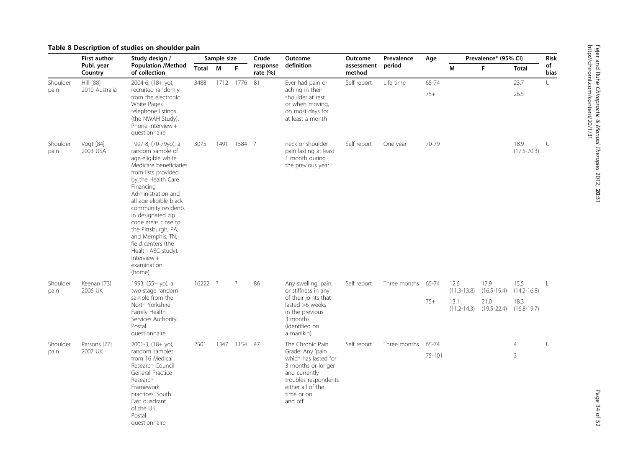|                  | <b>First author</b>         | Study design /                                                                                                                                                                                                                                                                                                                                                                                         |              | Sample size |                | Crude                  | Outcome                                                                                                                                                                   | Outcome              | Prevalence   | Age             |                         | Prevalence* (95% CI)                              |                         | Risk       |
|------------------|-----------------------------|--------------------------------------------------------------------------------------------------------------------------------------------------------------------------------------------------------------------------------------------------------------------------------------------------------------------------------------------------------------------------------------------------------|--------------|-------------|----------------|------------------------|---------------------------------------------------------------------------------------------------------------------------------------------------------------------------|----------------------|--------------|-----------------|-------------------------|---------------------------------------------------|-------------------------|------------|
|                  | Publ. year<br>Country       | <b>Population /Method</b><br>of collection                                                                                                                                                                                                                                                                                                                                                             | <b>Total</b> | M           | F.             | response<br>rate $(%)$ | definition                                                                                                                                                                | assessment<br>method | period       |                 | M                       | F.                                                | <b>Total</b>            | of<br>bias |
| Shoulder<br>pain | Hill [88]<br>2010 Australia | 2004-6, (18+ yo),<br>recruited randomly<br>from the electronic<br>White Pages<br>telephone listings<br>(the NWAH Study).<br>Phone interview +<br>questionnaire                                                                                                                                                                                                                                         | 3488         |             | 1712 1776      | 81                     | Ever had pain or<br>aching in their<br>shoulder at rest<br>or when moving,<br>on most days for<br>at least a month                                                        | Self report          | Life time    | 65-74<br>$75+$  |                         |                                                   | 23.7<br>26.5            | U          |
| Shoulder<br>pain | Vogt [84]<br>2003 USA       | 1997-8, (70-79yo), a<br>random sample of<br>age-eligible white<br>Medicare beneficiaries<br>from lists provided<br>by the Health Care<br>Financing<br>Administration and<br>all age-eligible black<br>community residents<br>in designated zip<br>code areas close to<br>the Pittsburgh, PA,<br>and Memphis, TN,<br>field centers (the<br>Health ABC study).<br>$Interview +$<br>examination<br>(home) | 3075         |             | 1491 1584 ?    |                        | neck or shoulder<br>pain lasting at least<br>1 month during<br>the previous year                                                                                          | Self report          | One year     | 70-79           |                         |                                                   | 18.9<br>$(17.5 - 20.3)$ | U          |
| Shoulder<br>pain | Keenan [73]<br>2006 UK      | 1993, (55+ yo), a<br>two-stage random                                                                                                                                                                                                                                                                                                                                                                  | 16222 ?      |             | $\overline{?}$ | 86                     | Any swelling, pain,<br>or stiffness in any                                                                                                                                | Self report          | Three months | 65-74           | 12.6<br>$(11.3 - 13.8)$ | 17.9<br>$(16.5 - 19.4)$                           | 15.5<br>$(14.2 - 16.8)$ | L.         |
|                  |                             | sample from the<br>North Yorkshire<br>Family Health<br>Services Authority.<br>Postal<br>questionnaire                                                                                                                                                                                                                                                                                                  |              |             |                |                        | of their joints that<br>lasted >6 weeks<br>in the previous<br>3 months.<br>(identified on<br>a manikin)                                                                   |                      |              | $75+$           | 13.1                    | 21.0<br>$(11.2-14.3)$ $(19.5-22.4)$ $(16.8-19.7)$ | 18.3                    |            |
| Shoulder<br>pain | Parsons [77]<br>2007 UK     | $2001-3$ , $(18 + y0)$ ,<br>random samples<br>from 16 Medical<br>Research Council<br>General Practice<br>Research<br>Framework<br>practices, South<br>East quadrant<br>of the UK.<br>Postal<br>questionnaire                                                                                                                                                                                           | 2501         |             | 1347 1154 47   |                        | The Chronic Pain<br>Grade: Any 'pain<br>which has lasted for<br>3 months or longer<br>and currently<br>troubles respondents<br>either all of the<br>time or on<br>and off | Self report          | Three months | 65-74<br>75-101 |                         |                                                   | $\overline{4}$<br>3     | $\cup$     |

## <span id="page-33-0"></span>Table 8 Description of studies on shoulder pain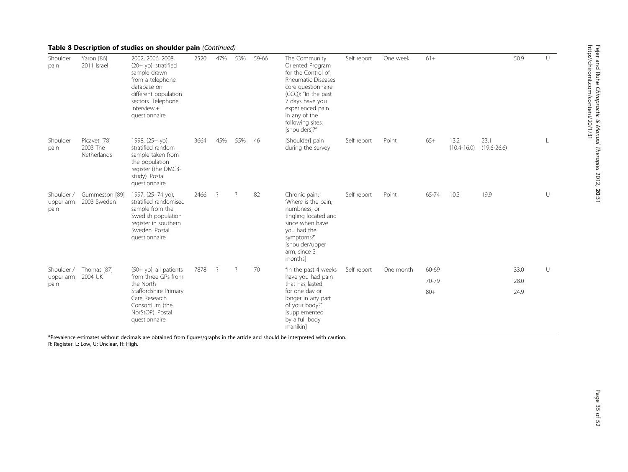## Table 8 Description of studies on shoulder pain (Continued)

| Shoulder<br>pain                | Yaron [86]<br>2011 Israel               | 2002, 2006, 2008,<br>$(20+yo)$ , stratified<br>sample drawn<br>from a telephone<br>database on<br>different population<br>sectors. Telephone<br>$Interview +$<br>questionnaire | 2520 | 47%                | 53%            | 59-66 | The Community<br>Oriented Program<br>for the Control of<br><b>Rheumatic Diseases</b><br>core questionnaire<br>(CCQ): "In the past<br>7 days have you<br>experienced pain<br>in any of the<br>following sites:<br>[shoulders]?" | Self report | One week  | $61+$ |                         |                         | 50.9 | U |
|---------------------------------|-----------------------------------------|--------------------------------------------------------------------------------------------------------------------------------------------------------------------------------|------|--------------------|----------------|-------|--------------------------------------------------------------------------------------------------------------------------------------------------------------------------------------------------------------------------------|-------------|-----------|-------|-------------------------|-------------------------|------|---|
| Shoulder<br>pain                | Picavet [78]<br>2003 The<br>Netherlands | 1998, (25+ yo),<br>stratified random<br>sample taken from<br>the population<br>register (the DMC3-<br>study). Postal<br>questionnaire                                          | 3664 | 45%                | 55%            | -46   | [Shoulder] pain<br>during the survey                                                                                                                                                                                           | Self report | Point     | $65+$ | 13.2<br>$(10.4 - 16.0)$ | 23.1<br>$(19.6 - 26.6)$ |      |   |
| Shoulder /<br>upper arm<br>pain | Gummesson [89]<br>2003 Sweden           | 1997, (25-74 yo),<br>stratified randomised<br>sample from the<br>Swedish population<br>register in southern<br>Sweden, Postal<br>questionnaire                                 | 2466 | $\overline{\cdot}$ | $\overline{?}$ | 82    | Chronic pain:<br>'Where is the pain,<br>numbness, or<br>tingling located and<br>since when have<br>you had the<br>symptoms?'<br>[shoulder/upper<br>arm, since 3<br>monthsl                                                     | Self report | Point     | 65-74 | 10.3                    | 19.9                    |      | U |
| Shoulder /                      | Thomas [87]                             | $(50 + yo)$ , all patients<br>from three GPs from                                                                                                                              | 7878 | $\overline{?}$     | $\overline{?}$ | 70    | "In the past 4 weeks                                                                                                                                                                                                           | Self report | One month | 60-69 |                         |                         | 33.0 | U |
| upper arm<br>pain               | 2004 UK                                 | the North                                                                                                                                                                      |      |                    |                |       | have you had pain<br>that has lasted                                                                                                                                                                                           |             |           | 70-79 |                         |                         | 28.0 |   |
|                                 |                                         | Staffordshire Primary<br>Care Research<br>Consortium (the<br>NorStOP). Postal<br>questionnaire                                                                                 |      |                    |                |       | for one day or<br>longer in any part<br>of your body?"<br>[supplemented<br>by a full body<br>manikin]                                                                                                                          |             |           | $80+$ |                         |                         | 24.9 |   |

\*Prevalence estimates without decimals are obtained from figures/graphs in the article and should be interpreted with caution. R: Register. L: Low, U: Unclear, H: High.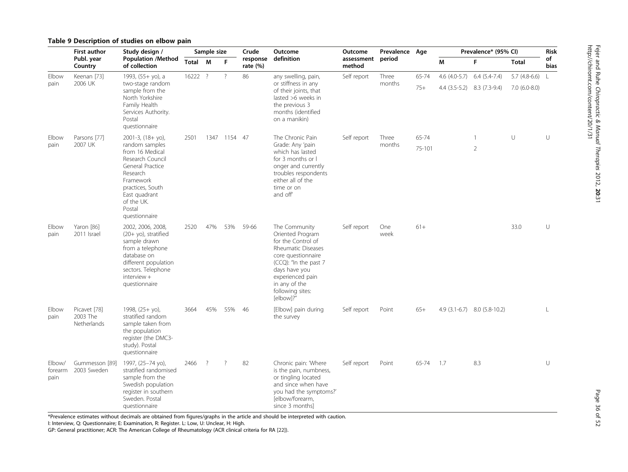## <span id="page-35-0"></span>Table 9 Description of studies on elbow pain

|                           | <b>First author</b>                     | Study design /                                                                                                                                                                   |              | Sample size |                | Crude                | Outcome                                                                                                                                                                                                             | Outcome              | Prevalence Age |        |                   | Prevalence* (95% CI)         |                 | <b>Risk</b>  |
|---------------------------|-----------------------------------------|----------------------------------------------------------------------------------------------------------------------------------------------------------------------------------|--------------|-------------|----------------|----------------------|---------------------------------------------------------------------------------------------------------------------------------------------------------------------------------------------------------------------|----------------------|----------------|--------|-------------------|------------------------------|-----------------|--------------|
|                           | Publ. year<br>Country                   | <b>Population /Method</b><br>of collection                                                                                                                                       | <b>Total</b> | M           | F              | response<br>rate (%) | definition                                                                                                                                                                                                          | assessment<br>method | period         |        | M                 | F.                           | <b>Total</b>    | of<br>bias   |
| Elbow                     | Keenan [73]                             | 1993, (55+ yo), a                                                                                                                                                                | 16222 ?      |             | $\overline{?}$ | 86                   | any swelling, pain,                                                                                                                                                                                                 | Self report          | Three          | 65-74  | $4.6$ $(4.0-5.7)$ | $6.4(5.4-7.4)$               | $5.7(4.8-6.6)$  | $\mathsf{L}$ |
| pain                      | 2006 UK                                 | two-stage random<br>sample from the<br>North Yorkshire<br>Family Health<br>Services Authority.<br>Postal<br>questionnaire                                                        |              |             |                |                      | or stiffness in any<br>of their joints, that<br>lasted >6 weeks in<br>the previous 3<br>months (identified<br>on a manikin)                                                                                         |                      | months         | $75+$  |                   | 4.4 (3.5-5.2) 8.3 (7.3-9.4)  | $7.0$ (6.0-8.0) |              |
| Elbow                     | Parsons [77]                            | $2001-3$ , $(18 + y0)$ ,                                                                                                                                                         | 2501         |             | 1347 1154 47   |                      | The Chronic Pain                                                                                                                                                                                                    | Self report          | Three          | 65-74  |                   | $\mathbf{1}$                 | U               | U            |
| pain                      | 2007 UK                                 | random samples<br>from 16 Medical<br>Research Council<br>General Practice<br>Research<br>Framework<br>practices, South<br>East quadrant<br>of the UK.<br>Postal<br>questionnaire |              |             |                |                      | Grade: Any 'pain<br>which has lasted<br>for 3 months or I<br>onger and currently<br>troubles respondents<br>either all of the<br>time or on<br>and off                                                              |                      | months         | 75-101 |                   | $\overline{2}$               |                 |              |
| Elbow<br>pain             | Yaron [86]<br>2011 Israel               | 2002, 2006, 2008,<br>$(20+yo)$ , stratified<br>sample drawn<br>from a telephone<br>database on<br>different population<br>sectors. Telephone<br>interview +<br>questionnaire     | 2520         | 47%         | 53%            | 59-66                | The Community<br>Oriented Program<br>for the Control of<br>Rheumatic Diseases<br>core questionnaire<br>(CCQ): "In the past 7<br>days have you<br>experienced pain<br>in any of the<br>following sites:<br>[elbow]?" | Self report          | One<br>week    | $61+$  |                   |                              | 33.0            | U            |
| Elbow<br>pain             | Picavet [78]<br>2003 The<br>Netherlands | 1998, (25+ yo),<br>stratified random<br>sample taken from<br>the population<br>register (the DMC3-<br>study). Postal<br>questionnaire                                            | 3664         | 45%         | 55%            | 46                   | [Elbow] pain during<br>the survey                                                                                                                                                                                   | Self report          | Point          | $65+$  |                   | 4.9 (3.1-6.7) 8.0 (5.8-10.2) |                 | L            |
| Elbow/<br>forearm<br>pain | Gummesson [89]<br>2003 Sweden           | 1997, (25–74 yo),<br>stratified randomised<br>sample from the<br>Swedish population<br>register in southern<br>Sweden. Postal<br>questionnaire                                   | 2466         | $\cdot$ ?   | $\overline{?}$ | 82                   | Chronic pain: 'Where<br>is the pain, numbness,<br>or tingling located<br>and since when have<br>you had the symptoms?'<br>[elbow/forearm,<br>since 3 months]                                                        | Self report          | Point          | 65-74  | 1.7               | 8.3                          |                 | U            |

\*Prevalence estimates without decimals are obtained from figures/graphs in the article and should be interpreted with caution.

I: Interview, Q: Questionnaire; E: Examination, R: Register. L: Low, U: Unclear, H: High.

GP: General practitioner; ACR: The American College of Rheumatology (ACR clinical criteria for RA [\[22](#page-49-0)]).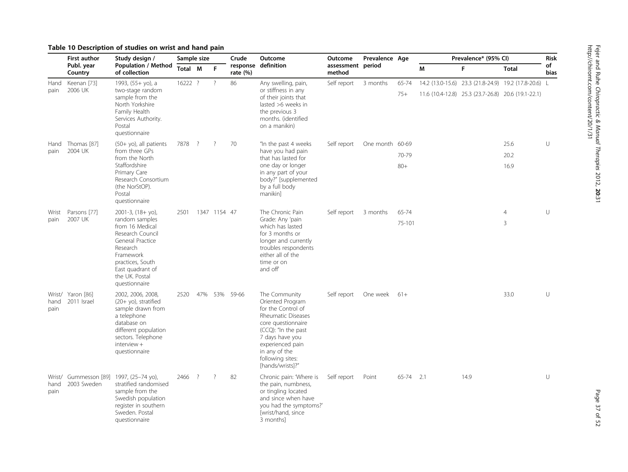|                        | <b>First author</b>           | Study design /                                                                                                                                                                                            |         | Sample size    |                | Crude      | Outcome                                                                                                                                                                                                                    | Outcome                     | Prevalence Age  |                 |   | Prevalence* (95% CI)                                                                                       |                      | <b>Risk</b> |
|------------------------|-------------------------------|-----------------------------------------------------------------------------------------------------------------------------------------------------------------------------------------------------------|---------|----------------|----------------|------------|----------------------------------------------------------------------------------------------------------------------------------------------------------------------------------------------------------------------------|-----------------------------|-----------------|-----------------|---|------------------------------------------------------------------------------------------------------------|----------------------|-------------|
|                        | Publ. year<br>Country         | <b>Population / Method</b><br>of collection                                                                                                                                                               | Total M |                | F              | rate $(%)$ | response definition                                                                                                                                                                                                        | assessment period<br>method |                 |                 | M | F                                                                                                          | <b>Total</b>         | of<br>bias  |
| Hand<br>pain           | Keenan [73]<br>2006 UK        | 1993, (55+ yo), a<br>two-stage random<br>sample from the<br>North Yorkshire<br>Family Health<br>Services Authority.<br>Postal<br>questionnaire                                                            | 16222 ? |                | $\overline{?}$ | 86         | Any swelling, pain,<br>or stiffness in any<br>of their joints that<br>lasted >6 weeks in<br>the previous 3<br>months. (identified<br>on a manikin)                                                                         | Self report                 | 3 months        | 65-74<br>$75+$  |   | 14.2 (13.0-15.6) 23.3 (21.8-24.9) 19.2 (17.8-20.6) L<br>11.6 (10.4-12.8) 25.3 (23.7-26.8) 20.6 (19.1-22.1) |                      |             |
| Hand<br>pain           | Thomas [87]<br>2004 UK        | (50+ yo), all patients<br>from three GPs<br>from the North<br>Staffordshire<br>Primary Care<br>Research Consortium<br>(the NorStOP).<br>Postal<br>questionnaire                                           | 7878 ?  |                | $\overline{?}$ | 70         | "In the past 4 weeks<br>have you had pain<br>that has lasted for<br>one day or longer<br>in any part of your<br>body?" [supplemented<br>by a full body<br>manikin]                                                         | Self report                 | One month 60-69 | 70-79<br>$80+$  |   |                                                                                                            | 25.6<br>20.2<br>16.9 | U           |
| Wrist<br>pain          | Parsons [77]<br>2007 UK       | $2001-3$ , $(18 + y0)$ ,<br>random samples<br>from 16 Medical<br>Research Council<br>General Practice<br>Research<br>Framework<br>practices, South<br>East quadrant of<br>the UK. Postal<br>questionnaire | 2501    |                | 1347 1154 47   |            | The Chronic Pain<br>Grade: Any 'pain<br>which has lasted<br>for 3 months or<br>longer and currently<br>troubles respondents<br>either all of the<br>time or on<br>and off                                                  | Self report                 | 3 months        | 65-74<br>75-101 |   |                                                                                                            | $\overline{4}$<br>3  | U           |
| Wrist/<br>hand<br>pain | Yaron [86]<br>2011 Israel     | 2002, 2006, 2008,<br>$(20 + y0)$ , stratified<br>sample drawn from<br>a telephone<br>database on<br>different population<br>sectors. Telephone<br>interview +<br>questionnaire                            | 2520    | 47%            | 53%            | 59-66      | The Community<br>Oriented Program<br>for the Control of<br>Rheumatic Diseases<br>core questionnaire<br>(CCQ): "In the past<br>7 days have you<br>experienced pain<br>in any of the<br>following sites:<br>[hands/wrists]?" | Self report                 | One week        | $61+$           |   |                                                                                                            | 33.0                 | $\cup$      |
| Wrist/<br>hand<br>pain | Gummesson [89]<br>2003 Sweden | 1997, (25-74 yo),<br>stratified randomised<br>sample from the<br>Swedish population<br>register in southern<br>Sweden. Postal<br>questionnaire                                                            | 2466    | $\overline{?}$ | $\overline{?}$ | 82         | Chronic pain: 'Where is<br>the pain, numbness,<br>or tingling located<br>and since when have<br>you had the symptoms?'<br>[wrist/hand, since<br>3 months]                                                                  | Self report                 | Point           | 65-74 2.1       |   | 14.9                                                                                                       |                      | $\cup$      |

## <span id="page-36-0"></span>Table 10 Description of studies on wrist and hand pain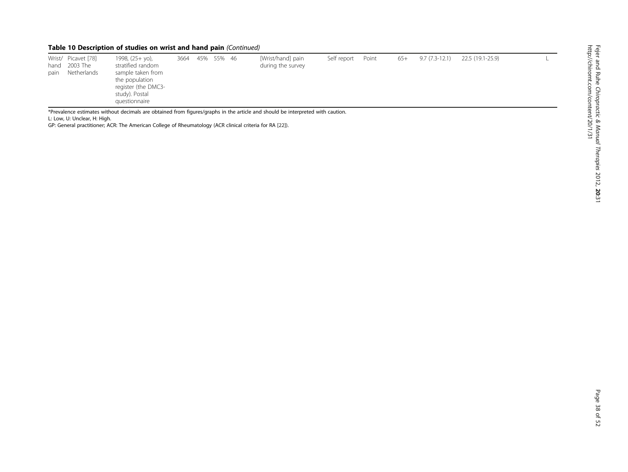## Table 10 Description of studies on wrist and hand pain (Continued)

| pain | Wrist/ Picavet [78]<br>hand 2003 The<br>Netherlands | 1998, (25+ yo),<br>stratified random<br>sample taken from<br>the population<br>register (the DMC3-<br>study). Postal | 3664 | 45% 55% 46 | [Wrist/hand] pain<br>during the survey | Self report | Point | $65+$ | $9.7(7.3-12.1)$ | 22.5 (19.1-25.9) |  |
|------|-----------------------------------------------------|----------------------------------------------------------------------------------------------------------------------|------|------------|----------------------------------------|-------------|-------|-------|-----------------|------------------|--|
|      |                                                     | questionnaire                                                                                                        |      |            |                                        |             |       |       |                 |                  |  |

\*Prevalence estimates without decimals are obtained from figures/graphs in the article and should be interpreted with caution.

L: Low, U: Unclear, H: High.

GP: General practitioner; ACR: The American College of Rheumatology (ACR clinical criteria for RA [\[22](#page-49-0)]).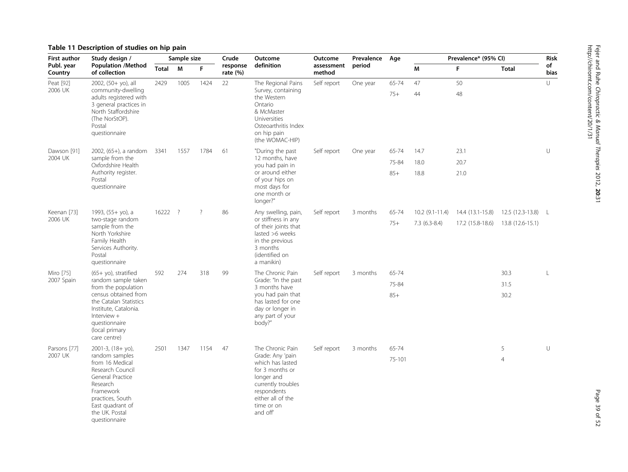## <span id="page-38-0"></span>Table 11 Description of studies on hip pain

| <b>First author</b>    | Study design /                                                                                                                                                                |              | Sample size |                    | Crude                   | Outcome                                                                                                                                                  | Outcome              | Prevalence Age |        |                  | Prevalence* (95% CI) |                     | <b>Risk</b>  |
|------------------------|-------------------------------------------------------------------------------------------------------------------------------------------------------------------------------|--------------|-------------|--------------------|-------------------------|----------------------------------------------------------------------------------------------------------------------------------------------------------|----------------------|----------------|--------|------------------|----------------------|---------------------|--------------|
| Publ. year<br>Country  | <b>Population /Method</b><br>of collection                                                                                                                                    | <b>Total</b> | M           | F.                 | response<br>rate $(\%)$ | definition                                                                                                                                               | assessment<br>method | period         |        | М                | F                    | <b>Total</b>        | of<br>bias   |
| Peat [92]              | 2002, (50+ yo), all                                                                                                                                                           | 2429         | 1005        | 1424               | 22                      | The Regional Pains                                                                                                                                       | Self report          | One year       | 65-74  | 47               | 50                   |                     | $\cup$       |
| 2006 UK                | community-dwelling<br>adults registered with<br>3 general practices in<br>North Staffordshire<br>(The NorStOP).<br>Postal<br>questionnaire                                    |              |             |                    |                         | Survey, containing<br>the Western<br>Ontario<br>& McMaster<br>Universities<br>Osteoarthritis Index<br>on hip pain<br>(the WOMAC-HIP)                     |                      |                | $75+$  | 44               | 48                   |                     |              |
| Dawson [91]<br>2004 UK | $2002$ , $(65+)$ , a random<br>sample from the                                                                                                                                | 3341         | 1557        | 1784               | 61                      | "During the past<br>12 months, have                                                                                                                      | Self report          | One year       | 65-74  | 14.7             | 23.1                 |                     | U            |
|                        | Oxfordshire Health                                                                                                                                                            |              |             |                    |                         | you had pain in                                                                                                                                          |                      |                | 75-84  | 18.0             | 20.7                 |                     |              |
|                        | Authority register.<br>Postal<br>questionnaire                                                                                                                                |              |             |                    |                         | or around either<br>of your hips on<br>most days for<br>one month or<br>longer?"                                                                         |                      |                | $85+$  | 18.8             | 21.0                 |                     |              |
| Keenan [73]            | 1993, (55+ yo), a                                                                                                                                                             | 16222 ?      |             | $\overline{\cdot}$ | 86                      | Any swelling, pain,                                                                                                                                      | Self report          | 3 months       | 65-74  | $10.2(9.1-11.4)$ | 14.4 (13.1-15.8)     | $12.5(12.3-13.8)$ L |              |
| 2006 UK                | two-stage random<br>sample from the<br>North Yorkshire<br>Family Health<br>Services Authority.<br>Postal<br>questionnaire                                                     |              |             |                    |                         | or stiffness in any<br>of their joints that<br>lasted >6 weeks<br>in the previous<br>3 months<br>(identified on<br>a manikin)                            |                      |                | $75+$  | $7.3(6.3-8.4)$   | 17.2 (15.8-18.6)     | 13.8 (12.6-15.1)    |              |
| Miro [75]              | $(65 + yo)$ , stratified                                                                                                                                                      | 592          | 274         | 318                | 99                      | The Chronic Pain                                                                                                                                         | Self report          | 3 months       | 65-74  |                  |                      | 30.3                | $\mathsf{L}$ |
| 2007 Spain             | random sample taken<br>from the population                                                                                                                                    |              |             |                    |                         | Grade: "In the past<br>3 months have                                                                                                                     |                      |                | 75-84  |                  |                      | 31.5                |              |
|                        | census obtained from<br>the Catalan Statistics<br>Institute, Catalonia.<br>$Interview +$<br>questionnaire<br>(local primary<br>care centre)                                   |              |             |                    |                         | you had pain that<br>has lasted for one<br>day or longer in<br>any part of your<br>body?"                                                                |                      |                | $85+$  |                  |                      | 30.2                |              |
| Parsons [77]           | 2001-3, (18+ yo),                                                                                                                                                             | 2501         | 1347        | 1154               | 47                      | The Chronic Pain                                                                                                                                         | Self report          | 3 months       | 65-74  |                  |                      | 5                   | U            |
| 2007 UK                | random samples<br>from 16 Medical<br>Research Council<br>General Practice<br>Research<br>Framework<br>practices, South<br>East quadrant of<br>the UK. Postal<br>questionnaire |              |             |                    |                         | Grade: Any 'pain<br>which has lasted<br>for 3 months or<br>longer and<br>currently troubles<br>respondents<br>either all of the<br>time or on<br>and off |                      |                | 75-101 |                  |                      | $\overline{4}$      |              |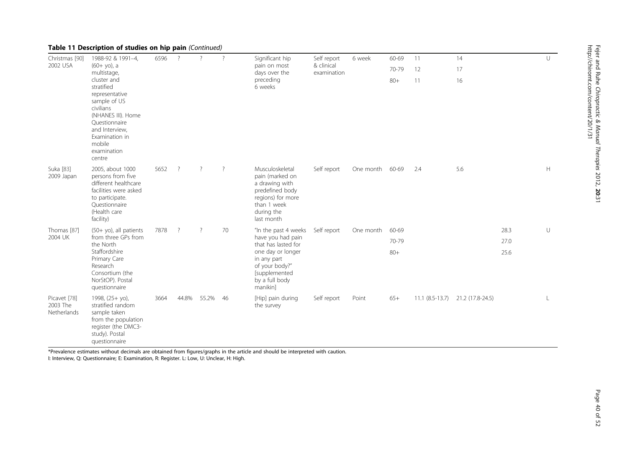## Table 11 Description of studies on hip pain (Continued)

| Christmas [90]<br>2002 USA              | 1988-92 & 1991-4,                                                                                                                                                                      | 6596 | $\overline{?}$     | $\overline{?}$ | $\overline{?}$     | Significant hip                                                                                                                         | Self report               | 6 week          | 60-69  | 11                  | 14               |      | U |
|-----------------------------------------|----------------------------------------------------------------------------------------------------------------------------------------------------------------------------------------|------|--------------------|----------------|--------------------|-----------------------------------------------------------------------------------------------------------------------------------------|---------------------------|-----------------|--------|---------------------|------------------|------|---|
|                                         | (60+ yo), a<br>multistage,                                                                                                                                                             |      |                    |                |                    | pain on most<br>days over the                                                                                                           | & clinical<br>examination |                 | 70-79  | 12                  | 17               |      |   |
|                                         | cluster and<br>stratified<br>representative<br>sample of US<br>civilians<br>(NHANES III). Home<br>Questionnaire<br>and Interview,<br>Examination in<br>mobile<br>examination<br>centre |      |                    |                |                    | preceding<br>6 weeks                                                                                                                    |                           |                 | $80 +$ | 11                  | 16               |      |   |
| Suka [83]<br>2009 Japan                 | 2005, about 1000<br>persons from five<br>different healthcare<br>facilities were asked<br>to participate.<br>Questionnaire<br>(Health care<br>facility)                                | 5652 | $\overline{?}$     | $\overline{?}$ | $\overline{\cdot}$ | Musculoskeletal<br>pain (marked on<br>a drawing with<br>predefined body<br>regions) for more<br>than 1 week<br>during the<br>last month | Self report               | One month 60-69 |        | 2.4                 | 5.6              |      | H |
| Thomas [87]                             | $(50 + yo)$ , all patients                                                                                                                                                             | 7878 | $\overline{\cdot}$ | $\overline{?}$ | 70                 | "In the past 4 weeks                                                                                                                    | Self report               | One month       | 60-69  |                     |                  | 28.3 | U |
| 2004 UK                                 | from three GPs from<br>the North                                                                                                                                                       |      |                    |                |                    | have you had pain<br>that has lasted for                                                                                                |                           |                 | 70-79  |                     |                  | 27.0 |   |
|                                         | Staffordshire<br>Primary Care<br>Research<br>Consortium (the<br>NorStOP). Postal<br>questionnaire                                                                                      |      |                    |                |                    | one day or longer<br>in any part<br>of your body?"<br>[supplemented<br>by a full body<br>manikin]                                       |                           |                 | $80+$  |                     |                  | 25.6 |   |
| Picavet [78]<br>2003 The<br>Netherlands | 1998, (25+ yo),<br>stratified random<br>sample taken<br>from the population<br>register (the DMC3-<br>study). Postal<br>questionnaire                                                  | 3664 | 44.8%              | 55.2%          | 46                 | [Hip] pain during<br>the survey                                                                                                         | Self report               | Point           | $65+$  | $11.1 (8.5 - 13.7)$ | 21.2 (17.8-24.5) |      |   |

\*Prevalence estimates without decimals are obtained from figures/graphs in the article and should be interpreted with caution. I: Interview, Q: Questionnaire; E: Examination, R: Register. L: Low, U: Unclear, H: High.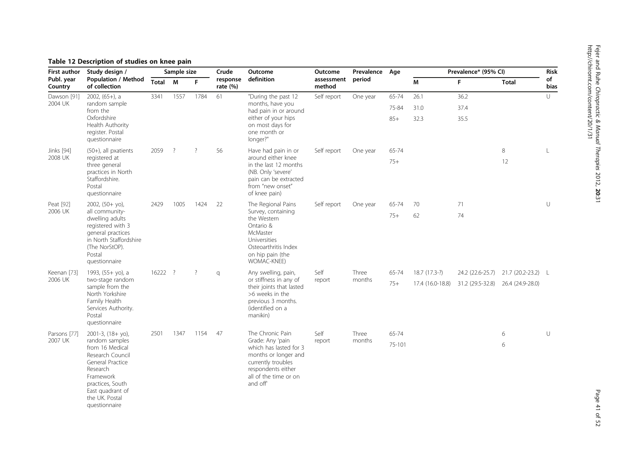| http://chiromt.com/content/20/1/31 | Fejer and Ruhe Chropractic & Manual Therapies 2012, 20 |
|------------------------------------|--------------------------------------------------------|
|------------------------------------|--------------------------------------------------------|

ن<br>آ

## <span id="page-40-0"></span>Table 12 Description of studies on knee pain

| First author          | Study design /                                                                                                                                                                |         | Sample size    |      | Crude                  | Outcome                                                                                                                                            | Outcome              | Prevalence Age |        |               | Prevalence* (95% CI)              |                    | Risk       |
|-----------------------|-------------------------------------------------------------------------------------------------------------------------------------------------------------------------------|---------|----------------|------|------------------------|----------------------------------------------------------------------------------------------------------------------------------------------------|----------------------|----------------|--------|---------------|-----------------------------------|--------------------|------------|
| Publ. year<br>Country | <b>Population / Method</b><br>of collection                                                                                                                                   | Total   | M              | F.   | response<br>rate $(%)$ | definition                                                                                                                                         | assessment<br>method | period         |        | М             | F.                                | Total              | of<br>bias |
| Dawson [91]           | $2002, (65+)$ , a                                                                                                                                                             | 3341    | 1557           | 1784 | 61                     | "During the past 12                                                                                                                                | Self report          | One year       | 65-74  | 26.1          | 36.2                              |                    | $\cup$     |
| 2004 UK               | random sample<br>from the                                                                                                                                                     |         |                |      |                        | months, have you<br>had pain in or around                                                                                                          |                      |                | 75-84  | 31.0          | 37.4                              |                    |            |
|                       | Oxfordshire<br>Health Authority<br>register. Postal<br>questionnaire                                                                                                          |         |                |      |                        | either of your hips<br>on most days for<br>one month or<br>longer?"                                                                                |                      |                | $85+$  | 32.3          | 35.5                              |                    |            |
| Jinks [94]            | $(50+)$ , all pxatients                                                                                                                                                       | 2059    | $\overline{?}$ | ?    | 56                     | Have had pain in or                                                                                                                                | Self report          | One year       | 65-74  |               |                                   | 8                  | L          |
| 2008 UK               | registered at<br>three general<br>practices in North<br>Staffordshire.<br>Postal<br>questionnaire                                                                             |         |                |      |                        | around either knee<br>in the last 12 months<br>(NB. Only 'severe'<br>pain can be extracted<br>from "new onset"<br>of knee pain)                    |                      |                | $75+$  |               |                                   | 12                 |            |
| Peat [92]             | 2002, (50+ yo),                                                                                                                                                               | 2429    | 1005           | 1424 | 22                     | The Regional Pains                                                                                                                                 | Self report          | One year       | 65-74  | 70            | 71                                |                    | $\cup$     |
| 2006 UK               | all community-<br>dwelling adults<br>registered with 3<br>general practices<br>in North Staffordshire<br>(The NorStOP).<br>Postal<br>questionnaire                            |         |                |      |                        | Survey, containing<br>the Western<br>Ontario &<br>McMaster<br>Universities<br>Osteoarthritis Index<br>on hip pain (the<br>WOMAC-KNEE)              |                      |                | $75+$  | 62            | 74                                |                    |            |
| Keenan [73]           | 1993, (55+ yo), a                                                                                                                                                             | 16222 ? |                | ?    | $\alpha$               | Any swelling, pain,                                                                                                                                | Self                 | Three          | 65-74  | 18.7 (17.3-?) | 24.2 (22.6-25.7)                  | 21.7 (20.2-23.2) L |            |
| 2006 UK               | two-stage random<br>sample from the<br>North Yorkshire<br>Family Health<br>Services Authority.<br>Postal<br>questionnaire                                                     |         |                |      |                        | or stiffness in any of<br>their joints that lasted<br>>6 weeks in the<br>previous 3 months.<br>(identified on a<br>manikin)                        | report               | months         | $75+$  |               | 17.4 (16.0-18.8) 31.2 (29.5-32.8) | 26.4 (24.9-28.0)   |            |
| Parsons [77]          | $2001-3$ , $(18 + y0)$ ,                                                                                                                                                      | 2501    | 1347           | 1154 | 47                     | The Chronic Pain                                                                                                                                   | Self                 | Three          | 65-74  |               |                                   | 6                  | $\cup$     |
| 2007 UK               | random samples<br>from 16 Medical<br>Research Council<br>General Practice<br>Research<br>Framework<br>practices, South<br>East quadrant of<br>the UK. Postal<br>questionnaire |         |                |      |                        | Grade: Any 'pain<br>which has lasted for 3<br>months or longer and<br>currently troubles<br>respondents either<br>all of the time or on<br>and off | report               | months         | 75-101 |               |                                   | 6                  |            |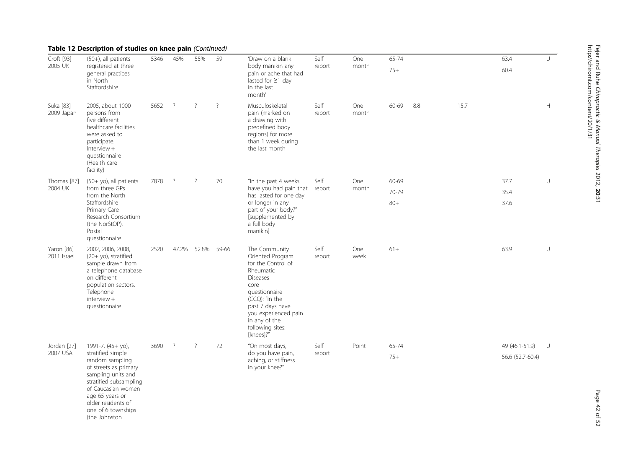# Table 12 Description of studies on knee pain (Continued)

| Croft [93]                | (50+), all patients                                                                                                                                                                                                 | 5346 | 45%            | 55%            | 59                 | 'Draw on a blank                                                                                                                                                                                                                 | Self           | One          | 65-74 |     |      | 63.4             | $\cup$ |
|---------------------------|---------------------------------------------------------------------------------------------------------------------------------------------------------------------------------------------------------------------|------|----------------|----------------|--------------------|----------------------------------------------------------------------------------------------------------------------------------------------------------------------------------------------------------------------------------|----------------|--------------|-------|-----|------|------------------|--------|
| 2005 UK                   | registered at three<br>general practices<br>in North<br>Staffordshire                                                                                                                                               |      |                |                |                    | body manikin any<br>pain or ache that had<br>lasted for ≥1 day<br>in the last<br>month'                                                                                                                                          | report         | month        | $75+$ |     |      | 60.4             |        |
| Suka [83]<br>2009 Japan   | 2005, about 1000<br>persons from<br>five different<br>healthcare facilities<br>were asked to<br>participate.<br>Interview +<br>questionnaire<br>(Health care<br>facility)                                           | 5652 | $\overline{?}$ | $\overline{?}$ | $\overline{\cdot}$ | Musculoskeletal<br>pain (marked on<br>a drawing with<br>predefined body<br>regions) for more<br>than 1 week during<br>the last month                                                                                             | Self<br>report | One<br>month | 60-69 | 8.8 | 15.7 |                  | H      |
| Thomas [87]               | $(50 + yo)$ , all patients                                                                                                                                                                                          | 7878 | $\overline{?}$ | $\overline{?}$ | 70                 | "In the past 4 weeks                                                                                                                                                                                                             | Self           | One          | 60-69 |     |      | 37.7             | $\cup$ |
| 2004 UK                   | from three GPs<br>from the North                                                                                                                                                                                    |      |                |                |                    | have you had pain that report<br>has lasted for one day                                                                                                                                                                          |                | month        | 70-79 |     |      | 35.4             |        |
|                           | Staffordshire<br>Primary Care<br>Research Consortium<br>(the NorStOP).<br>Postal<br>questionnaire                                                                                                                   |      |                |                |                    | or longer in any<br>part of your body?"<br>[supplemented by<br>a full body<br>manikin]                                                                                                                                           |                |              | $80+$ |     |      | 37.6             |        |
| Yaron [86]<br>2011 Israel | 2002, 2006, 2008,<br>$(20 + y0)$ , stratified<br>sample drawn from<br>a telephone database<br>on different<br>population sectors.<br>Telephone<br>$interview +$<br>questionnaire                                    | 2520 | 47.2%          | 52.8%          | 59-66              | The Community<br>Oriented Program<br>for the Control of<br>Rheumatic<br><b>Diseases</b><br>core<br>questionnaire<br>(CCQ): "In the<br>past 7 days have<br>you experienced pain<br>in any of the<br>following sites:<br>[knees]?" | Self<br>report | One<br>week  | $61+$ |     |      | 63.9             | $\cup$ |
| Jordan [27]               | 1991-7, (45+ yo),                                                                                                                                                                                                   | 3690 | $\overline{?}$ | $\overline{?}$ | 72                 | "On most days,                                                                                                                                                                                                                   | Self           | Point        | 65-74 |     |      | 49 (46.1-51.9)   | U      |
| 2007 USA                  | stratified simple<br>random sampling<br>of streets as primary<br>sampling units and<br>stratified subsampling<br>of Caucasian women<br>age 65 years or<br>older residents of<br>one of 6 townships<br>(the Johnston |      |                |                |                    | do you have pain,<br>aching, or stiffness<br>in your knee?"                                                                                                                                                                      | report         |              | $75+$ |     |      | 56.6 (52.7-60.4) |        |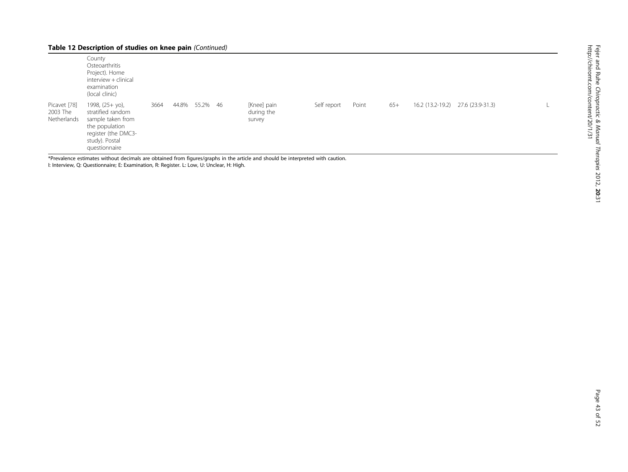## Table 12 Description of studies on knee pain (Continued)

|                                         | County<br>Osteoarthritis<br>Project). Home<br>interview + clinical<br>examination<br>(local clinic)                                   |      |       |          |                                     |             |       |       |                                   |  |
|-----------------------------------------|---------------------------------------------------------------------------------------------------------------------------------------|------|-------|----------|-------------------------------------|-------------|-------|-------|-----------------------------------|--|
| Picavet [78]<br>2003 The<br>Netherlands | 1998, (25+ yo),<br>stratified random<br>sample taken from<br>the population<br>register (the DMC3-<br>study). Postal<br>questionnaire | 3664 | 44.8% | 55.2% 46 | [Knee] pain<br>during the<br>survey | Self report | Point | $65+$ | 16.2 (13.2-19.2) 27.6 (23.9-31.3) |  |

\*Prevalence estimates without decimals are obtained from figures/graphs in the article and should be interpreted with caution.

I: Interview, Q: Questionnaire; E: Examination, R: Register. L: Low, U: Unclear, H: High.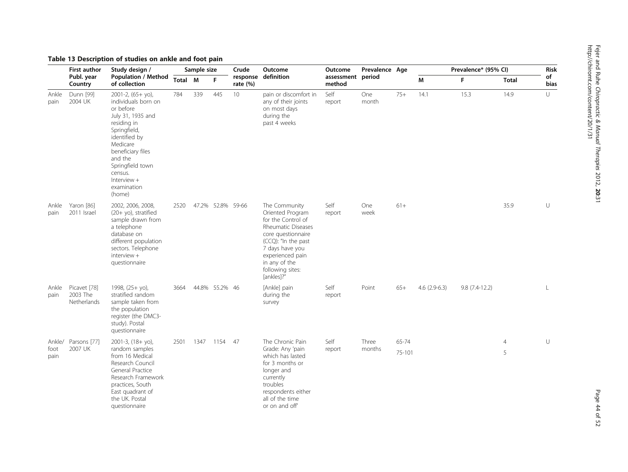|                        | <b>First author</b>                     | Study design /                                                                                                                                                                                                                                |         | Sample size |                   | Crude                | Outcome                                                                                                                                                                                                              | Outcome                     | Prevalence Age  |                 |                | Prevalence* (95% CI) |                     | <b>Risk</b> |
|------------------------|-----------------------------------------|-----------------------------------------------------------------------------------------------------------------------------------------------------------------------------------------------------------------------------------------------|---------|-------------|-------------------|----------------------|----------------------------------------------------------------------------------------------------------------------------------------------------------------------------------------------------------------------|-----------------------------|-----------------|-----------------|----------------|----------------------|---------------------|-------------|
|                        | Publ. year<br>Country                   | <b>Population / Method</b><br>of collection                                                                                                                                                                                                   | Total M |             | F                 | response<br>rate (%) | definition                                                                                                                                                                                                           | assessment period<br>method |                 |                 | M              | F.                   | <b>Total</b>        | of<br>bias  |
| Ankle<br>pain          | Dunn [99]<br>2004 UK                    | 2001-2, (65+ yo),<br>individuals born on<br>or before<br>July 31, 1935 and<br>residing in<br>Springfield,<br>identified by<br>Medicare<br>beneficiary files<br>and the<br>Springfield town<br>census.<br>Interview +<br>examination<br>(home) | 784     | 339         | 445               | 10 <sup>°</sup>      | pain or discomfort in<br>any of their joints<br>on most days<br>during the<br>past 4 weeks                                                                                                                           | Self<br>report              | One<br>month    | $75+$           | 14.1           | 15.3                 | 14.9                | U           |
| Ankle<br>pain          | Yaron [86]<br>2011 Israel               | 2002, 2006, 2008,<br>$(20 + y0)$ , stratified<br>sample drawn from<br>a telephone<br>database on<br>different population<br>sectors. Telephone<br>interview +<br>questionnaire                                                                | 2520    |             | 47.2% 52.8% 59-66 |                      | The Community<br>Oriented Program<br>for the Control of<br>Rheumatic Diseases<br>core questionnaire<br>(CCQ): "In the past<br>7 days have you<br>experienced pain<br>in any of the<br>following sites:<br>[ankles]?" | Self<br>report              | One<br>week     | $61+$           |                |                      | 35.9                | U           |
| Ankle<br>pain          | Picavet [78]<br>2003 The<br>Netherlands | 1998, (25+ yo),<br>stratified random<br>sample taken from<br>the population<br>register (the DMC3-<br>study). Postal<br>questionnaire                                                                                                         | 3664    |             | 44.8% 55.2% 46    |                      | [Ankle] pain<br>during the<br>survey                                                                                                                                                                                 | Self<br>report              | Point           | $65+$           | $4.6(2.9-6.3)$ | $9.8(7.4-12.2)$      |                     | L           |
| Ankle/<br>foot<br>pain | Parsons [77]<br>2007 UK                 | $2001-3$ , $(18+yo)$ ,<br>random samples<br>from 16 Medical<br>Research Council<br>General Practice<br>Research Framework<br>practices, South<br>East quadrant of<br>the UK. Postal<br>questionnaire                                          | 2501    | 1347        | 1154 47           |                      | The Chronic Pain<br>Grade: Any 'pain<br>which has lasted<br>for 3 months or<br>longer and<br>currently<br>troubles<br>respondents either<br>all of the time<br>or on and off                                         | Self<br>report              | Three<br>months | 65-74<br>75-101 |                |                      | $\overline{4}$<br>5 | U           |

# <span id="page-43-0"></span>Table 13 Description of studies on ankle and foot pain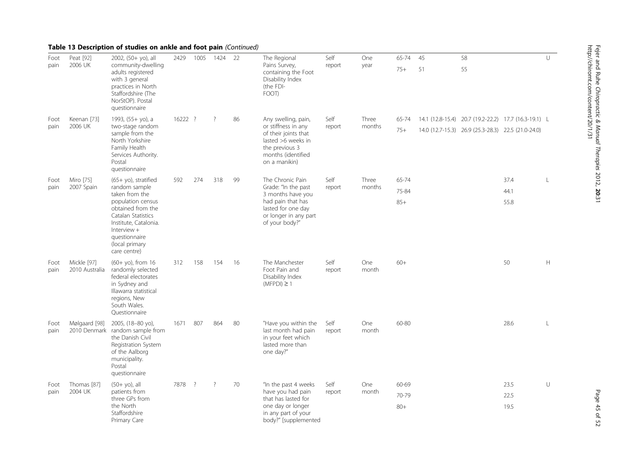## Table 13 Description of studies on ankle and foot pain (Continued)

| Foot         | Peat [92]<br>2006 UK          | 2002, (50+ yo), all                                                                                                                                          | 2429    | 1005           | 1424           | 22 | The Regional                                                                                                               | Self           | One          | 65-74  | 45 | 58                                                   |      | $\cup$       |
|--------------|-------------------------------|--------------------------------------------------------------------------------------------------------------------------------------------------------------|---------|----------------|----------------|----|----------------------------------------------------------------------------------------------------------------------------|----------------|--------------|--------|----|------------------------------------------------------|------|--------------|
| pain         |                               | community-dwelling<br>adults registered<br>with 3 general<br>practices in North<br>Staffordshire (The<br>NorStOP). Postal<br>questionnaire                   |         |                |                |    | Pains Survey,<br>containing the Foot<br>Disability Index<br>(the FDI-<br>FOOT)                                             | report         | year         | $75+$  | 51 | 55                                                   |      |              |
| Foot         | Keenan [73]                   | 1993, (55+ yo), a                                                                                                                                            | 16222 ? |                | $\overline{?}$ | 86 | Any swelling, pain,                                                                                                        | Self           | Three        | 65-74  |    | 14.1 (12.8-15.4) 20.7 (19.2-22.2) 17.7 (16.3-19.1) L |      |              |
| pain         | 2006 UK                       | two-stage random<br>sample from the<br>North Yorkshire<br>Family Health<br>Services Authority.<br>Postal<br>questionnaire                                    |         |                |                |    | or stiffness in any<br>of their joints that<br>lasted >6 weeks in<br>the previous 3<br>months (identified<br>on a manikin) | report         | months       | $75+$  |    | 14.0 (12.7-15.3) 26.9 (25.3-28.3) 22.5 (21.0-24.0)   |      |              |
| Foot         | Miro [75]                     | $(65+$ yo), stratified<br>random sample                                                                                                                      | 592     | 274            | 318            | 99 | The Chronic Pain<br>Grade: "In the past                                                                                    | Self           | Three        | 65-74  |    |                                                      | 37.4 | L            |
| pain         | 2007 Spain                    | taken from the                                                                                                                                               |         |                |                |    | 3 months have you                                                                                                          | report         | months       | 75-84  |    |                                                      | 44.1 |              |
|              |                               | population census<br>obtained from the<br>Catalan Statistics<br>Institute, Catalonia.<br>Interview +<br>questionnaire<br>(local primary<br>care centre)      |         |                |                |    | had pain that has<br>lasted for one day<br>or longer in any part<br>of your body?"                                         |                |              | $85+$  |    |                                                      | 55.8 |              |
| Foot<br>pain | Mickle [97]<br>2010 Australia | $(60 + yo)$ , from 16<br>randomly selected<br>federal electorates<br>in Sydney and<br>Illawarra statistical<br>regions, New<br>South Wales.<br>Questionnaire | 312     | 158            | 154            | 16 | The Manchester<br>Foot Pain and<br>Disability Index<br>$(MFPDI) \geq 1$                                                    | Self<br>report | One<br>month | $60+$  |    |                                                      | 50   | H            |
| Foot<br>pain | Mølgaard [98]<br>2010 Denmark | 2005, (18-80 yo),<br>random sample from<br>the Danish Civil<br>Registration System<br>of the Aalborg<br>municipality.<br>Postal<br>questionnaire             | 1671    | 807            | 864            | 80 | "Have you within the<br>last month had pain<br>in your feet which<br>lasted more than<br>one day?"                         | Self<br>report | One<br>month | 60-80  |    |                                                      | 28.6 | $\mathbf{I}$ |
| Foot         | Thomas [87]                   | $(50+yo)$ , all                                                                                                                                              | 7878    | $\overline{?}$ | $\overline{?}$ | 70 | "In the past 4 weeks                                                                                                       | Self           | One          | 60-69  |    |                                                      | 23.5 | $\cup$       |
| pain         | 2004 UK                       | patients from<br>three GPs from                                                                                                                              |         |                |                |    | have you had pain<br>that has lasted for                                                                                   | report         | month        | 70-79  |    |                                                      | 22.5 |              |
|              |                               | the North<br>Staffordshire<br>Primary Care                                                                                                                   |         |                |                |    | one day or longer<br>in any part of your<br>body?" [supplemented                                                           |                |              | $80 +$ |    |                                                      | 19.5 |              |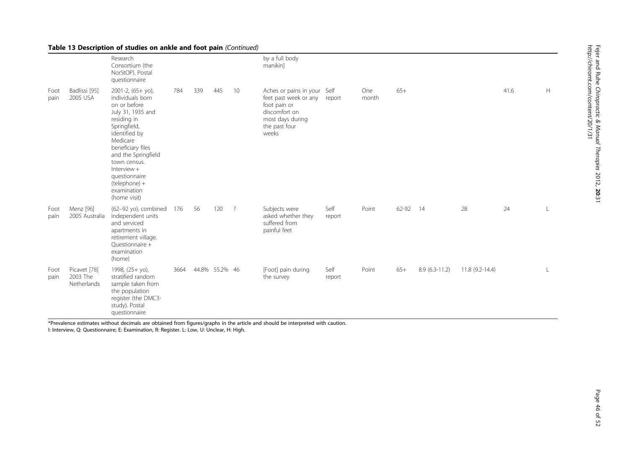|              |                                         | Research<br>Consortium (the<br>NorStOP). Postal<br>questionnaire                                                                                                                                                                                                                              |      |     |                |                | by a full body<br>manikin]                                                                                                          |                |              |          |                 |                 |      |   |
|--------------|-----------------------------------------|-----------------------------------------------------------------------------------------------------------------------------------------------------------------------------------------------------------------------------------------------------------------------------------------------|------|-----|----------------|----------------|-------------------------------------------------------------------------------------------------------------------------------------|----------------|--------------|----------|-----------------|-----------------|------|---|
| Foot<br>pain | Badlissi [95]<br>2005 USA               | $2001 - 2$ , $(65 + y0)$ ,<br>individuals born<br>on or before<br>July 31, 1935 and<br>residing in<br>Springfield,<br>identified by<br>Medicare<br>beneficiary files<br>and the Springfield<br>town census.<br>Interview $+$<br>questionnaire<br>(telephone) +<br>examination<br>(home visit) | 784  | 339 | 445            | 10             | Aches or pains in your Self<br>feet past week or any<br>foot pain or<br>discomfort on<br>most days during<br>the past four<br>weeks | report         | One<br>month | $65+$    |                 |                 | 41.6 | H |
| Foot<br>pain | Menz [96]<br>2005 Australia             | (62-92 yo), combined<br>independent units<br>and serviced<br>apartments in<br>retirement village.<br>Questionnaire +<br>examination<br>(home)                                                                                                                                                 | 176  | 56  | 120            | $\overline{?}$ | Subjects were<br>asked whether they<br>suffered from<br>painful feet                                                                | Self<br>report | Point        | 62-92 14 |                 | 28              | 24   |   |
| Foot<br>pain | Picavet [78]<br>2003 The<br>Netherlands | 1998, (25+ yo),<br>stratified random<br>sample taken from<br>the population<br>register (the DMC3-<br>study). Postal<br>questionnaire                                                                                                                                                         | 3664 |     | 44.8% 55.2% 46 |                | [Foot] pain during<br>the survey                                                                                                    | Self<br>report | Point        | $65+$    | $8.9(6.3-11.2)$ | 11.8 (9.2-14.4) |      |   |

## Table 13 Description of studies on ankle and foot pain (Continued)

\*Prevalence estimates without decimals are obtained from figures/graphs in the article and should be interpreted with caution. I: Interview, Q: Questionnaire; E: Examination, R: Register. L: Low, U: Unclear, H: High.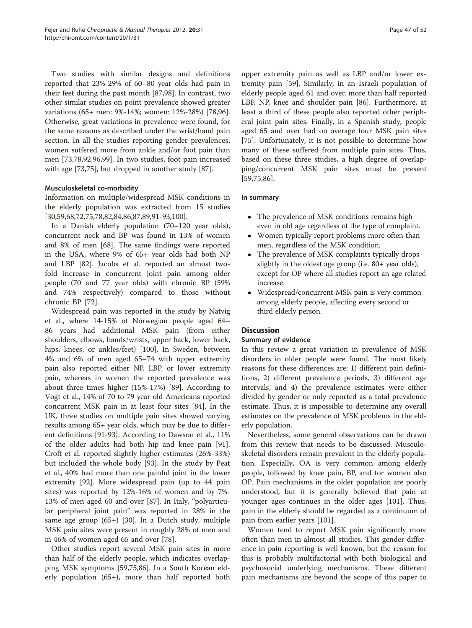Two studies with similar designs and definitions reported that 23%-29% of 60–80 year olds had pain in their feet during the past month [\[87,98\]](#page-51-0). In contrast, two other similar studies on point prevalence showed greater variations (65+ men: 9%-14%; women: 12%-28%) [\[78,96](#page-51-0)]. Otherwise, great variations in prevalence were found, for the same reasons as described under the wrist/hand pain section. In all the studies reporting gender prevalences, women suffered more from ankle and/or foot pain than men [\[73,78,92,96,99\]](#page-51-0). In two studies, foot pain increased with age [\[73,75\]](#page-51-0), but dropped in another study [\[87\]](#page-51-0).

## Musculoskeletal co-morbidity

Information on multiple/widespread MSK conditions in the elderly population was extracted from 15 studies [[30,](#page-49-0)[59,68,72,](#page-50-0)[75,78](#page-51-0),[82](#page-51-0),[84](#page-51-0),[86](#page-51-0),[87,89,91](#page-51-0)-[93,100\]](#page-51-0).

In a Danish elderly population (70–120 year olds), concurrent neck and BP was found in 13% of women and 8% of men [\[68\]](#page-50-0). The same findings were reported in the USA, where 9% of 65+ year olds had both NP and LBP [[82\]](#page-51-0). Jacobs et al. reported an almost twofold increase in concurrent joint pain among older people (70 and 77 year olds) with chronic BP (59% and 74% respectively) compared to those without chronic BP [[72\]](#page-50-0).

Widespread pain was reported in the study by Natvig et al., where 14-15% of Norwegian people aged 64– 86 years had additional MSK pain (from either shoulders, elbows, hands/wrists, upper back, lower back, hips, knees, or ankles/feet) [[100\]](#page-51-0). In Sweden, between 4% and 6% of men aged 65–74 with upper extremity pain also reported either NP, LBP, or lower extremity pain, whereas in women the reported prevalence was about three times higher (15%-17%) [\[89](#page-51-0)]. According to Vogt et al., 14% of 70 to 79 year old Americans reported concurrent MSK pain in at least four sites [\[84](#page-51-0)]. In the UK, three studies on multiple pain sites showed varying results among 65+ year olds, which may be due to different definitions [[91-93\]](#page-51-0). According to Dawson et al., 11% of the older adults had both hip and knee pain [\[91](#page-51-0)]. Croft et al. reported slightly higher estimates (26%-33%) but included the whole body [\[93\]](#page-51-0). In the study by Peat et al., 40% had more than one painful joint in the lower extremity [[92\]](#page-51-0). More widespread pain (up to 44 pain sites) was reported by 12%-16% of women and by 7%- 13% of men aged 60 and over [\[87](#page-51-0)]. In Italy, "polyarticular peripheral joint pain" was reported in 28% in the same age group (65+) [\[30](#page-49-0)]. In a Dutch study, multiple MSK pain sites were present in roughly 28% of men and in 46% of women aged 65 and over [\[78](#page-51-0)].

Other studies report several MSK pain sites in more than half of the elderly people, which indicates overlapping MSK symptoms [\[59,](#page-50-0)[75,86\]](#page-51-0). In a South Korean elderly population (65+), more than half reported both

upper extremity pain as well as LBP and/or lower extremity pain [\[59\]](#page-50-0). Similarly, in an Israeli population of elderly people aged 61 and over, more than half reported LBP, NP, knee and shoulder pain [[86\]](#page-51-0). Furthermore, at least a third of these people also reported other peripheral joint pain sites. Finally, in a Spanish study, people aged 65 and over had on average four MSK pain sites [[75\]](#page-51-0). Unfortunately, it is not possible to determine how many of these suffered from multiple pain sites. Thus, based on these three studies, a high degree of overlapping/concurrent MSK pain sites must be present

#### In summary

[[59,](#page-50-0)[75,86\]](#page-51-0).

- The prevalence of MSK conditions remains high even in old age regardless of the type of complaint.
- Women typically report problems more often than men, regardless of the MSK condition.
- The prevalence of MSK complaints typically drops slightly in the oldest age group (i.e. 80+ year olds), except for OP where all studies report an age related increase.
- Widespread/concurrent MSK pain is very common among elderly people, affecting every second or third elderly person.

## **Discussion**

#### Summary of evidence

In this review a great variation in prevalence of MSK disorders in older people were found. The most likely reasons for these differences are: 1) different pain definitions, 2) different prevalence periods, 3) different age intervals, and 4) the prevalence estimates were either divided by gender or only reported as a total prevalence estimate. Thus, it is impossible to determine any overall estimates on the prevalence of MSK problems in the elderly population.

Nevertheless, some general observations can be drawn from this review that needs to be discussed. Musculoskeletal disorders remain prevalent in the elderly population. Especially, OA is very common among elderly people, followed by knee pain, BP, and for women also OP. Pain mechanisms in the older population are poorly understood, but it is generally believed that pain at younger ages continues in the older ages [[101](#page-51-0)]. Thus, pain in the elderly should be regarded as a continuum of pain from earlier years [\[101](#page-51-0)].

Women tend to report MSK pain significantly more often than men in almost all studies. This gender difference in pain reporting is well known, but the reason for this is probably multifactorial with both biological and psychosocial underlying mechanisms. These different pain mechanisms are beyond the scope of this paper to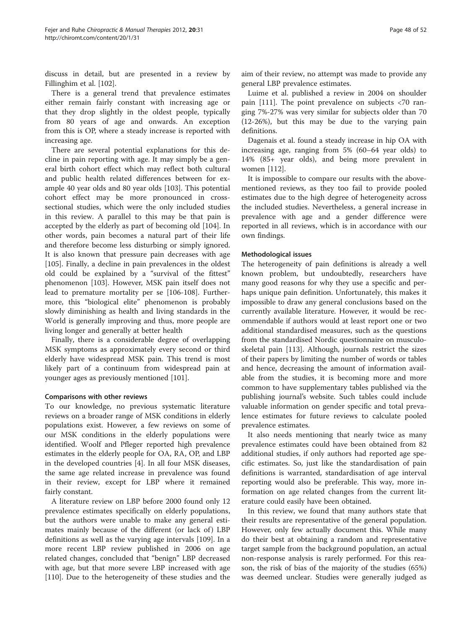discuss in detail, but are presented in a review by Fillinghim et al. [[102\]](#page-51-0).

There is a general trend that prevalence estimates either remain fairly constant with increasing age or that they drop slightly in the oldest people, typically from 80 years of age and onwards. An exception from this is OP, where a steady increase is reported with increasing age.

There are several potential explanations for this decline in pain reporting with age. It may simply be a general birth cohort effect which may reflect both cultural and public health related differences between for example 40 year olds and 80 year olds [\[103](#page-51-0)]. This potential cohort effect may be more pronounced in crosssectional studies, which were the only included studies in this review. A parallel to this may be that pain is accepted by the elderly as part of becoming old [[104](#page-51-0)]. In other words, pain becomes a natural part of their life and therefore become less disturbing or simply ignored. It is also known that pressure pain decreases with age [[105\]](#page-51-0). Finally, a decline in pain prevalences in the oldest old could be explained by a "survival of the fittest" phenomenon [[103\]](#page-51-0). However, MSK pain itself does not lead to premature mortality per se [[106](#page-51-0)-[108\]](#page-51-0). Furthermore, this "biological elite" phenomenon is probably slowly diminishing as health and living standards in the World is generally improving and thus, more people are living longer and generally at better health

Finally, there is a considerable degree of overlapping MSK symptoms as approximately every second or third elderly have widespread MSK pain. This trend is most likely part of a continuum from widespread pain at younger ages as previously mentioned [[101](#page-51-0)].

#### Comparisons with other reviews

To our knowledge, no previous systematic literature reviews on a broader range of MSK conditions in elderly populations exist. However, a few reviews on some of our MSK conditions in the elderly populations were identified. Woolf and Pfleger reported high prevalence estimates in the elderly people for OA, RA, OP, and LBP in the developed countries [\[4\]](#page-49-0). In all four MSK diseases, the same age related increase in prevalence was found in their review, except for LBP where it remained fairly constant.

A literature review on LBP before 2000 found only 12 prevalence estimates specifically on elderly populations, but the authors were unable to make any general estimates mainly because of the different (or lack of) LBP definitions as well as the varying age intervals [\[109\]](#page-51-0). In a more recent LBP review published in 2006 on age related changes, concluded that "benign" LBP decreased with age, but that more severe LBP increased with age [[110\]](#page-51-0). Due to the heterogeneity of these studies and the

aim of their review, no attempt was made to provide any general LBP prevalence estimates.

Luime et al. published a review in 2004 on shoulder pain [\[111\]](#page-51-0). The point prevalence on subjects <70 ranging 7%-27% was very similar for subjects older than 70 (12-26%), but this may be due to the varying pain definitions.

Dagenais et al. found a steady increase in hip OA with increasing age, ranging from 5% (60–64 year olds) to 14% (85+ year olds), and being more prevalent in women [[112\]](#page-51-0).

It is impossible to compare our results with the abovementioned reviews, as they too fail to provide pooled estimates due to the high degree of heterogeneity across the included studies. Nevertheless, a general increase in prevalence with age and a gender difference were reported in all reviews, which is in accordance with our own findings.

#### Methodological issues

The heterogeneity of pain definitions is already a well known problem, but undoubtedly, researchers have many good reasons for why they use a specific and perhaps unique pain definition. Unfortunately, this makes it impossible to draw any general conclusions based on the currently available literature. However, it would be recommendable if authors would at least report one or two additional standardised measures, such as the questions from the standardised Nordic questionnaire on musculoskeletal pain [[113\]](#page-51-0). Although, journals restrict the sizes of their papers by limiting the number of words or tables and hence, decreasing the amount of information available from the studies, it is becoming more and more common to have supplementary tables published via the publishing journal's website. Such tables could include valuable information on gender specific and total prevalence estimates for future reviews to calculate pooled prevalence estimates.

It also needs mentioning that nearly twice as many prevalence estimates could have been obtained from 82 additional studies, if only authors had reported age specific estimates. So, just like the standardisation of pain definitions is warranted, standardisation of age interval reporting would also be preferable. This way, more information on age related changes from the current literature could easily have been obtained.

In this review, we found that many authors state that their results are representative of the general population. However, only few actually document this. While many do their best at obtaining a random and representative target sample from the background population, an actual non-response analysis is rarely performed. For this reason, the risk of bias of the majority of the studies (65%) was deemed unclear. Studies were generally judged as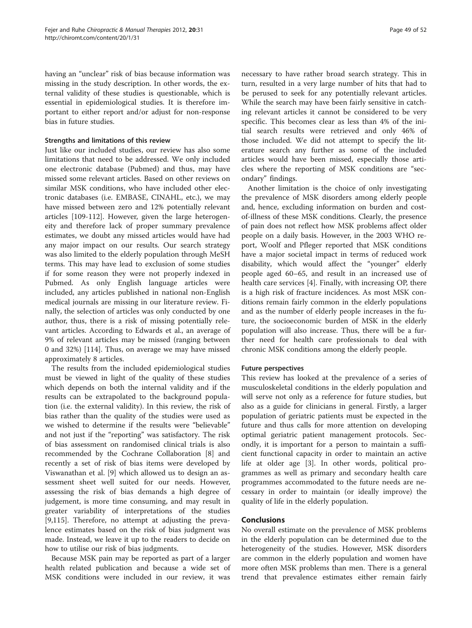having an "unclear" risk of bias because information was missing in the study description. In other words, the external validity of these studies is questionable, which is essential in epidemiological studies. It is therefore important to either report and/or adjust for non-response bias in future studies.

#### Strengths and limitations of this review

Just like our included studies, our review has also some limitations that need to be addressed. We only included one electronic database (Pubmed) and thus, may have missed some relevant articles. Based on other reviews on similar MSK conditions, who have included other electronic databases (i.e. EMBASE, CINAHL, etc.), we may have missed between zero and 12% potentially relevant articles [\[109](#page-51-0)-[112](#page-51-0)]. However, given the large heterogeneity and therefore lack of proper summary prevalence estimates, we doubt any missed articles would have had any major impact on our results. Our search strategy was also limited to the elderly population through MeSH terms. This may have lead to exclusion of some studies if for some reason they were not properly indexed in Pubmed. As only English language articles were included, any articles published in national non-English medical journals are missing in our literature review. Finally, the selection of articles was only conducted by one author, thus, there is a risk of missing potentially relevant articles. According to Edwards et al., an average of 9% of relevant articles may be missed (ranging between 0 and 32%) [\[114](#page-51-0)]. Thus, on average we may have missed approximately 8 articles.

The results from the included epidemiological studies must be viewed in light of the quality of these studies which depends on both the internal validity and if the results can be extrapolated to the background population (i.e. the external validity). In this review, the risk of bias rather than the quality of the studies were used as we wished to determine if the results were "believable" and not just if the "reporting" was satisfactory. The risk of bias assessment on randomised clinical trials is also recommended by the Cochrane Collaboration [\[8](#page-49-0)] and recently a set of risk of bias items were developed by Viswanathan et al. [[9\]](#page-49-0) which allowed us to design an assessment sheet well suited for our needs. However, assessing the risk of bias demands a high degree of judgement, is more time consuming, and may result in greater variability of interpretations of the studies [[9,](#page-49-0)[115\]](#page-51-0). Therefore, no attempt at adjusting the prevalence estimates based on the risk of bias judgment was made. Instead, we leave it up to the readers to decide on how to utilise our risk of bias judgments.

Because MSK pain may be reported as part of a larger health related publication and because a wide set of MSK conditions were included in our review, it was

necessary to have rather broad search strategy. This in turn, resulted in a very large number of hits that had to be perused to seek for any potentially relevant articles. While the search may have been fairly sensitive in catching relevant articles it cannot be considered to be very specific. This becomes clear as less than 4% of the initial search results were retrieved and only 46% of those included. We did not attempt to specify the literature search any further as some of the included articles would have been missed, especially those articles where the reporting of MSK conditions are "secondary" findings.

Another limitation is the choice of only investigating the prevalence of MSK disorders among elderly people and, hence, excluding information on burden and costof-illness of these MSK conditions. Clearly, the presence of pain does not reflect how MSK problems affect older people on a daily basis. However, in the 2003 WHO report, Woolf and Pfleger reported that MSK conditions have a major societal impact in terms of reduced work disability, which would affect the "younger" elderly people aged 60–65, and result in an increased use of health care services [\[4](#page-49-0)]. Finally, with increasing OP, there is a high risk of fracture incidences. As most MSK conditions remain fairly common in the elderly populations and as the number of elderly people increases in the future, the socioeconomic burden of MSK in the elderly population will also increase. Thus, there will be a further need for health care professionals to deal with chronic MSK conditions among the elderly people.

#### Future perspectives

This review has looked at the prevalence of a series of musculoskeletal conditions in the elderly population and will serve not only as a reference for future studies, but also as a guide for clinicians in general. Firstly, a larger population of geriatric patients must be expected in the future and thus calls for more attention on developing optimal geriatric patient management protocols. Secondly, it is important for a person to maintain a sufficient functional capacity in order to maintain an active life at older age [\[3](#page-49-0)]. In other words, political programmes as well as primary and secondary health care programmes accommodated to the future needs are necessary in order to maintain (or ideally improve) the quality of life in the elderly population.

## Conclusions

No overall estimate on the prevalence of MSK problems in the elderly population can be determined due to the heterogeneity of the studies. However, MSK disorders are common in the elderly population and women have more often MSK problems than men. There is a general trend that prevalence estimates either remain fairly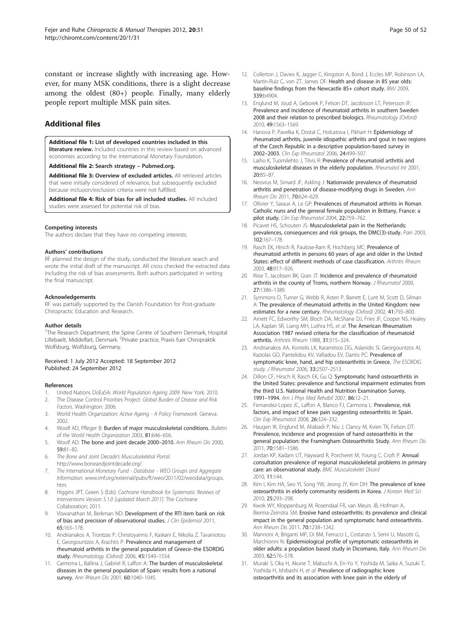<span id="page-49-0"></span>constant or increase slightly with increasing age. However, for many MSK conditions, there is a slight decrease among the oldest (80+) people. Finally, many elderly people report multiple MSK pain sites.

## Additional files

[Additional file 1:](http://www.biomedcentral.com/content/supplementary/2045-709X-20-31-S1.doc) List of developed countries included in this **literature review.** Included countries in this review based on advanced economies according to the International Monetary Foundation.

[Additional file 2:](http://www.biomedcentral.com/content/supplementary/2045-709X-20-31-S2.doc) Search strategy – Pubmed.org.

[Additional file 3:](http://www.biomedcentral.com/content/supplementary/2045-709X-20-31-S3.doc) Overview of excluded articles. All retrieved articles that were initially considered of relevance, but subsequently excluded because inclusion/exclusion criteria were not fulfilled.

[Additional file 4:](http://www.biomedcentral.com/content/supplementary/2045-709X-20-31-S4.doc) Risk of bias for all included studies. All included studies were assessed for potential risk of bias.

#### Competing interests

The authors declare that they have no competing interests.

#### Authors' contributions

RF planned the design of the study, conducted the literature search and wrote the initial draft of the manuscript. AR cross checked the extracted data including the risk of bias assessments. Both authors participated in writing the final manuscript.

#### Acknowledgements

RF was partially supported by the Danish Foundation for Post-graduate Chiropractic Education and Research.

#### Author details

<sup>1</sup>The Research Department, the Spine Centre of Southern Denmark, Hospital Lillebaelt, Middelfart, Denmark. <sup>2</sup>Private practice, Praxis fuer Chiropraktik Wolfsburg, Wolfsburg, Germany.

#### Received: 1 July 2012 Accepted: 18 September 2012 Published: 24 September 2012

#### References

- United Nations DoEaSA: World Population Ageing 2009. New York: 2010.
- 2. The Disease Control Priorities Project: Global Burden of Disease and Risk Factors. Washington: 2006.
- 3. World Health Organization: Active Ageing A Policy Framework. Geneva: 2002.
- 4. Woolf AD, Pfleger B: Burden of major musculoskeletal conditions. Bulletin of the World Health Organization 2003, 81:646–656.
- 5. Woolf AD: The bone and joint decade 2000–2010. Ann Rheum Dis 2000, 59:81–82.
- 6. The Bone and Joint Decade's Musculoskeletal Portal. http://www.boneandjointdecade.org/.
- 7. The International Monetary Fund Database WEO Groups and Aggregate Information. [www.imf.org/external/pubs/ft/weo/2011/02/weodata/groups.](http://www.imf.org/external/pubs/ft/weo/2011/02/weodata/groups.htm) [htm](http://www.imf.org/external/pubs/ft/weo/2011/02/weodata/groups.htm).
- 8. Higgins JPT, Green S (Eds): Cochrane Handbook for Systematic Reviews of Interventions Version 5.1.0 [updated March 2011]. The Cochrane Collaboration; 2011.
- 9. Viswanathan M, Berkman ND: Development of the RTI item bank on risk of bias and precision of observational studies. J Clin Epidemiol 2011, 65:163–178.
- 10. Andrianakos A, Trontzas P, Christoyannis F, Kaskani E, Nikolia Z, Tavaniotou E, Georgountzos A, Krachtis P: Prevalence and management of rheumatoid arthritis in the general population of Greece–the ESORDIG study. Rheumatology (Oxford) 2006, 45:1549–1554.
- 11. Carmona L, Ballina J, Gabriel R, Laffon A: The burden of musculoskeletal diseases in the general population of Spain: results from a national survey. Ann Rheum Dis 2001, 60:1040-1045.
- 12. Collerton J, Davies K, Jagger C, Kingston A, Bond J, Eccles MP, Robinson LA, Martin-Ruiz C, von ZT, James OF: Health and disease in 85 year olds: baseline findings from the Newcastle 85+ cohort study. BMJ 2009, 339:b4904.
- 13. Englund M, Joud A, Geborek P, Felson DT, Jacobsson LT, Petersson IF: Prevalence and incidence of rheumatoid arthritis in southern Sweden 2008 and their relation to prescribed biologics. Rheumatology (Oxford) 2010, 49:1563–1569.
- 14. Hanova P, Pavelka K, Dostal C, Holcatova I, Pikhart H: Epidemiology of rheumatoid arthritis, juvenile idiopathic arthritis and gout in two regions of the Czech Republic in a descriptive population-based survey in 2002–2003. Clin Exp Rheumatol 2006, 24:499–507.
- 15. Laiho K, Tuomilehto J, Tilvis R: Prevalence of rheumatoid arthritis and musculoskeletal diseases in the elderly population. Rheumatol Int 2001, 20:85–87.
- 16. Neovius M, Simard JF, Askling J: Nationwide prevalence of rheumatoid arthritis and penetration of disease-modifying drugs in Sweden. Ann Rheum Dis 2011, 70:624–629.
- 17. Ollivier Y, Saraux A, Le GP: Prevalences of rheumatoid arthritis in Roman Catholic nuns and the general female population in Brittany, France: a pilot study. Clin Exp Rheumatol 2004, 22:759–762.
- 18. Picavet HS, Schouten JS: Musculoskeletal pain in the Netherlands: prevalences, consequences and risk groups, the DMC(3)-study. Pain 2003, 102:167–178.
- 19. Rasch EK, Hirsch R, Paulose-Ram R, Hochberg MC: Prevalence of rheumatoid arthritis in persons 60 years of age and older in the United States: effect of different methods of case classification. Arthritis Rheum 2003, 48:917–926.
- 20. Riise T, Jacobsen BK, Gran JT: Incidence and prevalence of rheumatoid arthritis in the county of Troms, northern Norway. J Rheumatol 2000, 27:1386–1389.
- 21. Symmons D, Turner G, Webb R, Asten P, Barrett E, Lunt M, Scott D, Silman A: The prevalence of rheumatoid arthritis in the United Kingdom: new estimates for a new century. Rheumatology (Oxford) 2002, 41:793–800.
- 22. Arnett FC, Edworthy SM, Bloch DA, McShane DJ, Fries JF, Cooper NS, Healey LA, Kaplan SR, Liang MH, Luthra HS, et al: The American Rheumatism Association 1987 revised criteria for the classification of rheumatoid arthritis. Arthritis Rheum 1988, 31:315–324.
- 23. Andrianakos AA, Kontelis LK, Karamitsos DG, Aslanidis SI, Georgountzos AI, Kaziolas GO, Pantelidou KV, Vafiadou EV, Dantis PC: Prevalence of symptomatic knee, hand, and hip osteoarthritis in Greece. The ESORDIG study. J Rheumatol 2006, 33:2507–2513.
- 24. Dillon CF, Hirsch R, Rasch EK, Gu Q: Symptomatic hand osteoarthritis in the United States: prevalence and functional impairment estimates from the third U.S. National Health and Nutrition Examination Survey, 1991-1994. Am J Phys Med Rehabil 2007, 86:12-21.
- 25. Fernandez-Lopez JC, Laffon A, Blanco FJ, Carmona L: Prevalence, risk factors, and impact of knee pain suggesting osteoarthritis in Spain. Clin Exp Rheumatol 2008, 26:324–332.
- 26. Haugen IK, Englund M, Aliabadi P, Niu J, Clancy M, Kvien TK, Felson DT: Prevalence, incidence and progression of hand osteoarthritis in the general population: the Framingham Osteoarthritis Study. Ann Rheum Dis 2011, 70:1581–1586.
- 27. Jordan KP, Kadam UT, Hayward R, Porcheret M, Young C, Croft P: Annual consultation prevalence of regional musculoskeletal problems in primary care: an observational study. BMC Musculoskelet Disord 2010, 11:144.
- 28. Kim I, Kim HA, Seo YI, Song YW, Jeong JY, Kim DH: The prevalence of knee osteoarthritis in elderly community residents in Korea. J Korean Med Sci 2010, 25:293–298.
- 29. Kwok WY, Kloppenburg M, Rosendaal FR, van Meurs JB, Hofman A, Bierma-Zeinstra SM: Erosive hand osteoarthritis: its prevalence and clinical impact in the general population and symptomatic hand osteoarthritis. Ann Rheum Dis 2011, 70:1238-1242.
- 30. Mannoni A, Briganti MP, Di BM, Ferrucci L, Costanzo S, Serni U, Masotti G, Marchionni N: Epidemiological profile of symptomatic osteoarthritis in older adults: a population based study in Dicomano, Italy. Ann Rheum Dis 2003, 62:576–578.
- 31. Muraki S, Oka H, Akune T, Mabuchi A, En-Yo Y, Yoshida M, Saika A, Suzuki T, Yoshida H, Ishibashi H, et al: Prevalence of radiographic knee osteoarthritis and its association with knee pain in the elderly of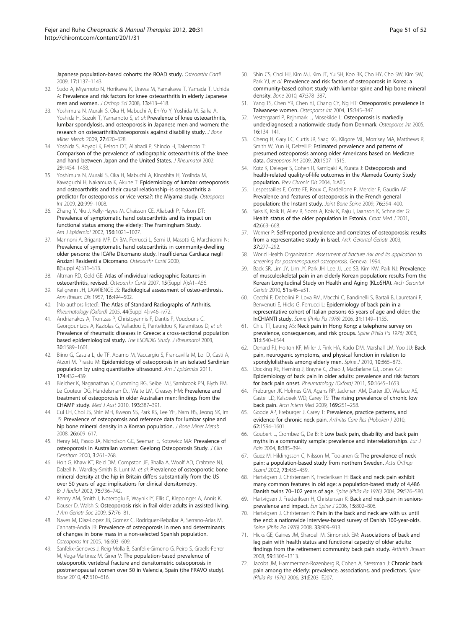<span id="page-50-0"></span>Japanese population-based cohorts: the ROAD study. Osteoarthr Cartil 2009, 17:1137–1143.

- 32. Sudo A, Miyamoto N, Horikawa K, Urawa M, Yamakawa T, Yamada T, Uchida A: Prevalence and risk factors for knee osteoarthritis in elderly Japanese men and women. J Orthop Sci 2008, 13:413–418.
- 33. Yoshimura N, Muraki S, Oka H, Mabuchi A, En-Yo Y, Yoshida M, Saika A, Yoshida H, Suzuki T, Yamamoto S, et al: Prevalence of knee osteoarthritis, lumbar spondylosis, and osteoporosis in Japanese men and women: the research on osteoarthritis/osteoporosis against disability study. J Bone Miner Metab 2009, 27:620–628.
- 34. Yoshida S, Aoyagi K, Felson DT, Aliabadi P, Shindo H, Takemoto T: Comparison of the prevalence of radiographic osteoarthritis of the knee and hand between Japan and the United States. J Rheumatol 2002, 29:1454–1458.
- 35. Yoshimura N, Muraki S, Oka H, Mabuchi A, Kinoshita H, Yosihda M, Kawaguchi H, Nakamura K, Akune T: Epidemiology of lumbar osteoporosis and osteoarthritis and their causal relationship–is osteoarthritis a predictor for osteoporosis or vice versa?: the Miyama study. Osteoporos Int 2009, 20:999–1008.
- 36. Zhang Y, Niu J, Kelly-Hayes M, Chaisson CE, Aliabadi P, Felson DT: Prevalence of symptomatic hand osteoarthritis and its impact on functional status among the elderly: The Framingham Study. Am J Epidemiol 2002, 156:1021–1027.
- 37. Mannoni A, Briganti MP, Di BM, Ferrucci L, Serni U, Masotti G, Marchionni N: Prevalence of symptomatic hand osteoarthritis in community-dwelling older persons: the ICARe Dicomano study. Insufficienza Cardiaca negli Anzizni Residenti a Dicomano. Osteoarthr Cartil 2000, 8(Suppl A):S11–S13.
- 38. Altman RD, Gold GE: Atlas of individual radiographic features in osteoarthritis, revised. Osteoarthr Cartil 2007, 15(Suppl A):A1–A56.
- 39. Kellgrenn JH, LAWRENCE JS: Radiological assessment of osteo-arthrosis. Ann Rheum Dis 1957, 16:494–502.
- 40. [No authors listed]: The Atlas of Standard Radiographs of Arthritis. Rheumatology (Oxford) 2005, 44(Suppl 4):iv46–iv72.
- 41. Andrianakos A, Trontzas P, Christoyannis F, Dantis P, Voudouris C, Georgountzos A, Kaziolas G, Vafiadou E, Pantelidou K, Karamitsos D, et al: Prevalence of rheumatic diseases in Greece: a cross-sectional population based epidemiological study. The ESORDIG Study. J Rheumatol 2003, 30:1589–1601.
- 42. Biino G, Casula L, de TF, Adamo M, Vaccargiu S, Francavilla M, Loi D, Casti A, Atzori M, Pirastu M: Epidemiology of osteoporosis in an isolated Sardinian population by using quantitative ultrasound. Am J Epidemiol 2011, 174:432–439.
- 43. Bleicher K, Naganathan V, Cumming RG, Seibel MJ, Sambrook PN, Blyth FM, Le Couteur DG, Handelsman DJ, Waite LM, Creasey HM: Prevalence and treatment of osteoporosis in older Australian men: findings from the CHAMP study. Med J Aust 2010, 193:387–391.
- 44. Cui LH, Choi JS, Shin MH, Kweon SS, Park KS, Lee YH, Nam HS, Jeong SK, Im JS: Prevalence of osteoporosis and reference data for lumbar spine and hip bone mineral density in a Korean population. J Bone Miner Metab 2008, 26:609–617.
- 45. Henry MJ, Pasco JA, Nicholson GC, Seeman E, Kotowicz MA: Prevalence of osteoporosis in Australian women: Geelong Osteoporosis Study. J Clin Densitom 2000, 3:261–268.
- 46. Holt G, Khaw KT, Reid DM, Compston JE, Bhalla A, Woolf AD, Crabtree NJ, Dalzell N, Wardley-Smith B, Lunt M, et al: Prevalence of osteoporotic bone mineral density at the hip in Britain differs substantially from the US over 50 years of age: implications for clinical densitometry. Br J Radiol 2002, 75:736–742.
- 47. Kenny AM, Smith J, Noteroglu E, Waynik IY, Ellis C, Kleppinger A, Annis K, Dauser D, Walsh S: Osteoporosis risk in frail older adults in assisted living. J Am Geriatr Soc 2009, 57:76–81.
- 48. Naves M, Diaz-Lopez JB, Gomez C, Rodriguez-Rebollar A, Serrano-Arias M, Cannata-Andia JB: Prevalence of osteoporosis in men and determinants of changes in bone mass in a non-selected Spanish population. Osteoporos Int 2005, 16:603–609.
- 49. Sanfelix-Genoves J, Reig-Molla B, Sanfelix-Gimeno G, Peiro S, Graells-Ferrer M, Vega-Martinez M, Giner V: The population-based prevalence of osteoporotic vertebral fracture and densitometric osteoporosis in postmenopausal women over 50 in Valencia, Spain (the FRAVO study). Bone 2010, 47:610–616.
- 50. Shin CS, Choi HJ, Kim MJ, Kim JT, Yu SH, Koo BK, Cho HY, Cho SW, Kim SW, Park YJ, et al: Prevalence and risk factors of osteoporosis in Korea: a community-based cohort study with lumbar spine and hip bone mineral density. Bone 2010, 47:378–387.
- 51. Yang TS, Chen YR, Chen YJ, Chang CY, Ng HT: Osteoporosis: prevalence in Taiwanese women. Osteoporos Int 2004, 15:345–347.
- 52. Vestergaard P, Rejnmark L, Mosekilde L: Osteoporosis is markedly underdiagnosed: a nationwide study from Denmark. Osteoporos Int 2005, 16:134–141.
- 53. Cheng H, Gary LC, Curtis JR, Saag KG, Kilgore ML, Morrisey MA, Matthews R, Smith W, Yun H, Delzell E: Estimated prevalence and patterns of presumed osteoporosis among older Americans based on Medicare data. Osteoporos Int 2009, 20:1507–1515.
- 54. Kotz K, Deleger S, Cohen R, Kamigaki A, Kurata J: Osteoporosis and health-related quality-of-life outcomes in the Alameda County Study population. Prev Chronic Dis 2004, 1:A05.
- 55. Lespessailles E, Cotte FE, Roux C, Fardellone P, Mercier F, Gaudin AF: Prevalence and features of osteoporosis in the French general population: the Instant study. Joint Bone Spine 2009, 76:394-400.
- 56. Saks K, Kolk H, Allev R, Soots A, Koiv K, Paju I, Jaanson K, Schneider G: Health status of the older population in Estonia. Croat Med J 2001, 42:663–668.
- 57. Werner P: Self-reported prevalence and correlates of osteoporosis: results from a representative study in Israel. Arch Gerontol Geriatr 2003, 37:277–292.
- 58. World Health Organization: Assessment of fracture risk and its application to screening for postmenopausal osteoporosis. Geneva: 1994.
- 59. Baek SR, Lim JY, Lim JY, Park JH, Lee JJ, Lee SB, Kim KW, Paik NJ: Prevalence of musculoskeletal pain in an elderly Korean population: results from the Korean Longitudinal Study on Health and Aging (KLoSHA). Arch Gerontol Geriatr 2010, 51:e46–e51.
- 60. Cecchi F, Debolini P, Lova RM, Macchi C, Bandinelli S, Bartali B, Lauretani F, Benvenuti E, Hicks G, Ferrucci L: Epidemiology of back pain in a representative cohort of Italian persons 65 years of age and older: the InCHIANTI study. Spine (Phila Pa 1976) 2006, 31:1149–1155.
- 61. Chiu TT, Leung AS: Neck pain in Hong Kong: a telephone survey on prevalence, consequences, and risk groups. Spine (Phila Pa 1976) 2006, 31:E540–E544.
- 62. Denard PJ, Holton KF, Miller J, Fink HA, Kado DM, Marshall LM, Yoo JU: Back pain, neurogenic symptoms, and physical function in relation to spondylolisthesis among elderly men. Spine J 2010, 10:865-873.
- 63. Docking RE, Fleming J, Brayne C, Zhao J, Macfarlane GJ, Jones GT: Epidemiology of back pain in older adults: prevalence and risk factors for back pain onset. Rheumatology (Oxford) 2011, 50:1645–1653.
- 64. Freburger JK, Holmes GM, Agans RP, Jackman AM, Darter JD, Wallace AS, Castel LD, Kalsbeek WD, Carey TS: The rising prevalence of chronic low back pain. Arch Intern Med 2009, 169:251–258.
- 65. Goode AP, Freburger J, Carey T: Prevalence, practice patterns, and evidence for chronic neck pain. Arthritis Care Res (Hoboken ) 2010, 62:1594–1601.
- 66. Goubert L, Crombez G, De B: I: Low back pain, disability and back pain myths in a community sample: prevalence and interrelationships. Eur J Pain 2004, 8:385–394.
- 67. Guez M, Hildingsson C, Nilsson M, Toolanen G: The prevalence of neck pain: a population-based study from northern Sweden. Acta Orthop Scand 2002, 73:455–459.
- Hartvigsen J, Christensen K, Frederiksen H: Back and neck pain exhibit many common features in old age: a population-based study of 4,486 Danish twins 70–102 years of age. Spine (Phila Pa 1976) 2004, 29:576–580.
- 69. Hartvigsen J, Frederiksen H, Christensen K: Back and neck pain in seniorsprevalence and impact. Eur Spine J 2006, 15:802-806
- 70. Hartvigsen J. Christensen K: Pain in the back and neck are with us until the end: a nationwide interview-based survey of Danish 100-year-olds. Spine (Phila Pa 1976) 2008, 33:909-913.
- 71. Hicks GE, Gaines JM, Shardell M, Simonsick EM: Associations of back and leg pain with health status and functional capacity of older adults: findings from the retirement community back pain study. Arthritis Rheum 2008, 59:1306–1313.
- 72. Jacobs JM, Hammerman-Rozenberg R, Cohen A, Stessman J: Chronic back pain among the elderly: prevalence, associations, and predictors. Spine (Phila Pa 1976) 2006, 31:E203–E207.